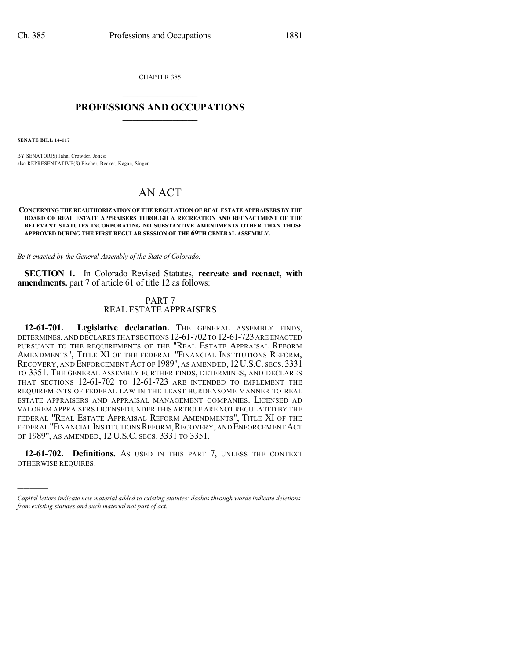CHAPTER 385  $\overline{\phantom{a}}$  . The set of the set of the set of the set of the set of the set of the set of the set of the set of the set of the set of the set of the set of the set of the set of the set of the set of the set of the set o

# **PROFESSIONS AND OCCUPATIONS**  $\frac{1}{2}$  ,  $\frac{1}{2}$  ,  $\frac{1}{2}$  ,  $\frac{1}{2}$  ,  $\frac{1}{2}$  ,  $\frac{1}{2}$  ,  $\frac{1}{2}$

**SENATE BILL 14-117**

)))))

BY SENATOR(S) Jahn, Crowder, Jones; also REPRESENTATIVE(S) Fischer, Becker, Kagan, Singer.

# AN ACT

**CONCERNING THE REAUTHORIZATION OF THE REGULATION OF REAL ESTATE APPRAISERS BY THE BOARD OF REAL ESTATE APPRAISERS THROUGH A RECREATION AND REENACTMENT OF THE RELEVANT STATUTES INCORPORATING NO SUBSTANTIVE AMENDMENTS OTHER THAN THOSE APPROVED DURING THE FIRST REGULAR SESSION OF THE 69TH GENERAL ASSEMBLY.**

*Be it enacted by the General Assembly of the State of Colorado:*

**SECTION 1.** In Colorado Revised Statutes, **recreate and reenact, with amendments,** part 7 of article 61 of title 12 as follows:

# PART 7 REAL ESTATE APPRAISERS

**12-61-701. Legislative declaration.** THE GENERAL ASSEMBLY FINDS, DETERMINES,AND DECLARES THAT SECTIONS 12-61-702TO 12-61-723ARE ENACTED PURSUANT TO THE REQUIREMENTS OF THE "REAL ESTATE APPRAISAL REFORM AMENDMENTS", TITLE XI OF THE FEDERAL "FINANCIAL INSTITUTIONS REFORM, RECOVERY, AND ENFORCEMENT ACT OF 1989", AS AMENDED, 12 U.S.C. SECS. 3331 TO 3351. THE GENERAL ASSEMBLY FURTHER FINDS, DETERMINES, AND DECLARES THAT SECTIONS 12-61-702 TO 12-61-723 ARE INTENDED TO IMPLEMENT THE REQUIREMENTS OF FEDERAL LAW IN THE LEAST BURDENSOME MANNER TO REAL ESTATE APPRAISERS AND APPRAISAL MANAGEMENT COMPANIES. LICENSED AD VALOREM APPRAISERS LICENSED UNDER THIS ARTICLE ARE NOT REGULATED BY THE FEDERAL "REAL ESTATE APPRAISAL REFORM AMENDMENTS", TITLE XI OF THE FEDERAL "FINANCIAL INSTITUTIONS REFORM, RECOVERY, AND ENFORCEMENT ACT OF 1989", AS AMENDED, 12 U.S.C. SECS. 3331 TO 3351.

**12-61-702. Definitions.** AS USED IN THIS PART 7, UNLESS THE CONTEXT OTHERWISE REQUIRES:

*Capital letters indicate new material added to existing statutes; dashes through words indicate deletions from existing statutes and such material not part of act.*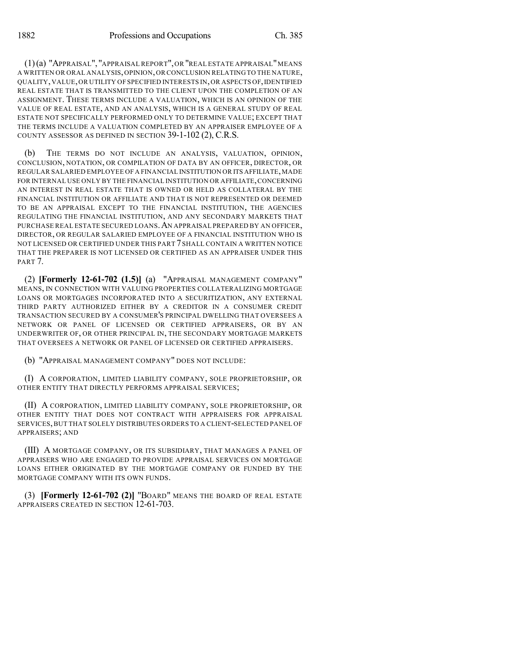(1)(a) "APPRAISAL", "APPRAISAL REPORT",OR "REAL ESTATE APPRAISAL"MEANS A WRITTEN OR ORAL ANALYSIS,OPINION,OR CONCLUSION RELATINGTO THE NATURE, QUALITY,VALUE,OR UTILITY OF SPECIFIED INTERESTS IN,OR ASPECTS OF,IDENTIFIED REAL ESTATE THAT IS TRANSMITTED TO THE CLIENT UPON THE COMPLETION OF AN ASSIGNMENT. THESE TERMS INCLUDE A VALUATION, WHICH IS AN OPINION OF THE VALUE OF REAL ESTATE, AND AN ANALYSIS, WHICH IS A GENERAL STUDY OF REAL ESTATE NOT SPECIFICALLY PERFORMED ONLY TO DETERMINE VALUE; EXCEPT THAT THE TERMS INCLUDE A VALUATION COMPLETED BY AN APPRAISER EMPLOYEE OF A COUNTY ASSESSOR AS DEFINED IN SECTION 39-1-102 (2), C.R.S.

(b) THE TERMS DO NOT INCLUDE AN ANALYSIS, VALUATION, OPINION, CONCLUSION, NOTATION, OR COMPILATION OF DATA BY AN OFFICER, DIRECTOR, OR REGULAR SALARIED EMPLOYEE OF A FINANCIAL INSTITUTION OR ITS AFFILIATE,MADE FOR INTERNAL USE ONLY BY THE FINANCIAL INSTITUTION OR AFFILIATE,CONCERNING AN INTEREST IN REAL ESTATE THAT IS OWNED OR HELD AS COLLATERAL BY THE FINANCIAL INSTITUTION OR AFFILIATE AND THAT IS NOT REPRESENTED OR DEEMED TO BE AN APPRAISAL EXCEPT TO THE FINANCIAL INSTITUTION, THE AGENCIES REGULATING THE FINANCIAL INSTITUTION, AND ANY SECONDARY MARKETS THAT PURCHASE REAL ESTATE SECURED LOANS.AN APPRAISAL PREPARED BY AN OFFICER, DIRECTOR, OR REGULAR SALARIED EMPLOYEE OF A FINANCIAL INSTITUTION WHO IS NOT LICENSED OR CERTIFIED UNDER THIS PART 7 SHALL CONTAIN A WRITTEN NOTICE THAT THE PREPARER IS NOT LICENSED OR CERTIFIED AS AN APPRAISER UNDER THIS PART<sub>7</sub>.

(2) **[Formerly 12-61-702 (1.5)]** (a) "APPRAISAL MANAGEMENT COMPANY" MEANS, IN CONNECTION WITH VALUING PROPERTIES COLLATERALIZING MORTGAGE LOANS OR MORTGAGES INCORPORATED INTO A SECURITIZATION, ANY EXTERNAL THIRD PARTY AUTHORIZED EITHER BY A CREDITOR IN A CONSUMER CREDIT TRANSACTION SECURED BY A CONSUMER'S PRINCIPAL DWELLING THAT OVERSEES A NETWORK OR PANEL OF LICENSED OR CERTIFIED APPRAISERS, OR BY AN UNDERWRITER OF, OR OTHER PRINCIPAL IN, THE SECONDARY MORTGAGE MARKETS THAT OVERSEES A NETWORK OR PANEL OF LICENSED OR CERTIFIED APPRAISERS.

(b) "APPRAISAL MANAGEMENT COMPANY" DOES NOT INCLUDE:

(I) A CORPORATION, LIMITED LIABILITY COMPANY, SOLE PROPRIETORSHIP, OR OTHER ENTITY THAT DIRECTLY PERFORMS APPRAISAL SERVICES;

(II) A CORPORATION, LIMITED LIABILITY COMPANY, SOLE PROPRIETORSHIP, OR OTHER ENTITY THAT DOES NOT CONTRACT WITH APPRAISERS FOR APPRAISAL SERVICES,BUT THAT SOLELY DISTRIBUTES ORDERS TO A CLIENT-SELECTED PANEL OF APPRAISERS; AND

(III) A MORTGAGE COMPANY, OR ITS SUBSIDIARY, THAT MANAGES A PANEL OF APPRAISERS WHO ARE ENGAGED TO PROVIDE APPRAISAL SERVICES ON MORTGAGE LOANS EITHER ORIGINATED BY THE MORTGAGE COMPANY OR FUNDED BY THE MORTGAGE COMPANY WITH ITS OWN FUNDS.

(3) **[Formerly 12-61-702 (2)]** "BOARD" MEANS THE BOARD OF REAL ESTATE APPRAISERS CREATED IN SECTION 12-61-703.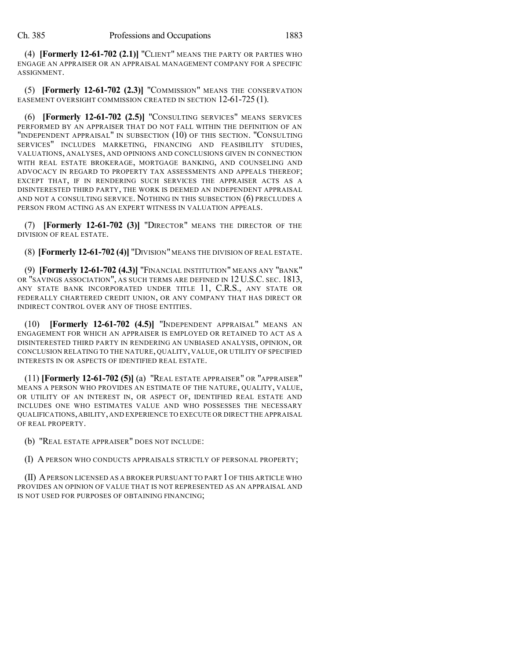(4) **[Formerly 12-61-702 (2.1)]** "CLIENT" MEANS THE PARTY OR PARTIES WHO ENGAGE AN APPRAISER OR AN APPRAISAL MANAGEMENT COMPANY FOR A SPECIFIC ASSIGNMENT.

(5) **[Formerly 12-61-702 (2.3)]** "COMMISSION" MEANS THE CONSERVATION EASEMENT OVERSIGHT COMMISSION CREATED IN SECTION 12-61-725 (1).

(6) **[Formerly 12-61-702 (2.5)]** "CONSULTING SERVICES" MEANS SERVICES PERFORMED BY AN APPRAISER THAT DO NOT FALL WITHIN THE DEFINITION OF AN "INDEPENDENT APPRAISAL" IN SUBSECTION (10) OF THIS SECTION. "CONSULTING SERVICES" INCLUDES MARKETING, FINANCING AND FEASIBILITY STUDIES, VALUATIONS, ANALYSES, AND OPINIONS AND CONCLUSIONS GIVEN IN CONNECTION WITH REAL ESTATE BROKERAGE, MORTGAGE BANKING, AND COUNSELING AND ADVOCACY IN REGARD TO PROPERTY TAX ASSESSMENTS AND APPEALS THEREOF; EXCEPT THAT, IF IN RENDERING SUCH SERVICES THE APPRAISER ACTS AS A DISINTERESTED THIRD PARTY, THE WORK IS DEEMED AN INDEPENDENT APPRAISAL AND NOT A CONSULTING SERVICE. NOTHING IN THIS SUBSECTION (6) PRECLUDES A PERSON FROM ACTING AS AN EXPERT WITNESS IN VALUATION APPEALS.

(7) **[Formerly 12-61-702 (3)]** "DIRECTOR" MEANS THE DIRECTOR OF THE DIVISION OF REAL ESTATE.

(8) **[Formerly 12-61-702 (4)]** "DIVISION" MEANS THE DIVISION OF REAL ESTATE.

(9) **[Formerly 12-61-702 (4.3)]** "FINANCIAL INSTITUTION" MEANS ANY "BANK" OR "SAVINGS ASSOCIATION", AS SUCH TERMS ARE DEFINED IN 12 U.S.C. SEC. 1813, ANY STATE BANK INCORPORATED UNDER TITLE 11, C.R.S., ANY STATE OR FEDERALLY CHARTERED CREDIT UNION, OR ANY COMPANY THAT HAS DIRECT OR INDIRECT CONTROL OVER ANY OF THOSE ENTITIES.

(10) **[Formerly 12-61-702 (4.5)]** "INDEPENDENT APPRAISAL" MEANS AN ENGAGEMENT FOR WHICH AN APPRAISER IS EMPLOYED OR RETAINED TO ACT AS A DISINTERESTED THIRD PARTY IN RENDERING AN UNBIASED ANALYSIS, OPINION, OR CONCLUSION RELATING TO THE NATURE, QUALITY, VALUE, OR UTILITY OF SPECIFIED INTERESTS IN OR ASPECTS OF IDENTIFIED REAL ESTATE.

(11) **[Formerly 12-61-702 (5)]** (a) "REAL ESTATE APPRAISER" OR "APPRAISER" MEANS A PERSON WHO PROVIDES AN ESTIMATE OF THE NATURE, QUALITY, VALUE, OR UTILITY OF AN INTEREST IN, OR ASPECT OF, IDENTIFIED REAL ESTATE AND INCLUDES ONE WHO ESTIMATES VALUE AND WHO POSSESSES THE NECESSARY QUALIFICATIONS,ABILITY,AND EXPERIENCE TO EXECUTE OR DIRECT THE APPRAISAL OF REAL PROPERTY.

(b) "REAL ESTATE APPRAISER" DOES NOT INCLUDE:

(I) A PERSON WHO CONDUCTS APPRAISALS STRICTLY OF PERSONAL PROPERTY;

(II) APERSON LICENSED AS A BROKER PURSUANT TO PART 1OF THIS ARTICLE WHO PROVIDES AN OPINION OF VALUE THAT IS NOT REPRESENTED AS AN APPRAISAL AND IS NOT USED FOR PURPOSES OF OBTAINING FINANCING;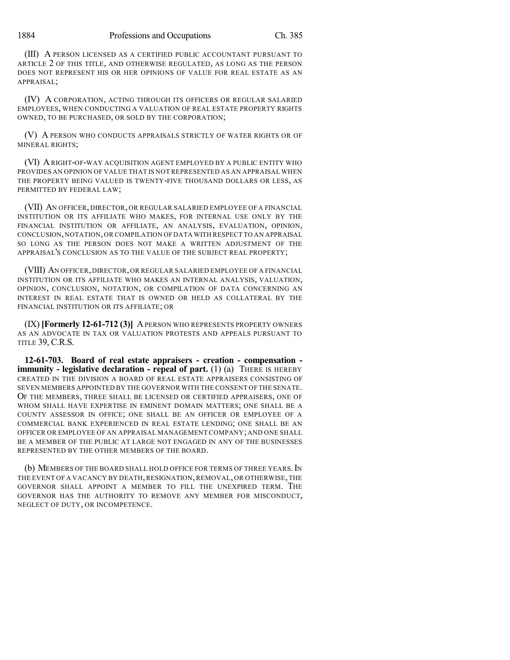(III) A PERSON LICENSED AS A CERTIFIED PUBLIC ACCOUNTANT PURSUANT TO ARTICLE 2 OF THIS TITLE, AND OTHERWISE REGULATED, AS LONG AS THE PERSON DOES NOT REPRESENT HIS OR HER OPINIONS OF VALUE FOR REAL ESTATE AS AN APPRAISAL;

(IV) A CORPORATION, ACTING THROUGH ITS OFFICERS OR REGULAR SALARIED EMPLOYEES, WHEN CONDUCTING A VALUATION OF REAL ESTATE PROPERTY RIGHTS OWNED, TO BE PURCHASED, OR SOLD BY THE CORPORATION;

(V) A PERSON WHO CONDUCTS APPRAISALS STRICTLY OF WATER RIGHTS OR OF MINERAL RIGHTS;

(VI) ARIGHT-OF-WAY ACQUISITION AGENT EMPLOYED BY A PUBLIC ENTITY WHO PROVIDES AN OPINION OF VALUE THAT IS NOT REPRESENTED AS AN APPRAISAL WHEN THE PROPERTY BEING VALUED IS TWENTY-FIVE THOUSAND DOLLARS OR LESS, AS PERMITTED BY FEDERAL LAW;

(VII) AN OFFICER, DIRECTOR, OR REGULAR SALARIED EMPLOYEE OF A FINANCIAL INSTITUTION OR ITS AFFILIATE WHO MAKES, FOR INTERNAL USE ONLY BY THE FINANCIAL INSTITUTION OR AFFILIATE, AN ANALYSIS, EVALUATION, OPINION, CONCLUSION,NOTATION,OR COMPILATION OFDATA WITH RESPECT TO AN APPRAISAL SO LONG AS THE PERSON DOES NOT MAKE A WRITTEN ADJUSTMENT OF THE APPRAISAL'S CONCLUSION AS TO THE VALUE OF THE SUBJECT REAL PROPERTY;

(VIII) AN OFFICER,DIRECTOR,OR REGULAR SALARIED EMPLOYEE OF A FINANCIAL INSTITUTION OR ITS AFFILIATE WHO MAKES AN INTERNAL ANALYSIS, VALUATION, OPINION, CONCLUSION, NOTATION, OR COMPILATION OF DATA CONCERNING AN INTEREST IN REAL ESTATE THAT IS OWNED OR HELD AS COLLATERAL BY THE FINANCIAL INSTITUTION OR ITS AFFILIATE; OR

(IX) **[Formerly 12-61-712 (3)]** APERSON WHO REPRESENTS PROPERTY OWNERS AS AN ADVOCATE IN TAX OR VALUATION PROTESTS AND APPEALS PURSUANT TO TITLE 39, C.R.S.

**12-61-703. Board of real estate appraisers - creation - compensation immunity - legislative declaration - repeal of part.** (1) (a) THERE IS HEREBY CREATED IN THE DIVISION A BOARD OF REAL ESTATE APPRAISERS CONSISTING OF SEVEN MEMBERS APPOINTED BY THE GOVERNOR WITH THE CONSENT OF THE SENATE. OF THE MEMBERS, THREE SHALL BE LICENSED OR CERTIFIED APPRAISERS, ONE OF WHOM SHALL HAVE EXPERTISE IN EMINENT DOMAIN MATTERS; ONE SHALL BE A COUNTY ASSESSOR IN OFFICE; ONE SHALL BE AN OFFICER OR EMPLOYEE OF A COMMERCIAL BANK EXPERIENCED IN REAL ESTATE LENDING; ONE SHALL BE AN OFFICER OR EMPLOYEE OF AN APPRAISAL MANAGEMENT COMPANY; AND ONE SHALL BE A MEMBER OF THE PUBLIC AT LARGE NOT ENGAGED IN ANY OF THE BUSINESSES REPRESENTED BY THE OTHER MEMBERS OF THE BOARD.

(b) MEMBERS OF THE BOARD SHALL HOLD OFFICE FOR TERMS OF THREE YEARS.IN THE EVENT OF A VACANCY BY DEATH,RESIGNATION,REMOVAL, OR OTHERWISE, THE GOVERNOR SHALL APPOINT A MEMBER TO FILL THE UNEXPIRED TERM. THE GOVERNOR HAS THE AUTHORITY TO REMOVE ANY MEMBER FOR MISCONDUCT, NEGLECT OF DUTY, OR INCOMPETENCE.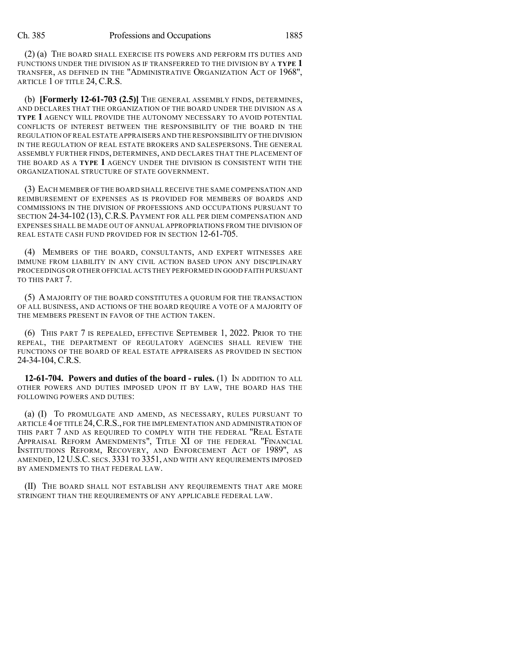(2) (a) THE BOARD SHALL EXERCISE ITS POWERS AND PERFORM ITS DUTIES AND FUNCTIONS UNDER THE DIVISION AS IF TRANSFERRED TO THE DIVISION BY A **TYPE 1** TRANSFER, AS DEFINED IN THE "ADMINISTRATIVE ORGANIZATION ACT OF 1968", ARTICLE 1 OF TITLE 24, C.R.S.

(b) **[Formerly 12-61-703 (2.5)]** THE GENERAL ASSEMBLY FINDS, DETERMINES, AND DECLARES THAT THE ORGANIZATION OF THE BOARD UNDER THE DIVISION AS A **TYPE 1** AGENCY WILL PROVIDE THE AUTONOMY NECESSARY TO AVOID POTENTIAL CONFLICTS OF INTEREST BETWEEN THE RESPONSIBILITY OF THE BOARD IN THE REGULATION OF REAL ESTATE APPRAISERS AND THE RESPONSIBILITY OFTHE DIVISION IN THE REGULATION OF REAL ESTATE BROKERS AND SALESPERSONS. THE GENERAL ASSEMBLY FURTHER FINDS, DETERMINES, AND DECLARES THAT THE PLACEMENT OF THE BOARD AS A **TYPE 1** AGENCY UNDER THE DIVISION IS CONSISTENT WITH THE ORGANIZATIONAL STRUCTURE OF STATE GOVERNMENT.

(3) EACH MEMBER OF THE BOARD SHALL RECEIVE THE SAME COMPENSATION AND REIMBURSEMENT OF EXPENSES AS IS PROVIDED FOR MEMBERS OF BOARDS AND COMMISSIONS IN THE DIVISION OF PROFESSIONS AND OCCUPATIONS PURSUANT TO SECTION 24-34-102 (13), C.R.S. PAYMENT FOR ALL PER DIEM COMPENSATION AND EXPENSES SHALL BE MADE OUT OF ANNUAL APPROPRIATIONS FROM THE DIVISION OF REAL ESTATE CASH FUND PROVIDED FOR IN SECTION 12-61-705.

(4) MEMBERS OF THE BOARD, CONSULTANTS, AND EXPERT WITNESSES ARE IMMUNE FROM LIABILITY IN ANY CIVIL ACTION BASED UPON ANY DISCIPLINARY PROCEEDINGS OR OTHER OFFICIAL ACTS THEY PERFORMED IN GOOD FAITH PURSUANT TO THIS PART 7.

(5) A MAJORITY OF THE BOARD CONSTITUTES A QUORUM FOR THE TRANSACTION OF ALL BUSINESS, AND ACTIONS OF THE BOARD REQUIRE A VOTE OF A MAJORITY OF THE MEMBERS PRESENT IN FAVOR OF THE ACTION TAKEN.

(6) THIS PART 7 IS REPEALED, EFFECTIVE SEPTEMBER 1, 2022. PRIOR TO THE REPEAL, THE DEPARTMENT OF REGULATORY AGENCIES SHALL REVIEW THE FUNCTIONS OF THE BOARD OF REAL ESTATE APPRAISERS AS PROVIDED IN SECTION 24-34-104, C.R.S.

**12-61-704. Powers and duties of the board - rules.** (1) IN ADDITION TO ALL OTHER POWERS AND DUTIES IMPOSED UPON IT BY LAW, THE BOARD HAS THE FOLLOWING POWERS AND DUTIES:

(a) (I) TO PROMULGATE AND AMEND, AS NECESSARY, RULES PURSUANT TO ARTICLE 4 OF TITLE 24, C.R.S., FOR THE IMPLEMENTATION AND ADMINISTRATION OF THIS PART 7 AND AS REQUIRED TO COMPLY WITH THE FEDERAL "REAL ESTATE APPRAISAL REFORM AMENDMENTS", TITLE XI OF THE FEDERAL "FINANCIAL INSTITUTIONS REFORM, RECOVERY, AND ENFORCEMENT ACT OF 1989", AS AMENDED, 12 U.S.C. SECS. 3331 TO 3351, AND WITH ANY REQUIREMENTS IMPOSED BY AMENDMENTS TO THAT FEDERAL LAW.

(II) THE BOARD SHALL NOT ESTABLISH ANY REQUIREMENTS THAT ARE MORE STRINGENT THAN THE REQUIREMENTS OF ANY APPLICABLE FEDERAL LAW.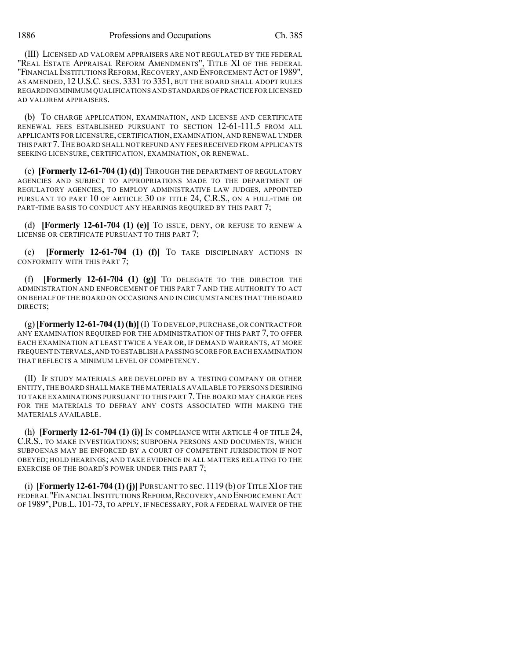(III) LICENSED AD VALOREM APPRAISERS ARE NOT REGULATED BY THE FEDERAL "REAL ESTATE APPRAISAL REFORM AMENDMENTS", TITLE XI OF THE FEDERAL "FINANCIAL INSTITUTIONS REFORM, RECOVERY, AND ENFORCEMENT ACT OF 1989", AS AMENDED, 12 U.S.C. SECS. 3331 TO 3351, BUT THE BOARD SHALL ADOPT RULES REGARDING MINIMUM QUALIFICATIONS AND STANDARDS OFPRACTICE FOR LICENSED AD VALOREM APPRAISERS.

(b) TO CHARGE APPLICATION, EXAMINATION, AND LICENSE AND CERTIFICATE RENEWAL FEES ESTABLISHED PURSUANT TO SECTION 12-61-111.5 FROM ALL APPLICANTS FOR LICENSURE, CERTIFICATION, EXAMINATION, AND RENEWAL UNDER THIS PART 7.THE BOARD SHALL NOT REFUND ANY FEES RECEIVED FROM APPLICANTS SEEKING LICENSURE, CERTIFICATION, EXAMINATION, OR RENEWAL.

(c) **[Formerly 12-61-704 (1) (d)]** THROUGH THE DEPARTMENT OF REGULATORY AGENCIES AND SUBJECT TO APPROPRIATIONS MADE TO THE DEPARTMENT OF REGULATORY AGENCIES, TO EMPLOY ADMINISTRATIVE LAW JUDGES, APPOINTED PURSUANT TO PART 10 OF ARTICLE 30 OF TITLE 24, C.R.S., ON A FULL-TIME OR PART-TIME BASIS TO CONDUCT ANY HEARINGS REQUIRED BY THIS PART 7;

(d) **[Formerly 12-61-704 (1) (e)]** TO ISSUE, DENY, OR REFUSE TO RENEW A LICENSE OR CERTIFICATE PURSUANT TO THIS PART 7;

(e) **[Formerly 12-61-704 (1) (f)]** TO TAKE DISCIPLINARY ACTIONS IN CONFORMITY WITH THIS PART 7;

(f) **[Formerly 12-61-704 (1) (g)]** TO DELEGATE TO THE DIRECTOR THE ADMINISTRATION AND ENFORCEMENT OF THIS PART 7 AND THE AUTHORITY TO ACT ON BEHALF OF THE BOARD ON OCCASIONS AND IN CIRCUMSTANCES THAT THE BOARD DIRECTS;

(g)**[Formerly 12-61-704 (1)(h)]**(I) TO DEVELOP, PURCHASE, OR CONTRACT FOR ANY EXAMINATION REQUIRED FOR THE ADMINISTRATION OF THIS PART 7, TO OFFER EACH EXAMINATION AT LEAST TWICE A YEAR OR, IF DEMAND WARRANTS, AT MORE FREQUENT INTERVALS,AND TO ESTABLISH A PASSING SCORE FOR EACH EXAMINATION THAT REFLECTS A MINIMUM LEVEL OF COMPETENCY.

(II) IF STUDY MATERIALS ARE DEVELOPED BY A TESTING COMPANY OR OTHER ENTITY,THE BOARD SHALL MAKE THE MATERIALS AVAILABLE TO PERSONS DESIRING TO TAKE EXAMINATIONS PURSUANT TO THIS PART 7.THE BOARD MAY CHARGE FEES FOR THE MATERIALS TO DEFRAY ANY COSTS ASSOCIATED WITH MAKING THE MATERIALS AVAILABLE.

(h) **[Formerly 12-61-704 (1) (i)]** IN COMPLIANCE WITH ARTICLE 4 OF TITLE 24, C.R.S., TO MAKE INVESTIGATIONS; SUBPOENA PERSONS AND DOCUMENTS, WHICH SUBPOENAS MAY BE ENFORCED BY A COURT OF COMPETENT JURISDICTION IF NOT OBEYED; HOLD HEARINGS; AND TAKE EVIDENCE IN ALL MATTERS RELATING TO THE EXERCISE OF THE BOARD'S POWER UNDER THIS PART 7;

(i) **[Formerly 12-61-704 (1) (j)]** PURSUANT TO SEC. 1119 (b) OF TITLE XIOF THE FEDERAL "FINANCIAL INSTITUTIONS REFORM, RECOVERY, AND ENFORCEMENT ACT OF 1989", PUB.L. 101-73, TO APPLY, IF NECESSARY, FOR A FEDERAL WAIVER OF THE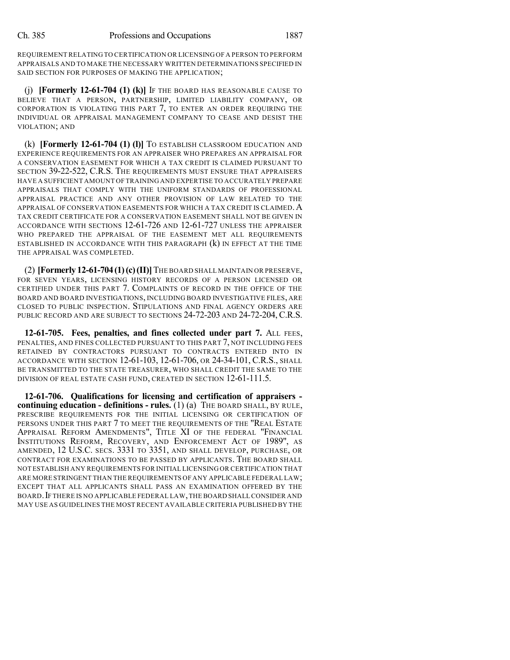REQUIREMENT RELATING TO CERTIFICATION OR LICENSING OF A PERSON TO PERFORM APPRAISALS AND TO MAKE THE NECESSARY WRITTEN DETERMINATIONS SPECIFIED IN SAID SECTION FOR PURPOSES OF MAKING THE APPLICATION;

(j) **[Formerly 12-61-704 (1) (k)]** IF THE BOARD HAS REASONABLE CAUSE TO BELIEVE THAT A PERSON, PARTNERSHIP, LIMITED LIABILITY COMPANY, OR CORPORATION IS VIOLATING THIS PART 7, TO ENTER AN ORDER REQUIRING THE INDIVIDUAL OR APPRAISAL MANAGEMENT COMPANY TO CEASE AND DESIST THE VIOLATION; AND

(k) **[Formerly 12-61-704 (1) (l)]** TO ESTABLISH CLASSROOM EDUCATION AND EXPERIENCE REQUIREMENTS FOR AN APPRAISER WHO PREPARES AN APPRAISAL FOR A CONSERVATION EASEMENT FOR WHICH A TAX CREDIT IS CLAIMED PURSUANT TO SECTION 39-22-522, C.R.S. THE REQUIREMENTS MUST ENSURE THAT APPRAISERS HAVE A SUFFICIENT AMOUNT OF TRAINING AND EXPERTISE TO ACCURATELY PREPARE APPRAISALS THAT COMPLY WITH THE UNIFORM STANDARDS OF PROFESSIONAL APPRAISAL PRACTICE AND ANY OTHER PROVISION OF LAW RELATED TO THE APPRAISAL OF CONSERVATION EASEMENTS FOR WHICH A TAX CREDIT IS CLAIMED.A TAX CREDIT CERTIFICATE FOR A CONSERVATION EASEMENT SHALL NOT BE GIVEN IN ACCORDANCE WITH SECTIONS 12-61-726 AND 12-61-727 UNLESS THE APPRAISER WHO PREPARED THE APPRAISAL OF THE EASEMENT MET ALL REQUIREMENTS ESTABLISHED IN ACCORDANCE WITH THIS PARAGRAPH (k) IN EFFECT AT THE TIME THE APPRAISAL WAS COMPLETED.

(2) **[Formerly 12-61-704(1)(c)(II)]**THE BOARD SHALL MAINTAIN OR PRESERVE, FOR SEVEN YEARS, LICENSING HISTORY RECORDS OF A PERSON LICENSED OR CERTIFIED UNDER THIS PART 7. COMPLAINTS OF RECORD IN THE OFFICE OF THE BOARD AND BOARD INVESTIGATIONS, INCLUDING BOARD INVESTIGATIVE FILES, ARE CLOSED TO PUBLIC INSPECTION. STIPULATIONS AND FINAL AGENCY ORDERS ARE PUBLIC RECORD AND ARE SUBJECT TO SECTIONS 24-72-203 AND 24-72-204, C.R.S.

**12-61-705. Fees, penalties, and fines collected under part 7.** ALL FEES, PENALTIES, AND FINES COLLECTED PURSUANT TO THIS PART 7, NOT INCLUDING FEES RETAINED BY CONTRACTORS PURSUANT TO CONTRACTS ENTERED INTO IN ACCORDANCE WITH SECTION 12-61-103, 12-61-706, OR 24-34-101, C.R.S., SHALL BE TRANSMITTED TO THE STATE TREASURER, WHO SHALL CREDIT THE SAME TO THE DIVISION OF REAL ESTATE CASH FUND, CREATED IN SECTION 12-61-111.5.

**12-61-706. Qualifications for licensing and certification of appraisers continuing education - definitions - rules.** (1) (a) THE BOARD SHALL, BY RULE, PRESCRIBE REQUIREMENTS FOR THE INITIAL LICENSING OR CERTIFICATION OF PERSONS UNDER THIS PART 7 TO MEET THE REQUIREMENTS OF THE "REAL ESTATE APPRAISAL REFORM AMENDMENTS", TITLE XI OF THE FEDERAL "FINANCIAL INSTITUTIONS REFORM, RECOVERY, AND ENFORCEMENT ACT OF 1989", AS AMENDED, 12 U.S.C. SECS. 3331 TO 3351, AND SHALL DEVELOP, PURCHASE, OR CONTRACT FOR EXAMINATIONS TO BE PASSED BY APPLICANTS. THE BOARD SHALL NOT ESTABLISH ANY REQUIREMENTS FOR INITIAL LICENSING OR CERTIFICATION THAT ARE MORE STRINGENT THAN THE REQUIREMENTS OF ANY APPLICABLE FEDERAL LAW; EXCEPT THAT ALL APPLICANTS SHALL PASS AN EXAMINATION OFFERED BY THE BOARD.IF THERE IS NO APPLICABLE FEDERAL LAW,THE BOARD SHALL CONSIDER AND MAY USE AS GUIDELINES THE MOST RECENT AVAILABLE CRITERIA PUBLISHED BY THE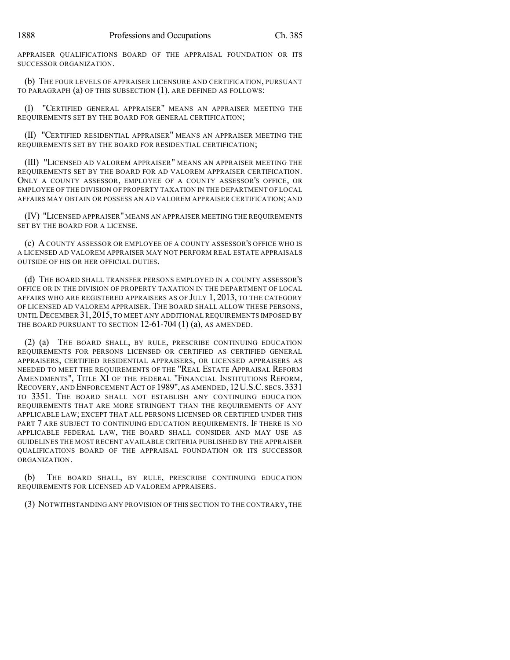APPRAISER QUALIFICATIONS BOARD OF THE APPRAISAL FOUNDATION OR ITS SUCCESSOR ORGANIZATION.

(b) THE FOUR LEVELS OF APPRAISER LICENSURE AND CERTIFICATION, PURSUANT TO PARAGRAPH (a) OF THIS SUBSECTION (1), ARE DEFINED AS FOLLOWS:

(I) "CERTIFIED GENERAL APPRAISER" MEANS AN APPRAISER MEETING THE REQUIREMENTS SET BY THE BOARD FOR GENERAL CERTIFICATION;

(II) "CERTIFIED RESIDENTIAL APPRAISER" MEANS AN APPRAISER MEETING THE REQUIREMENTS SET BY THE BOARD FOR RESIDENTIAL CERTIFICATION;

(III) "LICENSED AD VALOREM APPRAISER" MEANS AN APPRAISER MEETING THE REQUIREMENTS SET BY THE BOARD FOR AD VALOREM APPRAISER CERTIFICATION. ONLY A COUNTY ASSESSOR, EMPLOYEE OF A COUNTY ASSESSOR'S OFFICE, OR EMPLOYEE OF THE DIVISION OF PROPERTY TAXATION IN THE DEPARTMENT OF LOCAL AFFAIRS MAY OBTAIN OR POSSESS AN AD VALOREM APPRAISER CERTIFICATION; AND

(IV) "LICENSED APPRAISER" MEANS AN APPRAISER MEETING THE REQUIREMENTS SET BY THE BOARD FOR A LICENSE.

(c) A COUNTY ASSESSOR OR EMPLOYEE OF A COUNTY ASSESSOR'S OFFICE WHO IS A LICENSED AD VALOREM APPRAISER MAY NOT PERFORM REAL ESTATE APPRAISALS OUTSIDE OF HIS OR HER OFFICIAL DUTIES.

(d) THE BOARD SHALL TRANSFER PERSONS EMPLOYED IN A COUNTY ASSESSOR'S OFFICE OR IN THE DIVISION OF PROPERTY TAXATION IN THE DEPARTMENT OF LOCAL AFFAIRS WHO ARE REGISTERED APPRAISERS AS OF JULY 1, 2013, TO THE CATEGORY OF LICENSED AD VALOREM APPRAISER. THE BOARD SHALL ALLOW THESE PERSONS, UNTIL DECEMBER 31, 2015, TO MEET ANY ADDITIONAL REQUIREMENTS IMPOSED BY THE BOARD PURSUANT TO SECTION 12-61-704 (1) (a), AS AMENDED.

(2) (a) THE BOARD SHALL, BY RULE, PRESCRIBE CONTINUING EDUCATION REQUIREMENTS FOR PERSONS LICENSED OR CERTIFIED AS CERTIFIED GENERAL APPRAISERS, CERTIFIED RESIDENTIAL APPRAISERS, OR LICENSED APPRAISERS AS NEEDED TO MEET THE REQUIREMENTS OF THE "REAL ESTATE APPRAISAL REFORM AMENDMENTS", TITLE XI OF THE FEDERAL "FINANCIAL INSTITUTIONS REFORM, RECOVERY, AND ENFORCEMENT ACT OF 1989", AS AMENDED,12U.S.C. SECS.3331 TO 3351. THE BOARD SHALL NOT ESTABLISH ANY CONTINUING EDUCATION REQUIREMENTS THAT ARE MORE STRINGENT THAN THE REQUIREMENTS OF ANY APPLICABLE LAW; EXCEPT THAT ALL PERSONS LICENSED OR CERTIFIED UNDER THIS PART 7 ARE SUBJECT TO CONTINUING EDUCATION REQUIREMENTS. IF THERE IS NO APPLICABLE FEDERAL LAW, THE BOARD SHALL CONSIDER AND MAY USE AS GUIDELINES THE MOST RECENT AVAILABLE CRITERIA PUBLISHED BY THE APPRAISER QUALIFICATIONS BOARD OF THE APPRAISAL FOUNDATION OR ITS SUCCESSOR ORGANIZATION.

(b) THE BOARD SHALL, BY RULE, PRESCRIBE CONTINUING EDUCATION REQUIREMENTS FOR LICENSED AD VALOREM APPRAISERS.

(3) NOTWITHSTANDING ANY PROVISION OF THIS SECTION TO THE CONTRARY, THE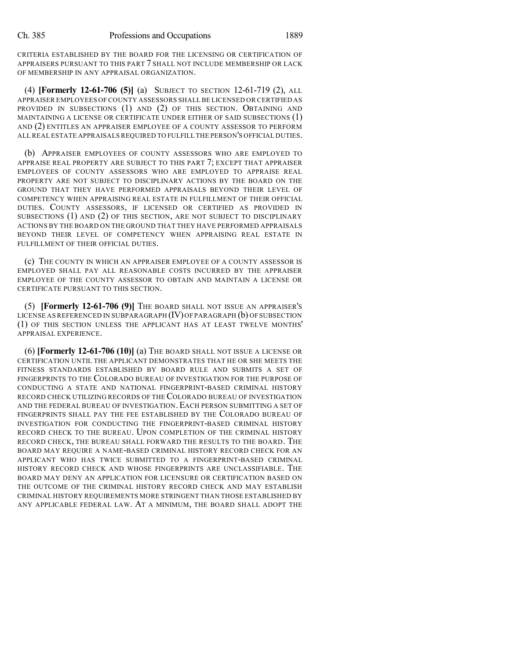CRITERIA ESTABLISHED BY THE BOARD FOR THE LICENSING OR CERTIFICATION OF APPRAISERS PURSUANT TO THIS PART 7 SHALL NOT INCLUDE MEMBERSHIP OR LACK OF MEMBERSHIP IN ANY APPRAISAL ORGANIZATION.

(4) **[Formerly 12-61-706 (5)]** (a) SUBJECT TO SECTION 12-61-719 (2), ALL APPRAISER EMPLOYEES OF COUNTY ASSESSORS SHALL BE LICENSED OR CERTIFIED AS PROVIDED IN SUBSECTIONS (1) AND (2) OF THIS SECTION. OBTAINING AND MAINTAINING A LICENSE OR CERTIFICATE UNDER EITHER OF SAID SUBSECTIONS (1) AND (2) ENTITLES AN APPRAISER EMPLOYEE OF A COUNTY ASSESSOR TO PERFORM ALL REAL ESTATE APPRAISALS REQUIRED TO FULFILL THE PERSON'S OFFICIAL DUTIES.

(b) APPRAISER EMPLOYEES OF COUNTY ASSESSORS WHO ARE EMPLOYED TO APPRAISE REAL PROPERTY ARE SUBJECT TO THIS PART 7; EXCEPT THAT APPRAISER EMPLOYEES OF COUNTY ASSESSORS WHO ARE EMPLOYED TO APPRAISE REAL PROPERTY ARE NOT SUBJECT TO DISCIPLINARY ACTIONS BY THE BOARD ON THE GROUND THAT THEY HAVE PERFORMED APPRAISALS BEYOND THEIR LEVEL OF COMPETENCY WHEN APPRAISING REAL ESTATE IN FULFILLMENT OF THEIR OFFICIAL DUTIES. COUNTY ASSESSORS, IF LICENSED OR CERTIFIED AS PROVIDED IN SUBSECTIONS (1) AND (2) OF THIS SECTION, ARE NOT SUBJECT TO DISCIPLINARY ACTIONS BY THE BOARD ON THE GROUND THAT THEY HAVE PERFORMED APPRAISALS BEYOND THEIR LEVEL OF COMPETENCY WHEN APPRAISING REAL ESTATE IN FULFILLMENT OF THEIR OFFICIAL DUTIES.

(c) THE COUNTY IN WHICH AN APPRAISER EMPLOYEE OF A COUNTY ASSESSOR IS EMPLOYED SHALL PAY ALL REASONABLE COSTS INCURRED BY THE APPRAISER EMPLOYEE OF THE COUNTY ASSESSOR TO OBTAIN AND MAINTAIN A LICENSE OR CERTIFICATE PURSUANT TO THIS SECTION.

(5) **[Formerly 12-61-706 (9)]** THE BOARD SHALL NOT ISSUE AN APPRAISER'S LICENSE AS REFERENCED IN SUBPARAGRAPH (IV) OF PARAGRAPH (b) OF SUBSECTION (1) OF THIS SECTION UNLESS THE APPLICANT HAS AT LEAST TWELVE MONTHS' APPRAISAL EXPERIENCE.

(6) **[Formerly 12-61-706 (10)]** (a) THE BOARD SHALL NOT ISSUE A LICENSE OR CERTIFICATION UNTIL THE APPLICANT DEMONSTRATES THAT HE OR SHE MEETS THE FITNESS STANDARDS ESTABLISHED BY BOARD RULE AND SUBMITS A SET OF FINGERPRINTS TO THE COLORADO BUREAU OF INVESTIGATION FOR THE PURPOSE OF CONDUCTING A STATE AND NATIONAL FINGERPRINT-BASED CRIMINAL HISTORY RECORD CHECK UTILIZING RECORDS OF THE COLORADO BUREAU OF INVESTIGATION AND THE FEDERAL BUREAU OF INVESTIGATION. EACH PERSON SUBMITTING A SET OF FINGERPRINTS SHALL PAY THE FEE ESTABLISHED BY THE COLORADO BUREAU OF INVESTIGATION FOR CONDUCTING THE FINGERPRINT-BASED CRIMINAL HISTORY RECORD CHECK TO THE BUREAU. UPON COMPLETION OF THE CRIMINAL HISTORY RECORD CHECK, THE BUREAU SHALL FORWARD THE RESULTS TO THE BOARD. THE BOARD MAY REQUIRE A NAME-BASED CRIMINAL HISTORY RECORD CHECK FOR AN APPLICANT WHO HAS TWICE SUBMITTED TO A FINGERPRINT-BASED CRIMINAL HISTORY RECORD CHECK AND WHOSE FINGERPRINTS ARE UNCLASSIFIABLE. THE BOARD MAY DENY AN APPLICATION FOR LICENSURE OR CERTIFICATION BASED ON THE OUTCOME OF THE CRIMINAL HISTORY RECORD CHECK AND MAY ESTABLISH CRIMINAL HISTORY REQUIREMENTS MORE STRINGENT THAN THOSE ESTABLISHED BY ANY APPLICABLE FEDERAL LAW. AT A MINIMUM, THE BOARD SHALL ADOPT THE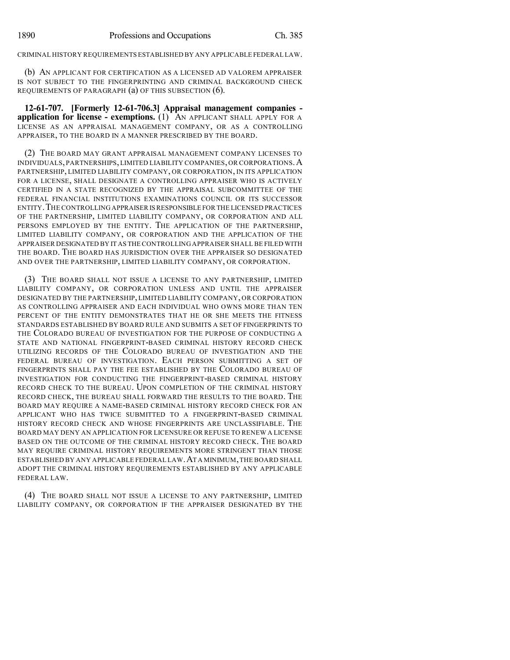CRIMINAL HISTORY REQUIREMENTS ESTABLISHED BY ANY APPLICABLE FEDERAL LAW.

(b) AN APPLICANT FOR CERTIFICATION AS A LICENSED AD VALOREM APPRAISER IS NOT SUBJECT TO THE FINGERPRINTING AND CRIMINAL BACKGROUND CHECK REQUIREMENTS OF PARAGRAPH (a) OF THIS SUBSECTION (6).

**12-61-707. [Formerly 12-61-706.3] Appraisal management companies application for license - exemptions.** (1) AN APPLICANT SHALL APPLY FOR A LICENSE AS AN APPRAISAL MANAGEMENT COMPANY, OR AS A CONTROLLING APPRAISER, TO THE BOARD IN A MANNER PRESCRIBED BY THE BOARD.

(2) THE BOARD MAY GRANT APPRAISAL MANAGEMENT COMPANY LICENSES TO INDIVIDUALS, PARTNERSHIPS,LIMITED LIABILITY COMPANIES, OR CORPORATIONS.A PARTNERSHIP, LIMITED LIABILITY COMPANY, OR CORPORATION, IN ITS APPLICATION FOR A LICENSE, SHALL DESIGNATE A CONTROLLING APPRAISER WHO IS ACTIVELY CERTIFIED IN A STATE RECOGNIZED BY THE APPRAISAL SUBCOMMITTEE OF THE FEDERAL FINANCIAL INSTITUTIONS EXAMINATIONS COUNCIL OR ITS SUCCESSOR ENTITY.THE CONTROLLING APPRAISER ISRESPONSIBLE FOR THE LICENSED PRACTICES OF THE PARTNERSHIP, LIMITED LIABILITY COMPANY, OR CORPORATION AND ALL PERSONS EMPLOYED BY THE ENTITY. THE APPLICATION OF THE PARTNERSHIP, LIMITED LIABILITY COMPANY, OR CORPORATION AND THE APPLICATION OF THE APPRAISER DESIGNATED BY IT AS THE CONTROLLING APPRAISER SHALL BE FILED WITH THE BOARD. THE BOARD HAS JURISDICTION OVER THE APPRAISER SO DESIGNATED AND OVER THE PARTNERSHIP, LIMITED LIABILITY COMPANY, OR CORPORATION.

(3) THE BOARD SHALL NOT ISSUE A LICENSE TO ANY PARTNERSHIP, LIMITED LIABILITY COMPANY, OR CORPORATION UNLESS AND UNTIL THE APPRAISER DESIGNATED BY THE PARTNERSHIP, LIMITED LIABILITY COMPANY, OR CORPORATION AS CONTROLLING APPRAISER AND EACH INDIVIDUAL WHO OWNS MORE THAN TEN PERCENT OF THE ENTITY DEMONSTRATES THAT HE OR SHE MEETS THE FITNESS STANDARDS ESTABLISHED BY BOARD RULE AND SUBMITS A SET OF FINGERPRINTS TO THE COLORADO BUREAU OF INVESTIGATION FOR THE PURPOSE OF CONDUCTING A STATE AND NATIONAL FINGERPRINT-BASED CRIMINAL HISTORY RECORD CHECK UTILIZING RECORDS OF THE COLORADO BUREAU OF INVESTIGATION AND THE FEDERAL BUREAU OF INVESTIGATION. EACH PERSON SUBMITTING A SET OF FINGERPRINTS SHALL PAY THE FEE ESTABLISHED BY THE COLORADO BUREAU OF INVESTIGATION FOR CONDUCTING THE FINGERPRINT-BASED CRIMINAL HISTORY RECORD CHECK TO THE BUREAU. UPON COMPLETION OF THE CRIMINAL HISTORY RECORD CHECK, THE BUREAU SHALL FORWARD THE RESULTS TO THE BOARD. THE BOARD MAY REQUIRE A NAME-BASED CRIMINAL HISTORY RECORD CHECK FOR AN APPLICANT WHO HAS TWICE SUBMITTED TO A FINGERPRINT-BASED CRIMINAL HISTORY RECORD CHECK AND WHOSE FINGERPRINTS ARE UNCLASSIFIABLE. THE BOARD MAY DENY AN APPLICATION FOR LICENSURE OR REFUSE TO RENEW A LICENSE BASED ON THE OUTCOME OF THE CRIMINAL HISTORY RECORD CHECK. THE BOARD MAY REQUIRE CRIMINAL HISTORY REQUIREMENTS MORE STRINGENT THAN THOSE ESTABLISHED BY ANY APPLICABLE FEDERAL LAW.AT A MINIMUM,THE BOARD SHALL ADOPT THE CRIMINAL HISTORY REQUIREMENTS ESTABLISHED BY ANY APPLICABLE FEDERAL LAW.

(4) THE BOARD SHALL NOT ISSUE A LICENSE TO ANY PARTNERSHIP, LIMITED LIABILITY COMPANY, OR CORPORATION IF THE APPRAISER DESIGNATED BY THE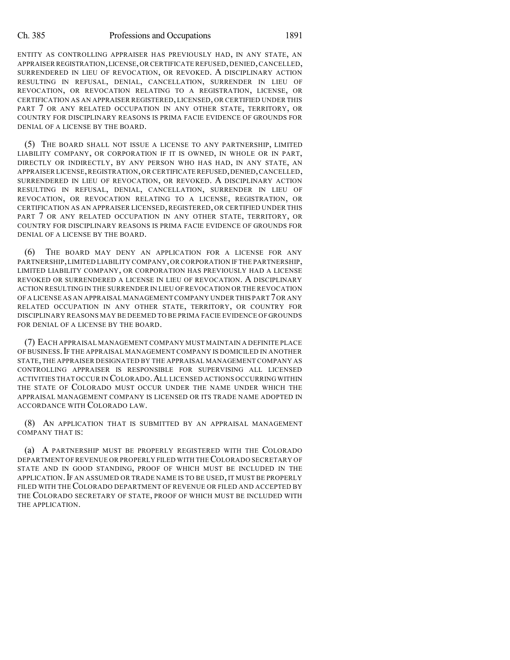ENTITY AS CONTROLLING APPRAISER HAS PREVIOUSLY HAD, IN ANY STATE, AN APPRAISER REGISTRATION, LICENSE, OR CERTIFICATE REFUSED, DENIED, CANCELLED, SURRENDERED IN LIEU OF REVOCATION, OR REVOKED. A DISCIPLINARY ACTION RESULTING IN REFUSAL, DENIAL, CANCELLATION, SURRENDER IN LIEU OF REVOCATION, OR REVOCATION RELATING TO A REGISTRATION, LICENSE, OR CERTIFICATION AS AN APPRAISER REGISTERED, LICENSED, OR CERTIFIED UNDER THIS PART 7 OR ANY RELATED OCCUPATION IN ANY OTHER STATE, TERRITORY, OR COUNTRY FOR DISCIPLINARY REASONS IS PRIMA FACIE EVIDENCE OF GROUNDS FOR DENIAL OF A LICENSE BY THE BOARD.

(5) THE BOARD SHALL NOT ISSUE A LICENSE TO ANY PARTNERSHIP, LIMITED LIABILITY COMPANY, OR CORPORATION IF IT IS OWNED, IN WHOLE OR IN PART, DIRECTLY OR INDIRECTLY, BY ANY PERSON WHO HAS HAD, IN ANY STATE, AN APPRAISER LICENSE, REGISTRATION, OR CERTIFICATE REFUSED, DENIED, CANCELLED, SURRENDERED IN LIEU OF REVOCATION, OR REVOKED. A DISCIPLINARY ACTION RESULTING IN REFUSAL, DENIAL, CANCELLATION, SURRENDER IN LIEU OF REVOCATION, OR REVOCATION RELATING TO A LICENSE, REGISTRATION, OR CERTIFICATION AS AN APPRAISER LICENSED, REGISTERED, OR CERTIFIED UNDER THIS PART 7 OR ANY RELATED OCCUPATION IN ANY OTHER STATE, TERRITORY, OR COUNTRY FOR DISCIPLINARY REASONS IS PRIMA FACIE EVIDENCE OF GROUNDS FOR DENIAL OF A LICENSE BY THE BOARD.

(6) THE BOARD MAY DENY AN APPLICATION FOR A LICENSE FOR ANY PARTNERSHIP,LIMITED LIABILITY COMPANY,OR CORPORATION IF THE PARTNERSHIP, LIMITED LIABILITY COMPANY, OR CORPORATION HAS PREVIOUSLY HAD A LICENSE REVOKED OR SURRENDERED A LICENSE IN LIEU OF REVOCATION. A DISCIPLINARY ACTION RESULTING IN THE SURRENDER IN LIEU OF REVOCATION OR THE REVOCATION OF A LICENSE AS AN APPRAISAL MANAGEMENT COMPANY UNDER THIS PART 7OR ANY RELATED OCCUPATION IN ANY OTHER STATE, TERRITORY, OR COUNTRY FOR DISCIPLINARY REASONS MAY BE DEEMED TO BE PRIMA FACIE EVIDENCE OF GROUNDS FOR DENIAL OF A LICENSE BY THE BOARD.

(7) EACH APPRAISAL MANAGEMENT COMPANY MUST MAINTAIN A DEFINITE PLACE OF BUSINESS.IF THE APPRAISAL MANAGEMENT COMPANY IS DOMICILED IN ANOTHER STATE,THE APPRAISER DESIGNATED BY THE APPRAISAL MANAGEMENT COMPANY AS CONTROLLING APPRAISER IS RESPONSIBLE FOR SUPERVISING ALL LICENSED ACTIVITIES THAT OCCUR IN COLORADO.ALL LICENSED ACTIONS OCCURRING WITHIN THE STATE OF COLORADO MUST OCCUR UNDER THE NAME UNDER WHICH THE APPRAISAL MANAGEMENT COMPANY IS LICENSED OR ITS TRADE NAME ADOPTED IN ACCORDANCE WITH COLORADO LAW.

(8) AN APPLICATION THAT IS SUBMITTED BY AN APPRAISAL MANAGEMENT COMPANY THAT IS:

(a) A PARTNERSHIP MUST BE PROPERLY REGISTERED WITH THE COLORADO DEPARTMENT OF REVENUE OR PROPERLY FILED WITH THECOLORADO SECRETARY OF STATE AND IN GOOD STANDING, PROOF OF WHICH MUST BE INCLUDED IN THE APPLICATION. IF AN ASSUMED OR TRADE NAME IS TO BE USED, IT MUST BE PROPERLY FILED WITH THE COLORADO DEPARTMENT OF REVENUE OR FILED AND ACCEPTED BY THE COLORADO SECRETARY OF STATE, PROOF OF WHICH MUST BE INCLUDED WITH THE APPLICATION.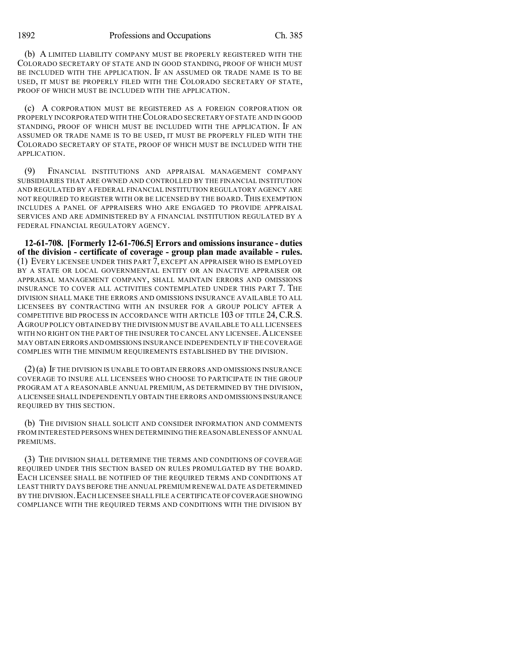(b) A LIMITED LIABILITY COMPANY MUST BE PROPERLY REGISTERED WITH THE COLORADO SECRETARY OF STATE AND IN GOOD STANDING, PROOF OF WHICH MUST BE INCLUDED WITH THE APPLICATION. IF AN ASSUMED OR TRADE NAME IS TO BE USED, IT MUST BE PROPERLY FILED WITH THE COLORADO SECRETARY OF STATE, PROOF OF WHICH MUST BE INCLUDED WITH THE APPLICATION.

(c) A CORPORATION MUST BE REGISTERED AS A FOREIGN CORPORATION OR PROPERLY INCORPORATED WITH THECOLORADO SECRETARY OFSTATE AND IN GOOD STANDING, PROOF OF WHICH MUST BE INCLUDED WITH THE APPLICATION. IF AN ASSUMED OR TRADE NAME IS TO BE USED, IT MUST BE PROPERLY FILED WITH THE COLORADO SECRETARY OF STATE, PROOF OF WHICH MUST BE INCLUDED WITH THE APPLICATION.

(9) FINANCIAL INSTITUTIONS AND APPRAISAL MANAGEMENT COMPANY SUBSIDIARIES THAT ARE OWNED AND CONTROLLED BY THE FINANCIAL INSTITUTION AND REGULATED BY A FEDERAL FINANCIAL INSTITUTION REGULATORY AGENCY ARE NOT REQUIRED TO REGISTER WITH OR BE LICENSED BY THE BOARD. THIS EXEMPTION INCLUDES A PANEL OF APPRAISERS WHO ARE ENGAGED TO PROVIDE APPRAISAL SERVICES AND ARE ADMINISTERED BY A FINANCIAL INSTITUTION REGULATED BY A FEDERAL FINANCIAL REGULATORY AGENCY.

**12-61-708. [Formerly 12-61-706.5] Errors and omissions insurance - duties of the division - certificate of coverage - group plan made available - rules.** (1) EVERY LICENSEE UNDER THIS PART 7, EXCEPT AN APPRAISER WHO IS EMPLOYED BY A STATE OR LOCAL GOVERNMENTAL ENTITY OR AN INACTIVE APPRAISER OR APPRAISAL MANAGEMENT COMPANY, SHALL MAINTAIN ERRORS AND OMISSIONS INSURANCE TO COVER ALL ACTIVITIES CONTEMPLATED UNDER THIS PART 7. THE DIVISION SHALL MAKE THE ERRORS AND OMISSIONS INSURANCE AVAILABLE TO ALL LICENSEES BY CONTRACTING WITH AN INSURER FOR A GROUP POLICY AFTER A COMPETITIVE BID PROCESS IN ACCORDANCE WITH ARTICLE 103 OF TITLE 24, C.R.S. AGROUP POLICY OBTAINED BY THE DIVISION MUST BE AVAILABLE TO ALL LICENSEES WITH NO RIGHT ON THE PART OF THE INSURER TO CANCEL ANY LICENSEE. A LICENSEE MAY OBTAIN ERRORS AND OMISSIONS INSURANCE INDEPENDENTLY IF THE COVERAGE COMPLIES WITH THE MINIMUM REQUIREMENTS ESTABLISHED BY THE DIVISION.

(2)(a) IF THE DIVISION IS UNABLE TO OBTAIN ERRORS AND OMISSIONS INSURANCE COVERAGE TO INSURE ALL LICENSEES WHO CHOOSE TO PARTICIPATE IN THE GROUP PROGRAM AT A REASONABLE ANNUAL PREMIUM, AS DETERMINED BY THE DIVISION, A LICENSEE SHALL INDEPENDENTLY OBTAIN THE ERRORS AND OMISSIONS INSURANCE REQUIRED BY THIS SECTION.

(b) THE DIVISION SHALL SOLICIT AND CONSIDER INFORMATION AND COMMENTS FROM INTERESTED PERSONS WHEN DETERMINING THE REASONABLENESS OF ANNUAL PREMIUMS.

(3) THE DIVISION SHALL DETERMINE THE TERMS AND CONDITIONS OF COVERAGE REQUIRED UNDER THIS SECTION BASED ON RULES PROMULGATED BY THE BOARD. EACH LICENSEE SHALL BE NOTIFIED OF THE REQUIRED TERMS AND CONDITIONS AT LEAST THIRTY DAYS BEFORE THE ANNUAL PREMIUM RENEWAL DATE AS DETERMINED BY THE DIVISION.EACH LICENSEE SHALL FILE A CERTIFICATE OFCOVERAGE SHOWING COMPLIANCE WITH THE REQUIRED TERMS AND CONDITIONS WITH THE DIVISION BY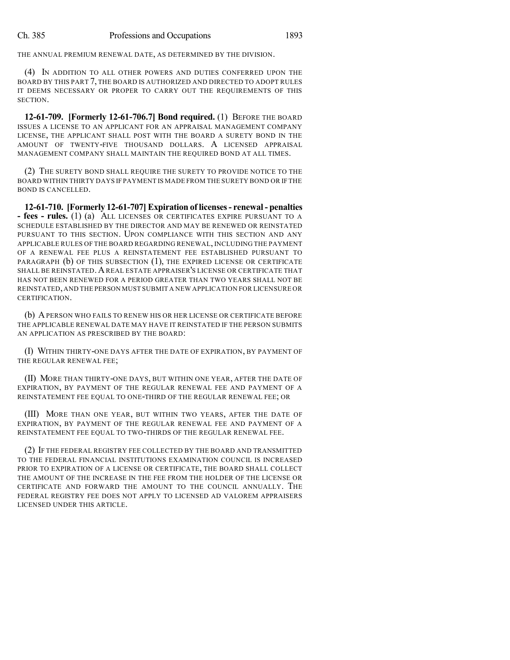THE ANNUAL PREMIUM RENEWAL DATE, AS DETERMINED BY THE DIVISION.

(4) IN ADDITION TO ALL OTHER POWERS AND DUTIES CONFERRED UPON THE BOARD BY THIS PART 7, THE BOARD IS AUTHORIZED AND DIRECTED TO ADOPT RULES IT DEEMS NECESSARY OR PROPER TO CARRY OUT THE REQUIREMENTS OF THIS SECTION.

**12-61-709. [Formerly 12-61-706.7] Bond required.** (1) BEFORE THE BOARD ISSUES A LICENSE TO AN APPLICANT FOR AN APPRAISAL MANAGEMENT COMPANY LICENSE, THE APPLICANT SHALL POST WITH THE BOARD A SURETY BOND IN THE AMOUNT OF TWENTY-FIVE THOUSAND DOLLARS. A LICENSED APPRAISAL MANAGEMENT COMPANY SHALL MAINTAIN THE REQUIRED BOND AT ALL TIMES.

(2) THE SURETY BOND SHALL REQUIRE THE SURETY TO PROVIDE NOTICE TO THE BOARD WITHIN THIRTY DAYS IF PAYMENT IS MADE FROM THE SURETY BOND OR IF THE BOND IS CANCELLED.

**12-61-710. [Formerly 12-61-707] Expiration of licenses- renewal - penalties - fees - rules.** (1) (a) ALL LICENSES OR CERTIFICATES EXPIRE PURSUANT TO A SCHEDULE ESTABLISHED BY THE DIRECTOR AND MAY BE RENEWED OR REINSTATED PURSUANT TO THIS SECTION. UPON COMPLIANCE WITH THIS SECTION AND ANY APPLICABLE RULES OF THE BOARD REGARDING RENEWAL, INCLUDING THE PAYMENT OF A RENEWAL FEE PLUS A REINSTATEMENT FEE ESTABLISHED PURSUANT TO PARAGRAPH (b) OF THIS SUBSECTION (1), THE EXPIRED LICENSE OR CERTIFICATE SHALL BE REINSTATED. A REAL ESTATE APPRAISER'S LICENSE OR CERTIFICATE THAT HAS NOT BEEN RENEWED FOR A PERIOD GREATER THAN TWO YEARS SHALL NOT BE REINSTATED,AND THE PERSON MUST SUBMIT A NEW APPLICATION FOR LICENSURE OR CERTIFICATION.

(b) APERSON WHO FAILS TO RENEW HIS OR HER LICENSE OR CERTIFICATE BEFORE THE APPLICABLE RENEWAL DATE MAY HAVE IT REINSTATED IF THE PERSON SUBMITS AN APPLICATION AS PRESCRIBED BY THE BOARD:

(I) WITHIN THIRTY-ONE DAYS AFTER THE DATE OF EXPIRATION, BY PAYMENT OF THE REGULAR RENEWAL FEE;

(II) MORE THAN THIRTY-ONE DAYS, BUT WITHIN ONE YEAR, AFTER THE DATE OF EXPIRATION, BY PAYMENT OF THE REGULAR RENEWAL FEE AND PAYMENT OF A REINSTATEMENT FEE EQUAL TO ONE-THIRD OF THE REGULAR RENEWAL FEE; OR

(III) MORE THAN ONE YEAR, BUT WITHIN TWO YEARS, AFTER THE DATE OF EXPIRATION, BY PAYMENT OF THE REGULAR RENEWAL FEE AND PAYMENT OF A REINSTATEMENT FEE EQUAL TO TWO-THIRDS OF THE REGULAR RENEWAL FEE.

(2) IF THE FEDERAL REGISTRY FEE COLLECTED BY THE BOARD AND TRANSMITTED TO THE FEDERAL FINANCIAL INSTITUTIONS EXAMINATION COUNCIL IS INCREASED PRIOR TO EXPIRATION OF A LICENSE OR CERTIFICATE, THE BOARD SHALL COLLECT THE AMOUNT OF THE INCREASE IN THE FEE FROM THE HOLDER OF THE LICENSE OR CERTIFICATE AND FORWARD THE AMOUNT TO THE COUNCIL ANNUALLY. THE FEDERAL REGISTRY FEE DOES NOT APPLY TO LICENSED AD VALOREM APPRAISERS LICENSED UNDER THIS ARTICLE.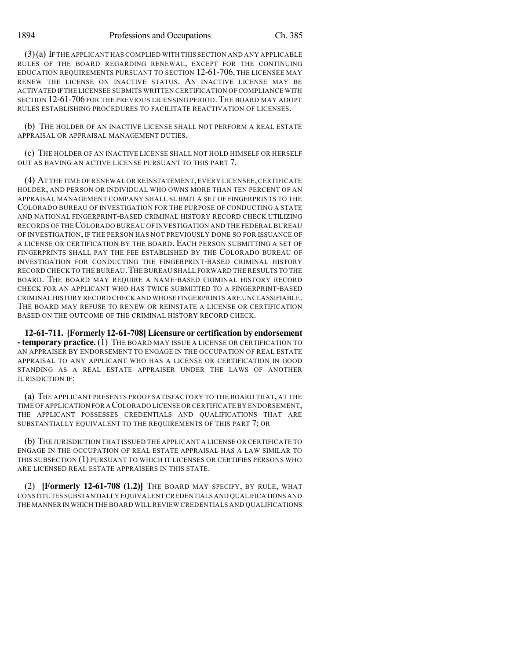1894 Professions and Occupations Ch. 385

(3)(a) IF THE APPLICANT HAS COMPLIED WITH THIS SECTION AND ANY APPLICABLE RULES OF THE BOARD REGARDING RENEWAL, EXCEPT FOR THE CONTINUING EDUCATION REQUIREMENTS PURSUANT TO SECTION 12-61-706, THE LICENSEE MAY RENEW THE LICENSE ON INACTIVE STATUS. AN INACTIVE LICENSE MAY BE ACTIVATED IFTHE LICENSEE SUBMITS WRITTEN CERTIFICATION OF COMPLIANCE WITH SECTION 12-61-706 FOR THE PREVIOUS LICENSING PERIOD. THE BOARD MAY ADOPT RULES ESTABLISHING PROCEDURES TO FACILITATE REACTIVATION OF LICENSES.

(b) THE HOLDER OF AN INACTIVE LICENSE SHALL NOT PERFORM A REAL ESTATE APPRAISAL OR APPRAISAL MANAGEMENT DUTIES.

(c) THE HOLDER OF AN INACTIVE LICENSE SHALL NOT HOLD HIMSELF OR HERSELF OUT AS HAVING AN ACTIVE LICENSE PURSUANT TO THIS PART 7.

(4) AT THE TIME OF RENEWAL OR REINSTATEMENT,EVERY LICENSEE,CERTIFICATE HOLDER, AND PERSON OR INDIVIDUAL WHO OWNS MORE THAN TEN PERCENT OF AN APPRAISAL MANAGEMENT COMPANY SHALL SUBMIT A SET OF FINGERPRINTS TO THE COLORADO BUREAU OF INVESTIGATION FOR THE PURPOSE OF CONDUCTING A STATE AND NATIONAL FINGERPRINT-BASED CRIMINAL HISTORY RECORD CHECK UTILIZING RECORDS OF THECOLORADO BUREAU OF INVESTIGATION AND THE FEDERAL BUREAU OF INVESTIGATION, IF THE PERSON HAS NOT PREVIOUSLY DONE SO FOR ISSUANCE OF A LICENSE OR CERTIFICATION BY THE BOARD. EACH PERSON SUBMITTING A SET OF FINGERPRINTS SHALL PAY THE FEE ESTABLISHED BY THE COLORADO BUREAU OF INVESTIGATION FOR CONDUCTING THE FINGERPRINT-BASED CRIMINAL HISTORY RECORD CHECK TO THE BUREAU.THE BUREAU SHALL FORWARD THE RESULTS TO THE BOARD. THE BOARD MAY REQUIRE A NAME-BASED CRIMINAL HISTORY RECORD CHECK FOR AN APPLICANT WHO HAS TWICE SUBMITTED TO A FINGERPRINT-BASED CRIMINAL HISTORY RECORD CHECK AND WHOSE FINGERPRINTS ARE UNCLASSIFIABLE. THE BOARD MAY REFUSE TO RENEW OR REINSTATE A LICENSE OR CERTIFICATION BASED ON THE OUTCOME OF THE CRIMINAL HISTORY RECORD CHECK.

**12-61-711. [Formerly 12-61-708] Licensure or certification by endorsement - temporary practice.** (1) THE BOARD MAY ISSUE A LICENSE OR CERTIFICATION TO AN APPRAISER BY ENDORSEMENT TO ENGAGE IN THE OCCUPATION OF REAL ESTATE APPRAISAL TO ANY APPLICANT WHO HAS A LICENSE OR CERTIFICATION IN GOOD STANDING AS A REAL ESTATE APPRAISER UNDER THE LAWS OF ANOTHER JURISDICTION IF:

(a) THE APPLICANT PRESENTS PROOF SATISFACTORY TO THE BOARD THAT, AT THE TIME OF APPLICATION FOR A COLORADO LICENSE OR CERTIFICATE BY ENDORSEMENT, THE APPLICANT POSSESSES CREDENTIALS AND QUALIFICATIONS THAT ARE SUBSTANTIALLY EQUIVALENT TO THE REQUIREMENTS OF THIS PART 7; OR

(b) THE JURISDICTION THAT ISSUED THE APPLICANT A LICENSE OR CERTIFICATE TO ENGAGE IN THE OCCUPATION OF REAL ESTATE APPRAISAL HAS A LAW SIMILAR TO THIS SUBSECTION (1) PURSUANT TO WHICH IT LICENSES OR CERTIFIES PERSONS WHO ARE LICENSED REAL ESTATE APPRAISERS IN THIS STATE.

(2) **[Formerly 12-61-708 (1.2)]** THE BOARD MAY SPECIFY, BY RULE, WHAT CONSTITUTES SUBSTANTIALLY EQUIVALENTCREDENTIALS AND QUALIFICATIONS AND THE MANNER IN WHICH THE BOARD WILLREVIEW CREDENTIALS AND QUALIFICATIONS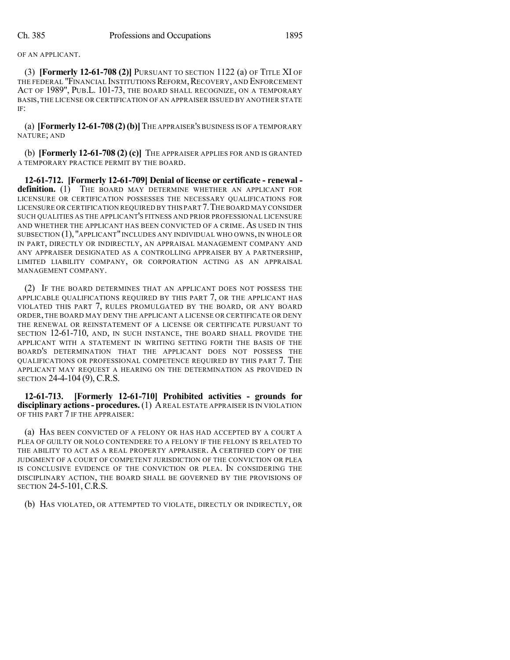OF AN APPLICANT.

(3) **[Formerly 12-61-708 (2)]** PURSUANT TO SECTION 1122 (a) OF TITLE XI OF THE FEDERAL "FINANCIAL INSTITUTIONS REFORM, RECOVERY, AND ENFORCEMENT ACT OF 1989", PUB.L. 101-73, THE BOARD SHALL RECOGNIZE, ON A TEMPORARY BASIS, THE LICENSE OR CERTIFICATION OF AN APPRAISER ISSUED BY ANOTHER STATE IF:

(a) **[Formerly 12-61-708 (2)(b)]**THE APPRAISER'S BUSINESS IS OF A TEMPORARY NATURE; AND

(b) **[Formerly 12-61-708 (2) (c)]** THE APPRAISER APPLIES FOR AND IS GRANTED A TEMPORARY PRACTICE PERMIT BY THE BOARD.

**12-61-712. [Formerly 12-61-709] Denial of license or certificate - renewal definition.** (1) THE BOARD MAY DETERMINE WHETHER AN APPLICANT FOR LICENSURE OR CERTIFICATION POSSESSES THE NECESSARY QUALIFICATIONS FOR LICENSURE OR CERTIFICATION REQUIRED BY THIS PART 7.THE BOARD MAY CONSIDER SUCH QUALITIES AS THE APPLICANT'S FITNESS AND PRIOR PROFESSIONAL LICENSURE AND WHETHER THE APPLICANT HAS BEEN CONVICTED OF A CRIME. AS USED IN THIS SUBSECTION (1), "APPLICANT" INCLUDES ANY INDIVIDUAL WHO OWNS,IN WHOLE OR IN PART, DIRECTLY OR INDIRECTLY, AN APPRAISAL MANAGEMENT COMPANY AND ANY APPRAISER DESIGNATED AS A CONTROLLING APPRAISER BY A PARTNERSHIP, LIMITED LIABILITY COMPANY, OR CORPORATION ACTING AS AN APPRAISAL MANAGEMENT COMPANY.

(2) IF THE BOARD DETERMINES THAT AN APPLICANT DOES NOT POSSESS THE APPLICABLE QUALIFICATIONS REQUIRED BY THIS PART 7, OR THE APPLICANT HAS VIOLATED THIS PART 7, RULES PROMULGATED BY THE BOARD, OR ANY BOARD ORDER, THE BOARD MAY DENY THE APPLICANT A LICENSE OR CERTIFICATE OR DENY THE RENEWAL OR REINSTATEMENT OF A LICENSE OR CERTIFICATE PURSUANT TO SECTION 12-61-710, AND, IN SUCH INSTANCE, THE BOARD SHALL PROVIDE THE APPLICANT WITH A STATEMENT IN WRITING SETTING FORTH THE BASIS OF THE BOARD'S DETERMINATION THAT THE APPLICANT DOES NOT POSSESS THE QUALIFICATIONS OR PROFESSIONAL COMPETENCE REQUIRED BY THIS PART 7. THE APPLICANT MAY REQUEST A HEARING ON THE DETERMINATION AS PROVIDED IN SECTION 24-4-104 (9), C.R.S.

**12-61-713. [Formerly 12-61-710] Prohibited activities - grounds for disciplinary actions- procedures.** (1) AREAL ESTATE APPRAISER IS IN VIOLATION OF THIS PART 7 IF THE APPRAISER:

(a) HAS BEEN CONVICTED OF A FELONY OR HAS HAD ACCEPTED BY A COURT A PLEA OF GUILTY OR NOLO CONTENDERE TO A FELONY IF THE FELONY IS RELATED TO THE ABILITY TO ACT AS A REAL PROPERTY APPRAISER. A CERTIFIED COPY OF THE JUDGMENT OF A COURT OF COMPETENT JURISDICTION OF THE CONVICTION OR PLEA IS CONCLUSIVE EVIDENCE OF THE CONVICTION OR PLEA. IN CONSIDERING THE DISCIPLINARY ACTION, THE BOARD SHALL BE GOVERNED BY THE PROVISIONS OF SECTION 24-5-101, C.R.S.

(b) HAS VIOLATED, OR ATTEMPTED TO VIOLATE, DIRECTLY OR INDIRECTLY, OR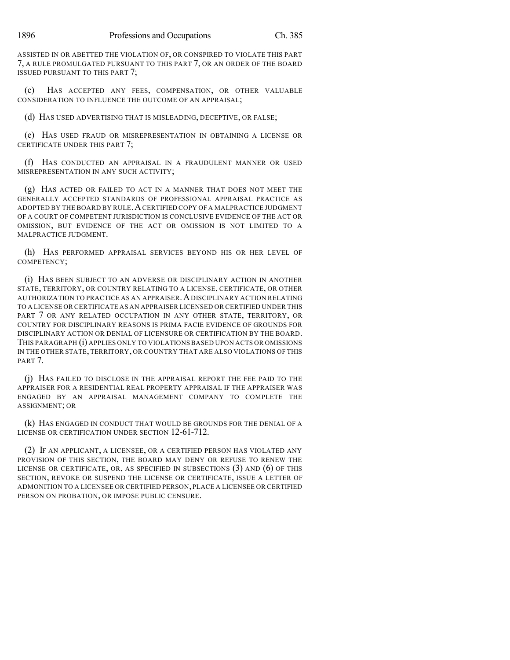ASSISTED IN OR ABETTED THE VIOLATION OF, OR CONSPIRED TO VIOLATE THIS PART 7, A RULE PROMULGATED PURSUANT TO THIS PART 7, OR AN ORDER OF THE BOARD ISSUED PURSUANT TO THIS PART 7;

(c) HAS ACCEPTED ANY FEES, COMPENSATION, OR OTHER VALUABLE CONSIDERATION TO INFLUENCE THE OUTCOME OF AN APPRAISAL;

(d) HAS USED ADVERTISING THAT IS MISLEADING, DECEPTIVE, OR FALSE;

(e) HAS USED FRAUD OR MISREPRESENTATION IN OBTAINING A LICENSE OR CERTIFICATE UNDER THIS PART 7;

(f) HAS CONDUCTED AN APPRAISAL IN A FRAUDULENT MANNER OR USED MISREPRESENTATION IN ANY SUCH ACTIVITY;

(g) HAS ACTED OR FAILED TO ACT IN A MANNER THAT DOES NOT MEET THE GENERALLY ACCEPTED STANDARDS OF PROFESSIONAL APPRAISAL PRACTICE AS ADOPTED BY THE BOARD BY RULE. A CERTIFIED COPY OF A MALPRACTICE JUDGMENT OF A COURT OF COMPETENT JURISDICTION IS CONCLUSIVE EVIDENCE OF THE ACT OR OMISSION, BUT EVIDENCE OF THE ACT OR OMISSION IS NOT LIMITED TO A MALPRACTICE JUDGMENT.

(h) HAS PERFORMED APPRAISAL SERVICES BEYOND HIS OR HER LEVEL OF COMPETENCY;

(i) HAS BEEN SUBJECT TO AN ADVERSE OR DISCIPLINARY ACTION IN ANOTHER STATE, TERRITORY, OR COUNTRY RELATING TO A LICENSE, CERTIFICATE, OR OTHER AUTHORIZATION TO PRACTICE AS AN APPRAISER.ADISCIPLINARY ACTION RELATING TO A LICENSE OR CERTIFICATE AS AN APPRAISER LICENSED OR CERTIFIED UNDER THIS PART 7 OR ANY RELATED OCCUPATION IN ANY OTHER STATE, TERRITORY, OR COUNTRY FOR DISCIPLINARY REASONS IS PRIMA FACIE EVIDENCE OF GROUNDS FOR DISCIPLINARY ACTION OR DENIAL OF LICENSURE OR CERTIFICATION BY THE BOARD. THIS PARAGRAPH (i) APPLIES ONLY TO VIOLATIONS BASED UPON ACTS OR OMISSIONS IN THE OTHER STATE, TERRITORY, OR COUNTRY THAT ARE ALSO VIOLATIONS OF THIS PART<sub>7</sub>.

(j) HAS FAILED TO DISCLOSE IN THE APPRAISAL REPORT THE FEE PAID TO THE APPRAISER FOR A RESIDENTIAL REAL PROPERTY APPRAISAL IF THE APPRAISER WAS ENGAGED BY AN APPRAISAL MANAGEMENT COMPANY TO COMPLETE THE ASSIGNMENT; OR

(k) HAS ENGAGED IN CONDUCT THAT WOULD BE GROUNDS FOR THE DENIAL OF A LICENSE OR CERTIFICATION UNDER SECTION 12-61-712.

(2) IF AN APPLICANT, A LICENSEE, OR A CERTIFIED PERSON HAS VIOLATED ANY PROVISION OF THIS SECTION, THE BOARD MAY DENY OR REFUSE TO RENEW THE LICENSE OR CERTIFICATE, OR, AS SPECIFIED IN SUBSECTIONS (3) AND (6) OF THIS SECTION, REVOKE OR SUSPEND THE LICENSE OR CERTIFICATE, ISSUE A LETTER OF ADMONITION TO A LICENSEE OR CERTIFIED PERSON, PLACE A LICENSEE OR CERTIFIED PERSON ON PROBATION, OR IMPOSE PUBLIC CENSURE.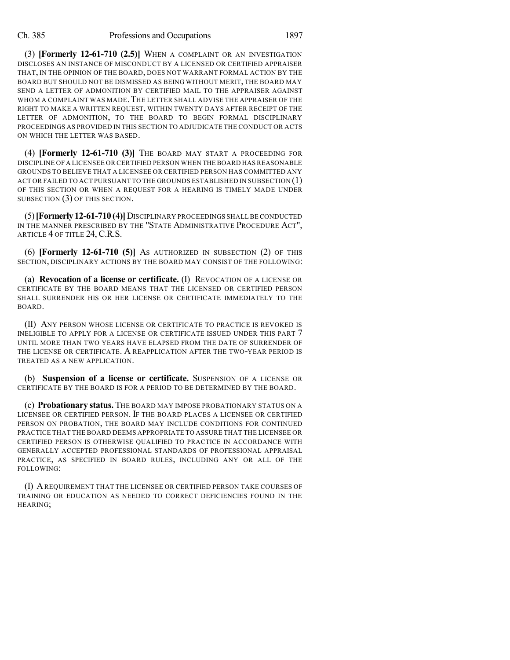(3) **[Formerly 12-61-710 (2.5)]** WHEN A COMPLAINT OR AN INVESTIGATION DISCLOSES AN INSTANCE OF MISCONDUCT BY A LICENSED OR CERTIFIED APPRAISER THAT, IN THE OPINION OF THE BOARD, DOES NOT WARRANT FORMAL ACTION BY THE BOARD BUT SHOULD NOT BE DISMISSED AS BEING WITHOUT MERIT, THE BOARD MAY SEND A LETTER OF ADMONITION BY CERTIFIED MAIL TO THE APPRAISER AGAINST WHOM A COMPLAINT WAS MADE. THE LETTER SHALL ADVISE THE APPRAISER OF THE RIGHT TO MAKE A WRITTEN REQUEST, WITHIN TWENTY DAYS AFTER RECEIPT OF THE LETTER OF ADMONITION, TO THE BOARD TO BEGIN FORMAL DISCIPLINARY PROCEEDINGS AS PROVIDED IN THIS SECTION TO ADJUDICATE THE CONDUCT OR ACTS ON WHICH THE LETTER WAS BASED.

(4) **[Formerly 12-61-710 (3)]** THE BOARD MAY START A PROCEEDING FOR DISCIPLINE OF A LICENSEE OR CERTIFIED PERSON WHEN THE BOARD HASREASONABLE GROUNDS TO BELIEVE THAT A LICENSEE OR CERTIFIED PERSON HAS COMMITTED ANY ACT OR FAILED TO ACT PURSUANT TO THE GROUNDS ESTABLISHED IN SUBSECTION (1) OF THIS SECTION OR WHEN A REQUEST FOR A HEARING IS TIMELY MADE UNDER SUBSECTION (3) OF THIS SECTION.

(5)**[Formerly12-61-710 (4)]**DISCIPLINARY PROCEEDINGS SHALL BECONDUCTED IN THE MANNER PRESCRIBED BY THE "STATE ADMINISTRATIVE PROCEDURE ACT", ARTICLE 4 OF TITLE 24, C.R.S.

(6) **[Formerly 12-61-710 (5)]** AS AUTHORIZED IN SUBSECTION (2) OF THIS SECTION, DISCIPLINARY ACTIONS BY THE BOARD MAY CONSIST OF THE FOLLOWING:

(a) **Revocation of a license or certificate.** (I) REVOCATION OF A LICENSE OR CERTIFICATE BY THE BOARD MEANS THAT THE LICENSED OR CERTIFIED PERSON SHALL SURRENDER HIS OR HER LICENSE OR CERTIFICATE IMMEDIATELY TO THE BOARD.

(II) ANY PERSON WHOSE LICENSE OR CERTIFICATE TO PRACTICE IS REVOKED IS INELIGIBLE TO APPLY FOR A LICENSE OR CERTIFICATE ISSUED UNDER THIS PART 7 UNTIL MORE THAN TWO YEARS HAVE ELAPSED FROM THE DATE OF SURRENDER OF THE LICENSE OR CERTIFICATE. A REAPPLICATION AFTER THE TWO-YEAR PERIOD IS TREATED AS A NEW APPLICATION.

(b) **Suspension of a license or certificate.** SUSPENSION OF A LICENSE OR CERTIFICATE BY THE BOARD IS FOR A PERIOD TO BE DETERMINED BY THE BOARD.

(c) **Probationary status.** THE BOARD MAY IMPOSE PROBATIONARY STATUS ON A LICENSEE OR CERTIFIED PERSON. IF THE BOARD PLACES A LICENSEE OR CERTIFIED PERSON ON PROBATION, THE BOARD MAY INCLUDE CONDITIONS FOR CONTINUED PRACTICE THAT THE BOARD DEEMS APPROPRIATE TO ASSURE THAT THE LICENSEE OR CERTIFIED PERSON IS OTHERWISE QUALIFIED TO PRACTICE IN ACCORDANCE WITH GENERALLY ACCEPTED PROFESSIONAL STANDARDS OF PROFESSIONAL APPRAISAL PRACTICE, AS SPECIFIED IN BOARD RULES, INCLUDING ANY OR ALL OF THE FOLLOWING:

(I) AREQUIREMENT THAT THE LICENSEE OR CERTIFIED PERSON TAKE COURSES OF TRAINING OR EDUCATION AS NEEDED TO CORRECT DEFICIENCIES FOUND IN THE HEARING;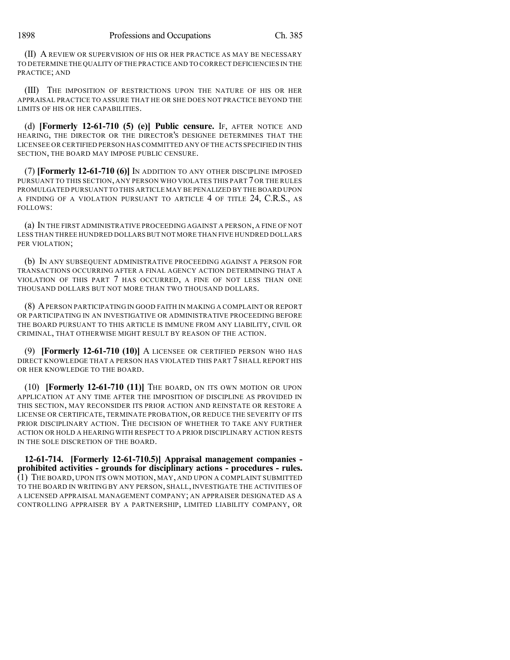(II) A REVIEW OR SUPERVISION OF HIS OR HER PRACTICE AS MAY BE NECESSARY TO DETERMINE THE QUALITY OFTHE PRACTICE AND TO CORRECT DEFICIENCIES IN THE PRACTICE; AND

(III) THE IMPOSITION OF RESTRICTIONS UPON THE NATURE OF HIS OR HER APPRAISAL PRACTICE TO ASSURE THAT HE OR SHE DOES NOT PRACTICE BEYOND THE LIMITS OF HIS OR HER CAPABILITIES.

(d) **[Formerly 12-61-710 (5) (e)] Public censure.** IF, AFTER NOTICE AND HEARING, THE DIRECTOR OR THE DIRECTOR'S DESIGNEE DETERMINES THAT THE LICENSEE OR CERTIFIED PERSON HAS COMMITTED ANY OF THE ACTS SPECIFIED IN THIS SECTION, THE BOARD MAY IMPOSE PUBLIC CENSURE.

(7) **[Formerly 12-61-710 (6)]** IN ADDITION TO ANY OTHER DISCIPLINE IMPOSED PURSUANT TO THIS SECTION, ANY PERSON WHO VIOLATES THIS PART 7 OR THE RULES PROMULGATED PURSUANT TO THIS ARTICLE MAY BE PENALIZED BY THE BOARD UPON A FINDING OF A VIOLATION PURSUANT TO ARTICLE 4 OF TITLE 24, C.R.S., AS FOLLOWS:

(a) IN THE FIRST ADMINISTRATIVE PROCEEDING AGAINST A PERSON, A FINE OF NOT LESS THAN THREE HUNDRED DOLLARSBUT NOT MORE THAN FIVE HUNDRED DOLLARS PER VIOLATION;

(b) IN ANY SUBSEQUENT ADMINISTRATIVE PROCEEDING AGAINST A PERSON FOR TRANSACTIONS OCCURRING AFTER A FINAL AGENCY ACTION DETERMINING THAT A VIOLATION OF THIS PART 7 HAS OCCURRED, A FINE OF NOT LESS THAN ONE THOUSAND DOLLARS BUT NOT MORE THAN TWO THOUSAND DOLLARS.

(8) APERSON PARTICIPATING IN GOOD FAITH IN MAKING A COMPLAINT OR REPORT OR PARTICIPATING IN AN INVESTIGATIVE OR ADMINISTRATIVE PROCEEDING BEFORE THE BOARD PURSUANT TO THIS ARTICLE IS IMMUNE FROM ANY LIABILITY, CIVIL OR CRIMINAL, THAT OTHERWISE MIGHT RESULT BY REASON OF THE ACTION.

(9) **[Formerly 12-61-710 (10)]** A LICENSEE OR CERTIFIED PERSON WHO HAS DIRECT KNOWLEDGE THAT A PERSON HAS VIOLATED THIS PART 7 SHALL REPORT HIS OR HER KNOWLEDGE TO THE BOARD.

(10) **[Formerly 12-61-710 (11)]** THE BOARD, ON ITS OWN MOTION OR UPON APPLICATION AT ANY TIME AFTER THE IMPOSITION OF DISCIPLINE AS PROVIDED IN THIS SECTION, MAY RECONSIDER ITS PRIOR ACTION AND REINSTATE OR RESTORE A LICENSE OR CERTIFICATE, TERMINATE PROBATION, OR REDUCE THE SEVERITY OF ITS PRIOR DISCIPLINARY ACTION. THE DECISION OF WHETHER TO TAKE ANY FURTHER ACTION OR HOLD A HEARING WITH RESPECT TO A PRIOR DISCIPLINARY ACTION RESTS IN THE SOLE DISCRETION OF THE BOARD.

**12-61-714. [Formerly 12-61-710.5)] Appraisal management companies prohibited activities - grounds for disciplinary actions - procedures - rules.** (1) THE BOARD, UPON ITS OWN MOTION, MAY, AND UPON A COMPLAINT SUBMITTED TO THE BOARD IN WRITING BY ANY PERSON, SHALL, INVESTIGATE THE ACTIVITIES OF A LICENSED APPRAISAL MANAGEMENT COMPANY; AN APPRAISER DESIGNATED AS A CONTROLLING APPRAISER BY A PARTNERSHIP, LIMITED LIABILITY COMPANY, OR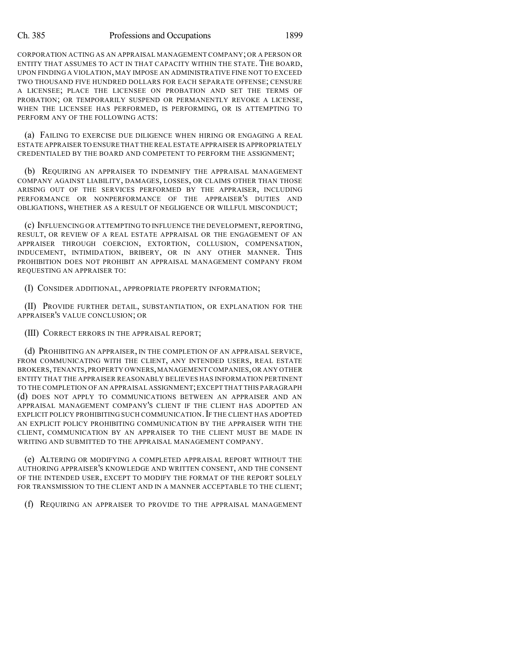### Ch. 385 Professions and Occupations 1899

CORPORATION ACTING AS AN APPRAISAL MANAGEMENT COMPANY; OR A PERSON OR ENTITY THAT ASSUMES TO ACT IN THAT CAPACITY WITHIN THE STATE. THE BOARD, UPON FINDING A VIOLATION, MAY IMPOSE AN ADMINISTRATIVE FINE NOT TO EXCEED TWO THOUSAND FIVE HUNDRED DOLLARS FOR EACH SEPARATE OFFENSE; CENSURE A LICENSEE; PLACE THE LICENSEE ON PROBATION AND SET THE TERMS OF PROBATION; OR TEMPORARILY SUSPEND OR PERMANENTLY REVOKE A LICENSE, WHEN THE LICENSEE HAS PERFORMED, IS PERFORMING, OR IS ATTEMPTING TO PERFORM ANY OF THE FOLLOWING ACTS:

(a) FAILING TO EXERCISE DUE DILIGENCE WHEN HIRING OR ENGAGING A REAL ESTATE APPRAISER TO ENSURE THAT THEREAL ESTATE APPRAISER IS APPROPRIATELY CREDENTIALED BY THE BOARD AND COMPETENT TO PERFORM THE ASSIGNMENT;

(b) REQUIRING AN APPRAISER TO INDEMNIFY THE APPRAISAL MANAGEMENT COMPANY AGAINST LIABILITY, DAMAGES, LOSSES, OR CLAIMS OTHER THAN THOSE ARISING OUT OF THE SERVICES PERFORMED BY THE APPRAISER, INCLUDING PERFORMANCE OR NONPERFORMANCE OF THE APPRAISER'S DUTIES AND OBLIGATIONS, WHETHER AS A RESULT OF NEGLIGENCE OR WILLFUL MISCONDUCT;

(c) INFLUENCING OR ATTEMPTING TO INFLUENCE THE DEVELOPMENT,REPORTING, RESULT, OR REVIEW OF A REAL ESTATE APPRAISAL OR THE ENGAGEMENT OF AN APPRAISER THROUGH COERCION, EXTORTION, COLLUSION, COMPENSATION, INDUCEMENT, INTIMIDATION, BRIBERY, OR IN ANY OTHER MANNER. THIS PROHIBITION DOES NOT PROHIBIT AN APPRAISAL MANAGEMENT COMPANY FROM REQUESTING AN APPRAISER TO:

(I) CONSIDER ADDITIONAL, APPROPRIATE PROPERTY INFORMATION;

(II) PROVIDE FURTHER DETAIL, SUBSTANTIATION, OR EXPLANATION FOR THE APPRAISER'S VALUE CONCLUSION; OR

(III) CORRECT ERRORS IN THE APPRAISAL REPORT;

(d) PROHIBITING AN APPRAISER, IN THE COMPLETION OF AN APPRAISAL SERVICE, FROM COMMUNICATING WITH THE CLIENT, ANY INTENDED USERS, REAL ESTATE BROKERS,TENANTS,PROPERTY OWNERS,MANAGEMENT COMPANIES,OR ANY OTHER ENTITY THAT THE APPRAISER REASONABLY BELIEVES HAS INFORMATION PERTINENT TO THE COMPLETION OF AN APPRAISAL ASSIGNMENT;EXCEPT THAT THIS PARAGRAPH (d) DOES NOT APPLY TO COMMUNICATIONS BETWEEN AN APPRAISER AND AN APPRAISAL MANAGEMENT COMPANY'S CLIENT IF THE CLIENT HAS ADOPTED AN EXPLICIT POLICY PROHIBITING SUCH COMMUNICATION. IF THE CLIENT HAS ADOPTED AN EXPLICIT POLICY PROHIBITING COMMUNICATION BY THE APPRAISER WITH THE CLIENT, COMMUNICATION BY AN APPRAISER TO THE CLIENT MUST BE MADE IN WRITING AND SUBMITTED TO THE APPRAISAL MANAGEMENT COMPANY.

(e) ALTERING OR MODIFYING A COMPLETED APPRAISAL REPORT WITHOUT THE AUTHORING APPRAISER'S KNOWLEDGE AND WRITTEN CONSENT, AND THE CONSENT OF THE INTENDED USER, EXCEPT TO MODIFY THE FORMAT OF THE REPORT SOLELY FOR TRANSMISSION TO THE CLIENT AND IN A MANNER ACCEPTABLE TO THE CLIENT;

(f) REQUIRING AN APPRAISER TO PROVIDE TO THE APPRAISAL MANAGEMENT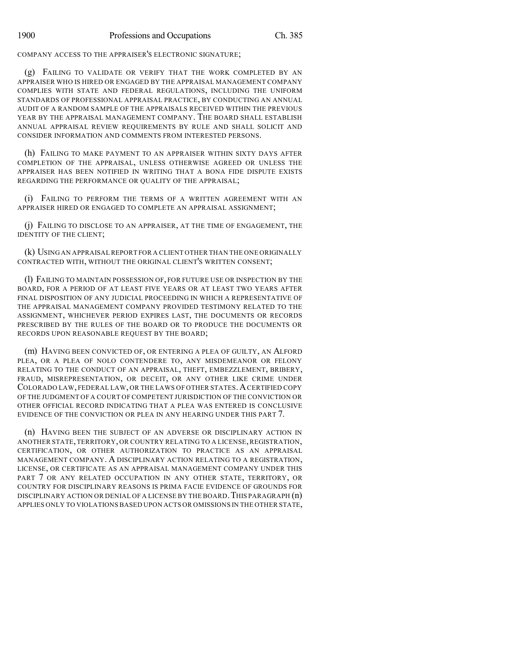COMPANY ACCESS TO THE APPRAISER'S ELECTRONIC SIGNATURE;

(g) FAILING TO VALIDATE OR VERIFY THAT THE WORK COMPLETED BY AN APPRAISER WHO IS HIRED OR ENGAGED BY THE APPRAISAL MANAGEMENT COMPANY COMPLIES WITH STATE AND FEDERAL REGULATIONS, INCLUDING THE UNIFORM STANDARDS OF PROFESSIONAL APPRAISAL PRACTICE, BY CONDUCTING AN ANNUAL AUDIT OF A RANDOM SAMPLE OF THE APPRAISALS RECEIVED WITHIN THE PREVIOUS YEAR BY THE APPRAISAL MANAGEMENT COMPANY. THE BOARD SHALL ESTABLISH ANNUAL APPRAISAL REVIEW REQUIREMENTS BY RULE AND SHALL SOLICIT AND CONSIDER INFORMATION AND COMMENTS FROM INTERESTED PERSONS.

(h) FAILING TO MAKE PAYMENT TO AN APPRAISER WITHIN SIXTY DAYS AFTER COMPLETION OF THE APPRAISAL, UNLESS OTHERWISE AGREED OR UNLESS THE APPRAISER HAS BEEN NOTIFIED IN WRITING THAT A BONA FIDE DISPUTE EXISTS REGARDING THE PERFORMANCE OR QUALITY OF THE APPRAISAL;

(i) FAILING TO PERFORM THE TERMS OF A WRITTEN AGREEMENT WITH AN APPRAISER HIRED OR ENGAGED TO COMPLETE AN APPRAISAL ASSIGNMENT;

(j) FAILING TO DISCLOSE TO AN APPRAISER, AT THE TIME OF ENGAGEMENT, THE IDENTITY OF THE CLIENT;

(k) USING AN APPRAISALREPORT FOR A CLIENT OTHER THAN THE ONE ORIGINALLY CONTRACTED WITH, WITHOUT THE ORIGINAL CLIENT'S WRITTEN CONSENT;

(l) FAILING TO MAINTAIN POSSESSION OF, FOR FUTURE USE OR INSPECTION BY THE BOARD, FOR A PERIOD OF AT LEAST FIVE YEARS OR AT LEAST TWO YEARS AFTER FINAL DISPOSITION OF ANY JUDICIAL PROCEEDING IN WHICH A REPRESENTATIVE OF THE APPRAISAL MANAGEMENT COMPANY PROVIDED TESTIMONY RELATED TO THE ASSIGNMENT, WHICHEVER PERIOD EXPIRES LAST, THE DOCUMENTS OR RECORDS PRESCRIBED BY THE RULES OF THE BOARD OR TO PRODUCE THE DOCUMENTS OR RECORDS UPON REASONABLE REQUEST BY THE BOARD;

(m) HAVING BEEN CONVICTED OF, OR ENTERING A PLEA OF GUILTY, AN ALFORD PLEA, OR A PLEA OF NOLO CONTENDERE TO, ANY MISDEMEANOR OR FELONY RELATING TO THE CONDUCT OF AN APPRAISAL, THEFT, EMBEZZLEMENT, BRIBERY, FRAUD, MISREPRESENTATION, OR DECEIT, OR ANY OTHER LIKE CRIME UNDER COLORADO LAW, FEDERAL LAW, OR THE LAWS OF OTHER STATES. A CERTIFIED COPY OF THE JUDGMENT OF A COURT OF COMPETENT JURISDICTION OF THE CONVICTION OR OTHER OFFICIAL RECORD INDICATING THAT A PLEA WAS ENTERED IS CONCLUSIVE EVIDENCE OF THE CONVICTION OR PLEA IN ANY HEARING UNDER THIS PART 7.

(n) HAVING BEEN THE SUBJECT OF AN ADVERSE OR DISCIPLINARY ACTION IN ANOTHER STATE, TERRITORY, OR COUNTRY RELATING TO A LICENSE, REGISTRATION, CERTIFICATION, OR OTHER AUTHORIZATION TO PRACTICE AS AN APPRAISAL MANAGEMENT COMPANY. A DISCIPLINARY ACTION RELATING TO A REGISTRATION, LICENSE, OR CERTIFICATE AS AN APPRAISAL MANAGEMENT COMPANY UNDER THIS PART 7 OR ANY RELATED OCCUPATION IN ANY OTHER STATE, TERRITORY, OR COUNTRY FOR DISCIPLINARY REASONS IS PRIMA FACIE EVIDENCE OF GROUNDS FOR DISCIPLINARY ACTION OR DENIAL OF A LICENSE BY THE BOARD. THIS PARAGRAPH (n) APPLIES ONLY TO VIOLATIONS BASED UPON ACTS OR OMISSIONS IN THE OTHER STATE,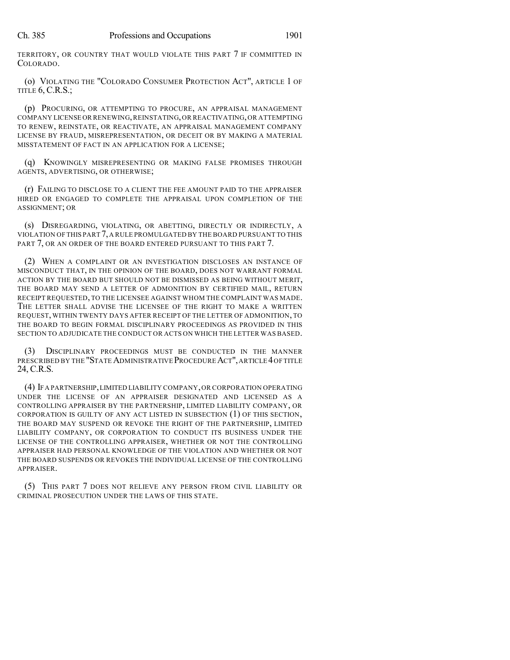TERRITORY, OR COUNTRY THAT WOULD VIOLATE THIS PART 7 IF COMMITTED IN COLORADO.

(o) VIOLATING THE "COLORADO CONSUMER PROTECTION ACT", ARTICLE 1 OF TITLE 6, C.R.S.;

(p) PROCURING, OR ATTEMPTING TO PROCURE, AN APPRAISAL MANAGEMENT COMPANY LICENSE OR RENEWING,REINSTATING,OR REACTIVATING,OR ATTEMPTING TO RENEW, REINSTATE, OR REACTIVATE, AN APPRAISAL MANAGEMENT COMPANY LICENSE BY FRAUD, MISREPRESENTATION, OR DECEIT OR BY MAKING A MATERIAL MISSTATEMENT OF FACT IN AN APPLICATION FOR A LICENSE;

(q) KNOWINGLY MISREPRESENTING OR MAKING FALSE PROMISES THROUGH AGENTS, ADVERTISING, OR OTHERWISE;

(r) FAILING TO DISCLOSE TO A CLIENT THE FEE AMOUNT PAID TO THE APPRAISER HIRED OR ENGAGED TO COMPLETE THE APPRAISAL UPON COMPLETION OF THE ASSIGNMENT; OR

(s) DISREGARDING, VIOLATING, OR ABETTING, DIRECTLY OR INDIRECTLY, A VIOLATION OF THIS PART 7,A RULE PROMULGATED BY THE BOARD PURSUANT TO THIS PART 7, OR AN ORDER OF THE BOARD ENTERED PURSUANT TO THIS PART 7.

(2) WHEN A COMPLAINT OR AN INVESTIGATION DISCLOSES AN INSTANCE OF MISCONDUCT THAT, IN THE OPINION OF THE BOARD, DOES NOT WARRANT FORMAL ACTION BY THE BOARD BUT SHOULD NOT BE DISMISSED AS BEING WITHOUT MERIT, THE BOARD MAY SEND A LETTER OF ADMONITION BY CERTIFIED MAIL, RETURN RECEIPT REQUESTED, TO THE LICENSEE AGAINST WHOM THE COMPLAINT WAS MADE. THE LETTER SHALL ADVISE THE LICENSEE OF THE RIGHT TO MAKE A WRITTEN REQUEST, WITHIN TWENTY DAYS AFTER RECEIPT OF THE LETTER OF ADMONITION, TO THE BOARD TO BEGIN FORMAL DISCIPLINARY PROCEEDINGS AS PROVIDED IN THIS SECTION TO ADJUDICATE THE CONDUCT OR ACTS ON WHICH THE LETTER WAS BASED.

(3) DISCIPLINARY PROCEEDINGS MUST BE CONDUCTED IN THE MANNER PRESCRIBED BY THE "STATE ADMINISTRATIVE PROCEDURE ACT", ARTICLE 4 OF TITLE 24, C.R.S.

(4) IFA PARTNERSHIP,LIMITED LIABILITY COMPANY,OR CORPORATION OPERATING UNDER THE LICENSE OF AN APPRAISER DESIGNATED AND LICENSED AS A CONTROLLING APPRAISER BY THE PARTNERSHIP, LIMITED LIABILITY COMPANY, OR CORPORATION IS GUILTY OF ANY ACT LISTED IN SUBSECTION (1) OF THIS SECTION, THE BOARD MAY SUSPEND OR REVOKE THE RIGHT OF THE PARTNERSHIP, LIMITED LIABILITY COMPANY, OR CORPORATION TO CONDUCT ITS BUSINESS UNDER THE LICENSE OF THE CONTROLLING APPRAISER, WHETHER OR NOT THE CONTROLLING APPRAISER HAD PERSONAL KNOWLEDGE OF THE VIOLATION AND WHETHER OR NOT THE BOARD SUSPENDS OR REVOKES THE INDIVIDUAL LICENSE OF THE CONTROLLING APPRAISER.

(5) THIS PART 7 DOES NOT RELIEVE ANY PERSON FROM CIVIL LIABILITY OR CRIMINAL PROSECUTION UNDER THE LAWS OF THIS STATE.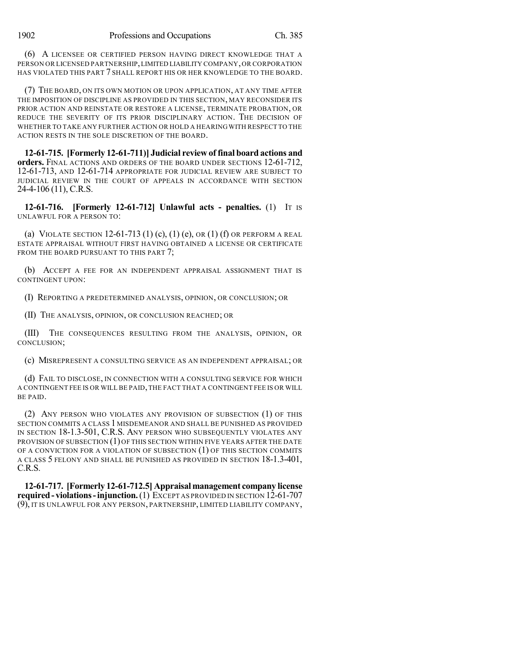(6) A LICENSEE OR CERTIFIED PERSON HAVING DIRECT KNOWLEDGE THAT A PERSON OR LICENSED PARTNERSHIP,LIMITED LIABILITY COMPANY,OR CORPORATION HAS VIOLATED THIS PART 7 SHALL REPORT HIS OR HER KNOWLEDGE TO THE BOARD.

(7) THE BOARD, ON ITS OWN MOTION OR UPON APPLICATION, AT ANY TIME AFTER THE IMPOSITION OF DISCIPLINE AS PROVIDED IN THIS SECTION, MAY RECONSIDER ITS PRIOR ACTION AND REINSTATE OR RESTORE A LICENSE, TERMINATE PROBATION, OR REDUCE THE SEVERITY OF ITS PRIOR DISCIPLINARY ACTION. THE DECISION OF WHETHER TO TAKE ANY FURTHER ACTION OR HOLD A HEARING WITH RESPECT TO THE ACTION RESTS IN THE SOLE DISCRETION OF THE BOARD.

**12-61-715. [Formerly 12-61-711)] Judicial review of final board actions and orders.** FINAL ACTIONS AND ORDERS OF THE BOARD UNDER SECTIONS 12-61-712, 12-61-713, AND 12-61-714 APPROPRIATE FOR JUDICIAL REVIEW ARE SUBJECT TO JUDICIAL REVIEW IN THE COURT OF APPEALS IN ACCORDANCE WITH SECTION 24-4-106 (11), C.R.S.

**12-61-716. [Formerly 12-61-712] Unlawful acts - penalties.** (1) IT IS UNLAWFUL FOR A PERSON TO:

(a) VIOLATE SECTION 12-61-713 (1) (c), (1) (e), OR (1) (f) OR PERFORM A REAL ESTATE APPRAISAL WITHOUT FIRST HAVING OBTAINED A LICENSE OR CERTIFICATE FROM THE BOARD PURSUANT TO THIS PART 7;

(b) ACCEPT A FEE FOR AN INDEPENDENT APPRAISAL ASSIGNMENT THAT IS CONTINGENT UPON:

(I) REPORTING A PREDETERMINED ANALYSIS, OPINION, OR CONCLUSION; OR

(II) THE ANALYSIS, OPINION, OR CONCLUSION REACHED; OR

(III) THE CONSEQUENCES RESULTING FROM THE ANALYSIS, OPINION, OR CONCLUSION;

(c) MISREPRESENT A CONSULTING SERVICE AS AN INDEPENDENT APPRAISAL; OR

(d) FAIL TO DISCLOSE, IN CONNECTION WITH A CONSULTING SERVICE FOR WHICH A CONTINGENT FEE IS OR WILL BE PAID,THE FACT THAT A CONTINGENT FEE IS OR WILL BE PAID.

(2) ANY PERSON WHO VIOLATES ANY PROVISION OF SUBSECTION (1) OF THIS SECTION COMMITS A CLASS 1 MISDEMEANOR AND SHALL BE PUNISHED AS PROVIDED IN SECTION 18-1.3-501, C.R.S. ANY PERSON WHO SUBSEQUENTLY VIOLATES ANY PROVISION OF SUBSECTION (1) OF THIS SECTION WITHIN FIVE YEARS AFTER THE DATE OF A CONVICTION FOR A VIOLATION OF SUBSECTION (1) OF THIS SECTION COMMITS A CLASS 5 FELONY AND SHALL BE PUNISHED AS PROVIDED IN SECTION 18-1.3-401, C.R.S.

**12-61-717. [Formerly 12-61-712.5] Appraisal management company license required- violations-injunction.**(1) EXCEPT AS PROVIDED IN SECTION 12-61-707 (9), IT IS UNLAWFUL FOR ANY PERSON, PARTNERSHIP, LIMITED LIABILITY COMPANY,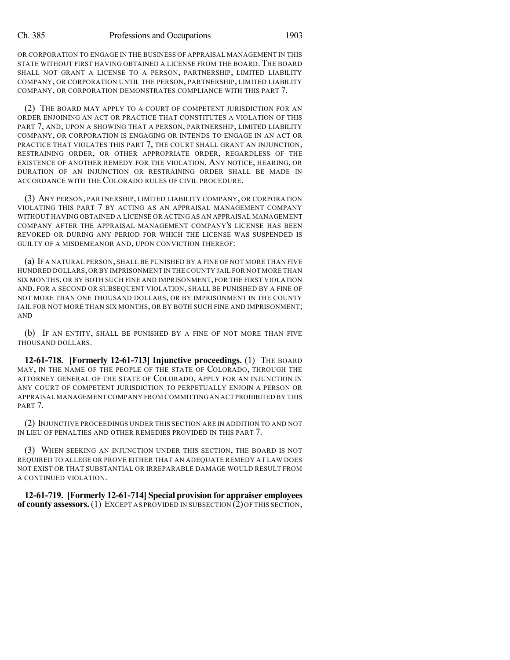OR CORPORATION TO ENGAGE IN THE BUSINESS OF APPRAISAL MANAGEMENT IN THIS STATE WITHOUT FIRST HAVING OBTAINED A LICENSE FROM THE BOARD. THE BOARD SHALL NOT GRANT A LICENSE TO A PERSON, PARTNERSHIP, LIMITED LIABILITY COMPANY, OR CORPORATION UNTIL THE PERSON, PARTNERSHIP, LIMITED LIABILITY COMPANY, OR CORPORATION DEMONSTRATES COMPLIANCE WITH THIS PART 7.

(2) THE BOARD MAY APPLY TO A COURT OF COMPETENT JURISDICTION FOR AN ORDER ENJOINING AN ACT OR PRACTICE THAT CONSTITUTES A VIOLATION OF THIS PART 7, AND, UPON A SHOWING THAT A PERSON, PARTNERSHIP, LIMITED LIABILITY COMPANY, OR CORPORATION IS ENGAGING OR INTENDS TO ENGAGE IN AN ACT OR PRACTICE THAT VIOLATES THIS PART 7, THE COURT SHALL GRANT AN INJUNCTION, RESTRAINING ORDER, OR OTHER APPROPRIATE ORDER, REGARDLESS OF THE EXISTENCE OF ANOTHER REMEDY FOR THE VIOLATION. ANY NOTICE, HEARING, OR DURATION OF AN INJUNCTION OR RESTRAINING ORDER SHALL BE MADE IN ACCORDANCE WITH THE COLORADO RULES OF CIVIL PROCEDURE.

(3) ANY PERSON, PARTNERSHIP, LIMITED LIABILITY COMPANY, OR CORPORATION VIOLATING THIS PART 7 BY ACTING AS AN APPRAISAL MANAGEMENT COMPANY WITHOUT HAVING OBTAINED A LICENSE OR ACTING AS AN APPRAISAL MANAGEMENT COMPANY AFTER THE APPRAISAL MANAGEMENT COMPANY'S LICENSE HAS BEEN REVOKED OR DURING ANY PERIOD FOR WHICH THE LICENSE WAS SUSPENDED IS GUILTY OF A MISDEMEANOR AND, UPON CONVICTION THEREOF:

(a) IF A NATURAL PERSON, SHALL BE PUNISHED BY A FINE OF NOT MORE THAN FIVE HUNDRED DOLLARS,OR BY IMPRISONMENT IN THE COUNTY JAIL FOR NOT MORE THAN SIX MONTHS, OR BY BOTH SUCH FINE AND IMPRISONMENT, FOR THE FIRST VIOLATION AND, FOR A SECOND OR SUBSEQUENT VIOLATION, SHALL BE PUNISHED BY A FINE OF NOT MORE THAN ONE THOUSAND DOLLARS, OR BY IMPRISONMENT IN THE COUNTY JAIL FOR NOT MORE THAN SIX MONTHS, OR BY BOTH SUCH FINE AND IMPRISONMENT; AND

(b) IF AN ENTITY, SHALL BE PUNISHED BY A FINE OF NOT MORE THAN FIVE THOUSAND DOLLARS.

**12-61-718. [Formerly 12-61-713] Injunctive proceedings.** (1) THE BOARD MAY, IN THE NAME OF THE PEOPLE OF THE STATE OF COLORADO, THROUGH THE ATTORNEY GENERAL OF THE STATE OF COLORADO, APPLY FOR AN INJUNCTION IN ANY COURT OF COMPETENT JURISDICTION TO PERPETUALLY ENJOIN A PERSON OR APPRAISAL MANAGEMENT COMPANY FROM COMMITTINGAN ACT PROHIBITED BY THIS PART<sub>7</sub>.

(2) INJUNCTIVE PROCEEDINGS UNDER THIS SECTION ARE IN ADDITION TO AND NOT IN LIEU OF PENALTIES AND OTHER REMEDIES PROVIDED IN THIS PART 7.

(3) WHEN SEEKING AN INJUNCTION UNDER THIS SECTION, THE BOARD IS NOT REQUIRED TO ALLEGE OR PROVE EITHER THAT AN ADEQUATE REMEDY AT LAW DOES NOT EXIST OR THAT SUBSTANTIAL OR IRREPARABLE DAMAGE WOULD RESULT FROM A CONTINUED VIOLATION.

**12-61-719. [Formerly 12-61-714] Special provision for appraiser employees of county assessors.** (1) EXCEPT AS PROVIDED IN SUBSECTION (2) OF THIS SECTION,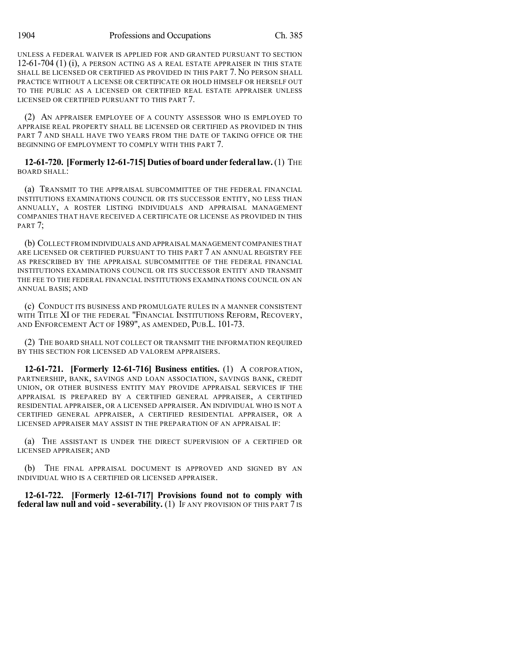UNLESS A FEDERAL WAIVER IS APPLIED FOR AND GRANTED PURSUANT TO SECTION 12-61-704 (1) (i), A PERSON ACTING AS A REAL ESTATE APPRAISER IN THIS STATE SHALL BE LICENSED OR CERTIFIED AS PROVIDED IN THIS PART 7. NO PERSON SHALL PRACTICE WITHOUT A LICENSE OR CERTIFICATE OR HOLD HIMSELF OR HERSELF OUT TO THE PUBLIC AS A LICENSED OR CERTIFIED REAL ESTATE APPRAISER UNLESS LICENSED OR CERTIFIED PURSUANT TO THIS PART 7.

(2) AN APPRAISER EMPLOYEE OF A COUNTY ASSESSOR WHO IS EMPLOYED TO APPRAISE REAL PROPERTY SHALL BE LICENSED OR CERTIFIED AS PROVIDED IN THIS PART 7 AND SHALL HAVE TWO YEARS FROM THE DATE OF TAKING OFFICE OR THE BEGINNING OF EMPLOYMENT TO COMPLY WITH THIS PART 7.

# **12-61-720. [Formerly 12-61-715] Duties of board under federal law.**(1) THE BOARD SHALL:

(a) TRANSMIT TO THE APPRAISAL SUBCOMMITTEE OF THE FEDERAL FINANCIAL INSTITUTIONS EXAMINATIONS COUNCIL OR ITS SUCCESSOR ENTITY, NO LESS THAN ANNUALLY, A ROSTER LISTING INDIVIDUALS AND APPRAISAL MANAGEMENT COMPANIES THAT HAVE RECEIVED A CERTIFICATE OR LICENSE AS PROVIDED IN THIS PART<sub>7</sub>;

(b) COLLECT FROM INDIVIDUALS AND APPRAISAL MANAGEMENT COMPANIES THAT ARE LICENSED OR CERTIFIED PURSUANT TO THIS PART 7 AN ANNUAL REGISTRY FEE AS PRESCRIBED BY THE APPRAISAL SUBCOMMITTEE OF THE FEDERAL FINANCIAL INSTITUTIONS EXAMINATIONS COUNCIL OR ITS SUCCESSOR ENTITY AND TRANSMIT THE FEE TO THE FEDERAL FINANCIAL INSTITUTIONS EXAMINATIONS COUNCIL ON AN ANNUAL BASIS; AND

(c) CONDUCT ITS BUSINESS AND PROMULGATE RULES IN A MANNER CONSISTENT WITH TITLE XI OF THE FEDERAL "FINANCIAL INSTITUTIONS REFORM, RECOVERY, AND ENFORCEMENT ACT OF 1989", AS AMENDED, PUB.L. 101-73.

(2) THE BOARD SHALL NOT COLLECT OR TRANSMIT THE INFORMATION REQUIRED BY THIS SECTION FOR LICENSED AD VALOREM APPRAISERS.

**12-61-721. [Formerly 12-61-716] Business entities.** (1) A CORPORATION, PARTNERSHIP, BANK, SAVINGS AND LOAN ASSOCIATION, SAVINGS BANK, CREDIT UNION, OR OTHER BUSINESS ENTITY MAY PROVIDE APPRAISAL SERVICES IF THE APPRAISAL IS PREPARED BY A CERTIFIED GENERAL APPRAISER, A CERTIFIED RESIDENTIAL APPRAISER, OR A LICENSED APPRAISER. AN INDIVIDUAL WHO IS NOT A CERTIFIED GENERAL APPRAISER, A CERTIFIED RESIDENTIAL APPRAISER, OR A LICENSED APPRAISER MAY ASSIST IN THE PREPARATION OF AN APPRAISAL IF:

(a) THE ASSISTANT IS UNDER THE DIRECT SUPERVISION OF A CERTIFIED OR LICENSED APPRAISER; AND

(b) THE FINAL APPRAISAL DOCUMENT IS APPROVED AND SIGNED BY AN INDIVIDUAL WHO IS A CERTIFIED OR LICENSED APPRAISER.

**12-61-722. [Formerly 12-61-717] Provisions found not to comply with federal law null and void - severability.** (1) IF ANY PROVISION OF THIS PART 7 IS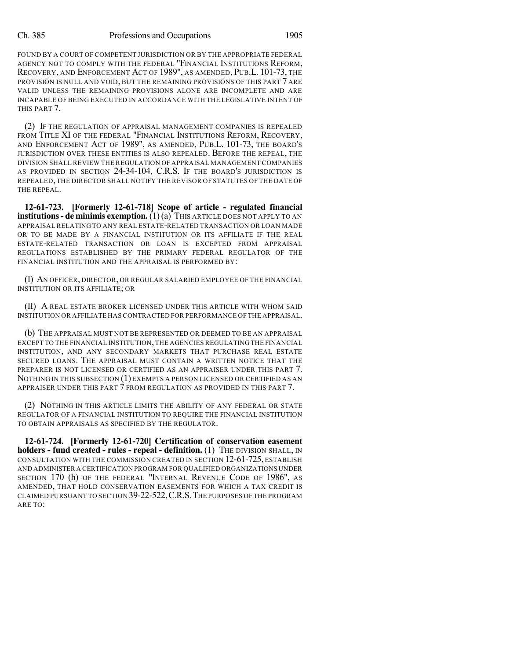#### Ch. 385 Professions and Occupations 1905

FOUND BY A COURT OF COMPETENT JURISDICTION OR BY THE APPROPRIATE FEDERAL AGENCY NOT TO COMPLY WITH THE FEDERAL "FINANCIAL INSTITUTIONS REFORM, RECOVERY, AND ENFORCEMENT ACT OF 1989", AS AMENDED, PUB.L. 101-73, THE PROVISION IS NULL AND VOID, BUT THE REMAINING PROVISIONS OF THIS PART 7 ARE VALID UNLESS THE REMAINING PROVISIONS ALONE ARE INCOMPLETE AND ARE INCAPABLE OF BEING EXECUTED IN ACCORDANCE WITH THE LEGISLATIVE INTENT OF THIS PART 7.

(2) IF THE REGULATION OF APPRAISAL MANAGEMENT COMPANIES IS REPEALED FROM TITLE XI OF THE FEDERAL "FINANCIAL INSTITUTIONS REFORM, RECOVERY, AND ENFORCEMENT ACT OF 1989", AS AMENDED, PUB.L. 101-73, THE BOARD'S JURISDICTION OVER THESE ENTITIES IS ALSO REPEALED. BEFORE THE REPEAL, THE DIVISION SHALL REVIEW THE REGULATION OF APPRAISAL MANAGEMENT COMPANIES AS PROVIDED IN SECTION 24-34-104, C.R.S. IF THE BOARD'S JURISDICTION IS REPEALED, THE DIRECTOR SHALL NOTIFY THE REVISOR OF STATUTES OF THE DATE OF THE REPEAL.

**12-61-723. [Formerly 12-61-718] Scope of article - regulated financial institutions- de minimis exemption.**(1)(a) THIS ARTICLE DOES NOT APPLY TO AN APPRAISAL RELATING TO ANY REAL ESTATE-RELATED TRANSACTION OR LOAN MADE OR TO BE MADE BY A FINANCIAL INSTITUTION OR ITS AFFILIATE IF THE REAL ESTATE-RELATED TRANSACTION OR LOAN IS EXCEPTED FROM APPRAISAL REGULATIONS ESTABLISHED BY THE PRIMARY FEDERAL REGULATOR OF THE FINANCIAL INSTITUTION AND THE APPRAISAL IS PERFORMED BY:

(I) AN OFFICER, DIRECTOR, OR REGULAR SALARIED EMPLOYEE OF THE FINANCIAL INSTITUTION OR ITS AFFILIATE; OR

(II) A REAL ESTATE BROKER LICENSED UNDER THIS ARTICLE WITH WHOM SAID INSTITUTION OR AFFILIATE HAS CONTRACTED FOR PERFORMANCE OF THE APPRAISAL.

(b) THE APPRAISAL MUST NOT BE REPRESENTED OR DEEMED TO BE AN APPRAISAL EXCEPT TO THE FINANCIAL INSTITUTION,THE AGENCIES REGULATING THE FINANCIAL INSTITUTION, AND ANY SECONDARY MARKETS THAT PURCHASE REAL ESTATE SECURED LOANS. THE APPRAISAL MUST CONTAIN A WRITTEN NOTICE THAT THE PREPARER IS NOT LICENSED OR CERTIFIED AS AN APPRAISER UNDER THIS PART 7. NOTHING IN THIS SUBSECTION (1)EXEMPTS A PERSON LICENSED OR CERTIFIED AS AN APPRAISER UNDER THIS PART 7 FROM REGULATION AS PROVIDED IN THIS PART 7.

(2) NOTHING IN THIS ARTICLE LIMITS THE ABILITY OF ANY FEDERAL OR STATE REGULATOR OF A FINANCIAL INSTITUTION TO REQUIRE THE FINANCIAL INSTITUTION TO OBTAIN APPRAISALS AS SPECIFIED BY THE REGULATOR.

**12-61-724. [Formerly 12-61-720] Certification of conservation easement holders - fund created - rules - repeal - definition.** (1) THE DIVISION SHALL, IN CONSULTATION WITH THE COMMISSION CREATED IN SECTION 12-61-725, ESTABLISH AND ADMINISTER A CERTIFICATION PROGRAM FOR QUALIFIED ORGANIZATIONS UNDER SECTION 170 (h) OF THE FEDERAL "INTERNAL REVENUE CODE OF 1986", AS AMENDED, THAT HOLD CONSERVATION EASEMENTS FOR WHICH A TAX CREDIT IS CLAIMED PURSUANT TO SECTION 39-22-522,C.R.S.THE PURPOSES OF THE PROGRAM ARE TO: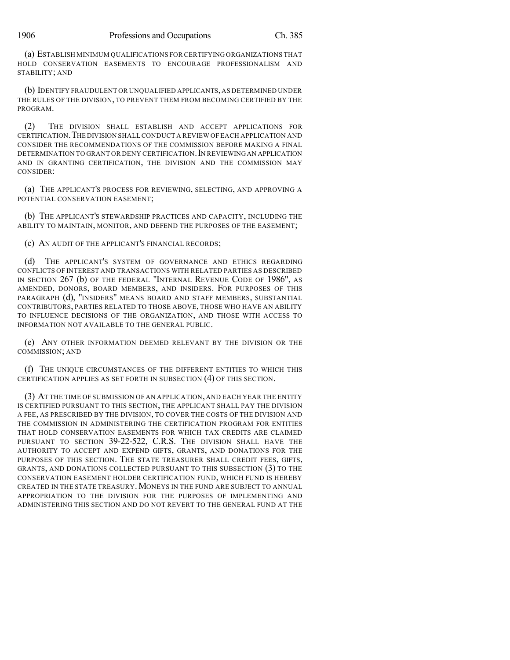(a) ESTABLISH MINIMUM QUALIFICATIONS FOR CERTIFYING ORGANIZATIONS THAT HOLD CONSERVATION EASEMENTS TO ENCOURAGE PROFESSIONALISM AND STABILITY; AND

(b) IDENTIFY FRAUDULENT OR UNQUALIFIED APPLICANTS,AS DETERMINED UNDER THE RULES OF THE DIVISION, TO PREVENT THEM FROM BECOMING CERTIFIED BY THE PROGRAM.

(2) THE DIVISION SHALL ESTABLISH AND ACCEPT APPLICATIONS FOR CERTIFICATION.THE DIVISION SHALL CONDUCT A REVIEW OF EACH APPLICATION AND CONSIDER THE RECOMMENDATIONS OF THE COMMISSION BEFORE MAKING A FINAL DETERMINATION TO GRANT OR DENY CERTIFICATION. IN REVIEWING AN APPLICATION AND IN GRANTING CERTIFICATION, THE DIVISION AND THE COMMISSION MAY CONSIDER:

(a) THE APPLICANT'S PROCESS FOR REVIEWING, SELECTING, AND APPROVING A POTENTIAL CONSERVATION EASEMENT;

(b) THE APPLICANT'S STEWARDSHIP PRACTICES AND CAPACITY, INCLUDING THE ABILITY TO MAINTAIN, MONITOR, AND DEFEND THE PURPOSES OF THE EASEMENT;

(c) AN AUDIT OF THE APPLICANT'S FINANCIAL RECORDS;

(d) THE APPLICANT'S SYSTEM OF GOVERNANCE AND ETHICS REGARDING CONFLICTS OF INTEREST AND TRANSACTIONS WITH RELATED PARTIES AS DESCRIBED IN SECTION 267 (b) OF THE FEDERAL "INTERNAL REVENUE CODE OF 1986", AS AMENDED, DONORS, BOARD MEMBERS, AND INSIDERS. FOR PURPOSES OF THIS PARAGRAPH (d), "INSIDERS" MEANS BOARD AND STAFF MEMBERS, SUBSTANTIAL CONTRIBUTORS, PARTIES RELATED TO THOSE ABOVE, THOSE WHO HAVE AN ABILITY TO INFLUENCE DECISIONS OF THE ORGANIZATION, AND THOSE WITH ACCESS TO INFORMATION NOT AVAILABLE TO THE GENERAL PUBLIC.

(e) ANY OTHER INFORMATION DEEMED RELEVANT BY THE DIVISION OR THE COMMISSION; AND

(f) THE UNIQUE CIRCUMSTANCES OF THE DIFFERENT ENTITIES TO WHICH THIS CERTIFICATION APPLIES AS SET FORTH IN SUBSECTION (4) OF THIS SECTION.

(3) AT THE TIME OF SUBMISSION OF AN APPLICATION, AND EACH YEAR THE ENTITY IS CERTIFIED PURSUANT TO THIS SECTION, THE APPLICANT SHALL PAY THE DIVISION A FEE, AS PRESCRIBED BY THE DIVISION, TO COVER THE COSTS OF THE DIVISION AND THE COMMISSION IN ADMINISTERING THE CERTIFICATION PROGRAM FOR ENTITIES THAT HOLD CONSERVATION EASEMENTS FOR WHICH TAX CREDITS ARE CLAIMED PURSUANT TO SECTION 39-22-522, C.R.S. THE DIVISION SHALL HAVE THE AUTHORITY TO ACCEPT AND EXPEND GIFTS, GRANTS, AND DONATIONS FOR THE PURPOSES OF THIS SECTION. THE STATE TREASURER SHALL CREDIT FEES, GIFTS, GRANTS, AND DONATIONS COLLECTED PURSUANT TO THIS SUBSECTION (3) TO THE CONSERVATION EASEMENT HOLDER CERTIFICATION FUND, WHICH FUND IS HEREBY CREATED IN THE STATE TREASURY.MONEYS IN THE FUND ARE SUBJECT TO ANNUAL APPROPRIATION TO THE DIVISION FOR THE PURPOSES OF IMPLEMENTING AND ADMINISTERING THIS SECTION AND DO NOT REVERT TO THE GENERAL FUND AT THE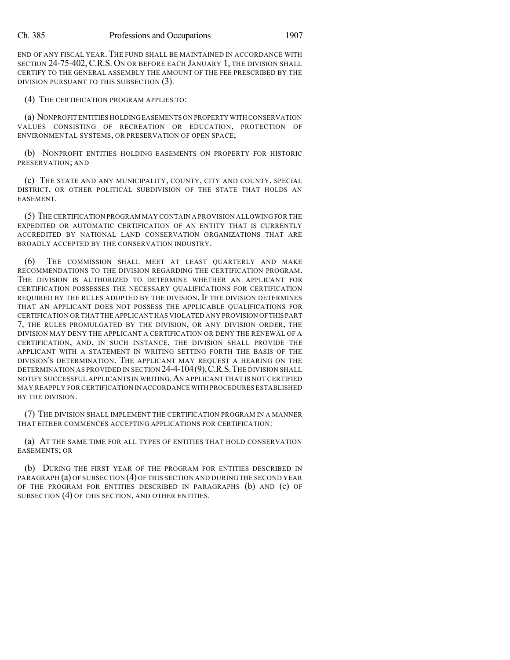END OF ANY FISCAL YEAR. THE FUND SHALL BE MAINTAINED IN ACCORDANCE WITH SECTION 24-75-402, C.R.S. ON OR BEFORE EACH JANUARY 1, THE DIVISION SHALL CERTIFY TO THE GENERAL ASSEMBLY THE AMOUNT OF THE FEE PRESCRIBED BY THE DIVISION PURSUANT TO THIS SUBSECTION (3).

(4) THE CERTIFICATION PROGRAM APPLIES TO:

(a) NONPROFIT ENTITIES HOLDINGEASEMENTS ON PROPERTY WITH CONSERVATION VALUES CONSISTING OF RECREATION OR EDUCATION, PROTECTION OF ENVIRONMENTAL SYSTEMS, OR PRESERVATION OF OPEN SPACE;

(b) NONPROFIT ENTITIES HOLDING EASEMENTS ON PROPERTY FOR HISTORIC PRESERVATION; AND

(c) THE STATE AND ANY MUNICIPALITY, COUNTY, CITY AND COUNTY, SPECIAL DISTRICT, OR OTHER POLITICAL SUBDIVISION OF THE STATE THAT HOLDS AN EASEMENT.

(5) THE CERTIFICATION PROGRAM MAY CONTAIN A PROVISION ALLOWING FOR THE EXPEDITED OR AUTOMATIC CERTIFICATION OF AN ENTITY THAT IS CURRENTLY ACCREDITED BY NATIONAL LAND CONSERVATION ORGANIZATIONS THAT ARE BROADLY ACCEPTED BY THE CONSERVATION INDUSTRY.

THE COMMISSION SHALL MEET AT LEAST QUARTERLY AND MAKE RECOMMENDATIONS TO THE DIVISION REGARDING THE CERTIFICATION PROGRAM. THE DIVISION IS AUTHORIZED TO DETERMINE WHETHER AN APPLICANT FOR CERTIFICATION POSSESSES THE NECESSARY QUALIFICATIONS FOR CERTIFICATION REQUIRED BY THE RULES ADOPTED BY THE DIVISION. IF THE DIVISION DETERMINES THAT AN APPLICANT DOES NOT POSSESS THE APPLICABLE QUALIFICATIONS FOR CERTIFICATION OR THAT THE APPLICANT HAS VIOLATED ANY PROVISION OFTHIS PART 7, THE RULES PROMULGATED BY THE DIVISION, OR ANY DIVISION ORDER, THE DIVISION MAY DENY THE APPLICANT A CERTIFICATION OR DENY THE RENEWAL OF A CERTIFICATION, AND, IN SUCH INSTANCE, THE DIVISION SHALL PROVIDE THE APPLICANT WITH A STATEMENT IN WRITING SETTING FORTH THE BASIS OF THE DIVISION'S DETERMINATION. THE APPLICANT MAY REQUEST A HEARING ON THE DETERMINATION AS PROVIDED IN SECTION 24-4-104(9),C.R.S.THE DIVISION SHALL NOTIFY SUCCESSFUL APPLICANTS IN WRITING.AN APPLICANT THAT IS NOT CERTIFIED MAY REAPPLY FOR CERTIFICATION IN ACCORDANCE WITH PROCEDURES ESTABLISHED BY THE DIVISION.

(7) THE DIVISION SHALL IMPLEMENT THE CERTIFICATION PROGRAM IN A MANNER THAT EITHER COMMENCES ACCEPTING APPLICATIONS FOR CERTIFICATION:

(a) AT THE SAME TIME FOR ALL TYPES OF ENTITIES THAT HOLD CONSERVATION EASEMENTS; OR

(b) DURING THE FIRST YEAR OF THE PROGRAM FOR ENTITIES DESCRIBED IN PARAGRAPH (a) OF SUBSECTION (4) OF THIS SECTION AND DURING THE SECOND YEAR OF THE PROGRAM FOR ENTITIES DESCRIBED IN PARAGRAPHS (b) AND (c) OF SUBSECTION (4) OF THIS SECTION, AND OTHER ENTITIES.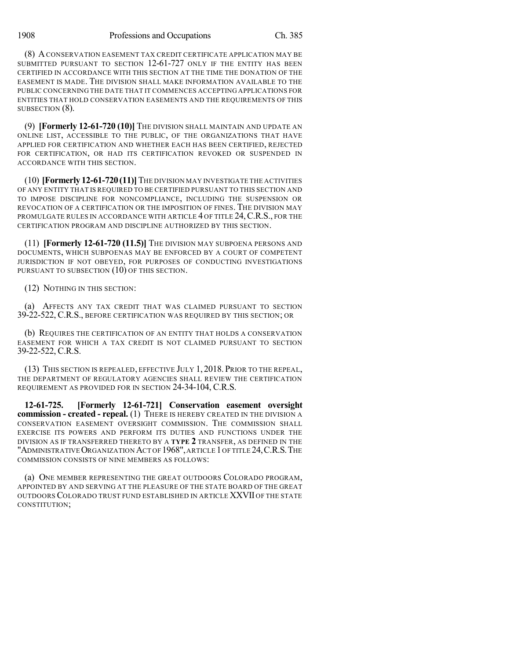(8) ACONSERVATION EASEMENT TAX CREDIT CERTIFICATE APPLICATION MAY BE SUBMITTED PURSUANT TO SECTION 12-61-727 ONLY IF THE ENTITY HAS BEEN CERTIFIED IN ACCORDANCE WITH THIS SECTION AT THE TIME THE DONATION OF THE EASEMENT IS MADE. THE DIVISION SHALL MAKE INFORMATION AVAILABLE TO THE PUBLIC CONCERNING THE DATE THAT IT COMMENCES ACCEPTING APPLICATIONS FOR ENTITIES THAT HOLD CONSERVATION EASEMENTS AND THE REQUIREMENTS OF THIS SUBSECTION (8).

(9) **[Formerly 12-61-720 (10)]** THE DIVISION SHALL MAINTAIN AND UPDATE AN ONLINE LIST, ACCESSIBLE TO THE PUBLIC, OF THE ORGANIZATIONS THAT HAVE APPLIED FOR CERTIFICATION AND WHETHER EACH HAS BEEN CERTIFIED, REJECTED FOR CERTIFICATION, OR HAD ITS CERTIFICATION REVOKED OR SUSPENDED IN ACCORDANCE WITH THIS SECTION.

(10) **[Formerly 12-61-720 (11)]**THE DIVISION MAY INVESTIGATE THE ACTIVITIES OF ANY ENTITY THAT IS REQUIRED TO BE CERTIFIED PURSUANT TO THIS SECTION AND TO IMPOSE DISCIPLINE FOR NONCOMPLIANCE, INCLUDING THE SUSPENSION OR REVOCATION OF A CERTIFICATION OR THE IMPOSITION OF FINES. THE DIVISION MAY PROMULGATE RULES IN ACCORDANCE WITH ARTICLE 4 OF TITLE 24, C.R.S., FOR THE CERTIFICATION PROGRAM AND DISCIPLINE AUTHORIZED BY THIS SECTION.

(11) **[Formerly 12-61-720 (11.5)]** THE DIVISION MAY SUBPOENA PERSONS AND DOCUMENTS, WHICH SUBPOENAS MAY BE ENFORCED BY A COURT OF COMPETENT JURISDICTION IF NOT OBEYED, FOR PURPOSES OF CONDUCTING INVESTIGATIONS PURSUANT TO SUBSECTION (10) OF THIS SECTION.

(12) NOTHING IN THIS SECTION:

(a) AFFECTS ANY TAX CREDIT THAT WAS CLAIMED PURSUANT TO SECTION 39-22-522, C.R.S., BEFORE CERTIFICATION WAS REQUIRED BY THIS SECTION; OR

(b) REQUIRES THE CERTIFICATION OF AN ENTITY THAT HOLDS A CONSERVATION EASEMENT FOR WHICH A TAX CREDIT IS NOT CLAIMED PURSUANT TO SECTION 39-22-522, C.R.S.

(13) THIS SECTION IS REPEALED, EFFECTIVE JULY 1, 2018. PRIOR TO THE REPEAL, THE DEPARTMENT OF REGULATORY AGENCIES SHALL REVIEW THE CERTIFICATION REQUIREMENT AS PROVIDED FOR IN SECTION 24-34-104, C.R.S.

**12-61-725. [Formerly 12-61-721] Conservation easement oversight commission - created - repeal.** (1) THERE IS HEREBY CREATED IN THE DIVISION A CONSERVATION EASEMENT OVERSIGHT COMMISSION. THE COMMISSION SHALL EXERCISE ITS POWERS AND PERFORM ITS DUTIES AND FUNCTIONS UNDER THE DIVISION AS IF TRANSFERRED THERETO BY A **TYPE 2** TRANSFER, AS DEFINED IN THE "ADMINISTRATIVE ORGANIZATION ACT OF 1968", ARTICLE 1 OF TITLE 24, C.R.S. THE COMMISSION CONSISTS OF NINE MEMBERS AS FOLLOWS:

(a) ONE MEMBER REPRESENTING THE GREAT OUTDOORS COLORADO PROGRAM, APPOINTED BY AND SERVING AT THE PLEASURE OF THE STATE BOARD OF THE GREAT OUTDOORS COLORADO TRUST FUND ESTABLISHED IN ARTICLE XXVII OF THE STATE CONSTITUTION;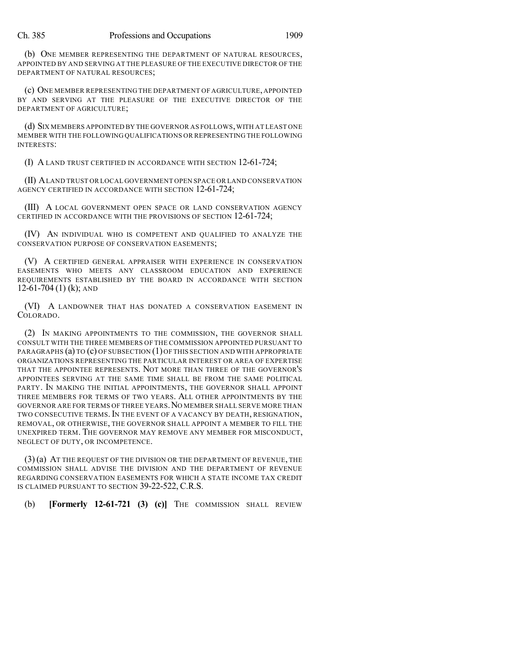(b) ONE MEMBER REPRESENTING THE DEPARTMENT OF NATURAL RESOURCES, APPOINTED BY AND SERVING AT THE PLEASURE OF THE EXECUTIVE DIRECTOR OF THE DEPARTMENT OF NATURAL RESOURCES;

(c) ONE MEMBER REPRESENTING THE DEPARTMENT OF AGRICULTURE, APPOINTED BY AND SERVING AT THE PLEASURE OF THE EXECUTIVE DIRECTOR OF THE DEPARTMENT OF AGRICULTURE;

(d) SIX MEMBERS APPOINTED BY THE GOVERNOR AS FOLLOWS,WITH AT LEAST ONE MEMBER WITH THE FOLLOWING QUALIFICATIONS OR REPRESENTING THE FOLLOWING INTERESTS:

(I) A LAND TRUST CERTIFIED IN ACCORDANCE WITH SECTION 12-61-724;

(II) ALAND TRUST OR LOCAL GOVERNMENT OPEN SPACE OR LAND CONSERVATION AGENCY CERTIFIED IN ACCORDANCE WITH SECTION 12-61-724;

(III) A LOCAL GOVERNMENT OPEN SPACE OR LAND CONSERVATION AGENCY CERTIFIED IN ACCORDANCE WITH THE PROVISIONS OF SECTION 12-61-724;

(IV) AN INDIVIDUAL WHO IS COMPETENT AND QUALIFIED TO ANALYZE THE CONSERVATION PURPOSE OF CONSERVATION EASEMENTS;

(V) A CERTIFIED GENERAL APPRAISER WITH EXPERIENCE IN CONSERVATION EASEMENTS WHO MEETS ANY CLASSROOM EDUCATION AND EXPERIENCE REQUIREMENTS ESTABLISHED BY THE BOARD IN ACCORDANCE WITH SECTION  $12-61-704(1)$  (k); AND

(VI) A LANDOWNER THAT HAS DONATED A CONSERVATION EASEMENT IN COLORADO.

(2) IN MAKING APPOINTMENTS TO THE COMMISSION, THE GOVERNOR SHALL CONSULT WITH THE THREE MEMBERS OF THE COMMISSION APPOINTED PURSUANT TO PARAGRAPHS (a) TO (c) OF SUBSECTION (1)OF THIS SECTION AND WITH APPROPRIATE ORGANIZATIONS REPRESENTING THE PARTICULAR INTEREST OR AREA OF EXPERTISE THAT THE APPOINTEE REPRESENTS. NOT MORE THAN THREE OF THE GOVERNOR'S APPOINTEES SERVING AT THE SAME TIME SHALL BE FROM THE SAME POLITICAL PARTY. IN MAKING THE INITIAL APPOINTMENTS, THE GOVERNOR SHALL APPOINT THREE MEMBERS FOR TERMS OF TWO YEARS. ALL OTHER APPOINTMENTS BY THE GOVERNOR ARE FOR TERMS OF THREE YEARS.NO MEMBER SHALL SERVE MORE THAN TWO CONSECUTIVE TERMS. IN THE EVENT OF A VACANCY BY DEATH, RESIGNATION, REMOVAL, OR OTHERWISE, THE GOVERNOR SHALL APPOINT A MEMBER TO FILL THE UNEXPIRED TERM. THE GOVERNOR MAY REMOVE ANY MEMBER FOR MISCONDUCT, NEGLECT OF DUTY, OR INCOMPETENCE.

(3) (a) AT THE REQUEST OF THE DIVISION OR THE DEPARTMENT OF REVENUE, THE COMMISSION SHALL ADVISE THE DIVISION AND THE DEPARTMENT OF REVENUE REGARDING CONSERVATION EASEMENTS FOR WHICH A STATE INCOME TAX CREDIT IS CLAIMED PURSUANT TO SECTION 39-22-522, C.R.S.

(b) **[Formerly 12-61-721 (3) (c)]** THE COMMISSION SHALL REVIEW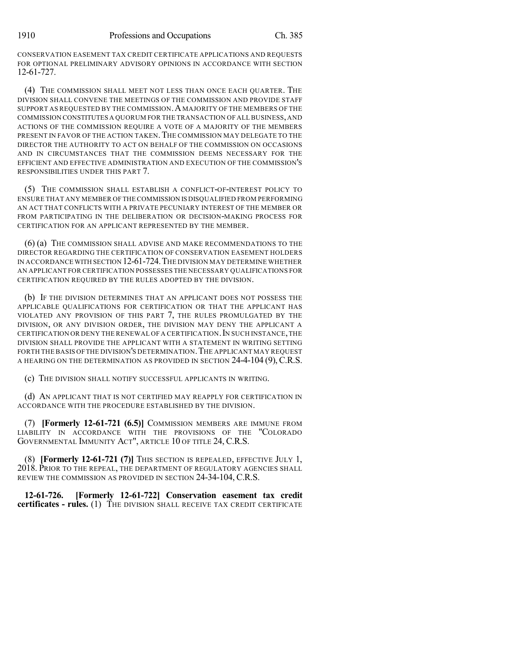CONSERVATION EASEMENT TAX CREDIT CERTIFICATE APPLICATIONS AND REQUESTS FOR OPTIONAL PRELIMINARY ADVISORY OPINIONS IN ACCORDANCE WITH SECTION 12-61-727.

(4) THE COMMISSION SHALL MEET NOT LESS THAN ONCE EACH QUARTER. THE DIVISION SHALL CONVENE THE MEETINGS OF THE COMMISSION AND PROVIDE STAFF SUPPORT AS REQUESTED BY THE COMMISSION.A MAJORITY OF THE MEMBERS OF THE COMMISSION CONSTITUTES A QUORUM FOR THE TRANSACTION OF ALLBUSINESS,AND ACTIONS OF THE COMMISSION REQUIRE A VOTE OF A MAJORITY OF THE MEMBERS PRESENT IN FAVOR OF THE ACTION TAKEN. THE COMMISSION MAY DELEGATE TO THE DIRECTOR THE AUTHORITY TO ACT ON BEHALF OF THE COMMISSION ON OCCASIONS AND IN CIRCUMSTANCES THAT THE COMMISSION DEEMS NECESSARY FOR THE EFFICIENT AND EFFECTIVE ADMINISTRATION AND EXECUTION OF THE COMMISSION'S RESPONSIBILITIES UNDER THIS PART 7.

(5) THE COMMISSION SHALL ESTABLISH A CONFLICT-OF-INTEREST POLICY TO ENSURE THAT ANY MEMBER OF THE COMMISSION IS DISQUALIFIED FROM PERFORMING AN ACT THAT CONFLICTS WITH A PRIVATE PECUNIARY INTEREST OF THE MEMBER OR FROM PARTICIPATING IN THE DELIBERATION OR DECISION-MAKING PROCESS FOR CERTIFICATION FOR AN APPLICANT REPRESENTED BY THE MEMBER.

(6) (a) THE COMMISSION SHALL ADVISE AND MAKE RECOMMENDATIONS TO THE DIRECTOR REGARDING THE CERTIFICATION OF CONSERVATION EASEMENT HOLDERS IN ACCORDANCE WITH SECTION 12-61-724.THE DIVISION MAY DETERMINE WHETHER AN APPLICANT FOR CERTIFICATION POSSESSES THE NECESSARY QUALIFICATIONS FOR CERTIFICATION REQUIRED BY THE RULES ADOPTED BY THE DIVISION.

(b) IF THE DIVISION DETERMINES THAT AN APPLICANT DOES NOT POSSESS THE APPLICABLE QUALIFICATIONS FOR CERTIFICATION OR THAT THE APPLICANT HAS VIOLATED ANY PROVISION OF THIS PART 7, THE RULES PROMULGATED BY THE DIVISION, OR ANY DIVISION ORDER, THE DIVISION MAY DENY THE APPLICANT A CERTIFICATION OR DENY THE RENEWAL OF A CERTIFICATION. IN SUCH INSTANCE, THE DIVISION SHALL PROVIDE THE APPLICANT WITH A STATEMENT IN WRITING SETTING FORTH THE BASIS OF THE DIVISION'S DETERMINATION. THE APPLICANT MAY REQUEST A HEARING ON THE DETERMINATION AS PROVIDED IN SECTION 24-4-104 (9), C.R.S.

(c) THE DIVISION SHALL NOTIFY SUCCESSFUL APPLICANTS IN WRITING.

(d) AN APPLICANT THAT IS NOT CERTIFIED MAY REAPPLY FOR CERTIFICATION IN ACCORDANCE WITH THE PROCEDURE ESTABLISHED BY THE DIVISION.

(7) **[Formerly 12-61-721 (6.5)]** COMMISSION MEMBERS ARE IMMUNE FROM LIABILITY IN ACCORDANCE WITH THE PROVISIONS OF THE "COLORADO GOVERNMENTAL IMMUNITY ACT", ARTICLE 10 OF TITLE 24, C.R.S.

(8) **[Formerly 12-61-721 (7)]** THIS SECTION IS REPEALED, EFFECTIVE JULY 1, 2018. PRIOR TO THE REPEAL, THE DEPARTMENT OF REGULATORY AGENCIES SHALL REVIEW THE COMMISSION AS PROVIDED IN SECTION 24-34-104, C.R.S.

**12-61-726. [Formerly 12-61-722] Conservation easement tax credit certificates - rules.** (1) THE DIVISION SHALL RECEIVE TAX CREDIT CERTIFICATE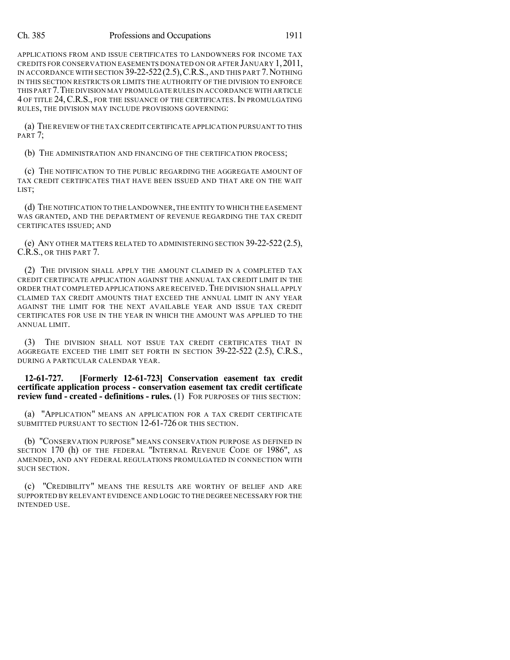#### Ch. 385 Professions and Occupations 1911

APPLICATIONS FROM AND ISSUE CERTIFICATES TO LANDOWNERS FOR INCOME TAX CREDITS FOR CONSERVATION EASEMENTS DONATED ON OR AFTER JANUARY 1,2011, IN ACCORDANCE WITH SECTION 39-22-522(2.5),C.R.S., AND THIS PART 7.NOTHING IN THIS SECTION RESTRICTS OR LIMITS THE AUTHORITY OF THE DIVISION TO ENFORCE THIS PART 7.THE DIVISION MAY PROMULGATE RULES IN ACCORDANCE WITH ARTICLE 4 OF TITLE 24, C.R.S., FOR THE ISSUANCE OF THE CERTIFICATES. IN PROMULGATING RULES, THE DIVISION MAY INCLUDE PROVISIONS GOVERNING:

(a) THE REVIEW OF THE TAX CREDIT CERTIFICATE APPLICATION PURSUANT TO THIS PART<sub>7</sub>;

(b) THE ADMINISTRATION AND FINANCING OF THE CERTIFICATION PROCESS;

(c) THE NOTIFICATION TO THE PUBLIC REGARDING THE AGGREGATE AMOUNT OF TAX CREDIT CERTIFICATES THAT HAVE BEEN ISSUED AND THAT ARE ON THE WAIT LIST;

(d) THE NOTIFICATION TO THE LANDOWNER,THE ENTITY TO WHICH THE EASEMENT WAS GRANTED, AND THE DEPARTMENT OF REVENUE REGARDING THE TAX CREDIT CERTIFICATES ISSUED; AND

(e) ANY OTHER MATTERS RELATED TO ADMINISTERING SECTION 39-22-522 (2.5), C.R.S., OR THIS PART 7.

(2) THE DIVISION SHALL APPLY THE AMOUNT CLAIMED IN A COMPLETED TAX CREDIT CERTIFICATE APPLICATION AGAINST THE ANNUAL TAX CREDIT LIMIT IN THE ORDER THAT COMPLETED APPLICATIONS ARE RECEIVED.THE DIVISION SHALL APPLY CLAIMED TAX CREDIT AMOUNTS THAT EXCEED THE ANNUAL LIMIT IN ANY YEAR AGAINST THE LIMIT FOR THE NEXT AVAILABLE YEAR AND ISSUE TAX CREDIT CERTIFICATES FOR USE IN THE YEAR IN WHICH THE AMOUNT WAS APPLIED TO THE ANNUAL LIMIT.

(3) THE DIVISION SHALL NOT ISSUE TAX CREDIT CERTIFICATES THAT IN AGGREGATE EXCEED THE LIMIT SET FORTH IN SECTION 39-22-522 (2.5), C.R.S., DURING A PARTICULAR CALENDAR YEAR.

**12-61-727. [Formerly 12-61-723] Conservation easement tax credit certificate application process - conservation easement tax credit certificate review fund - created - definitions - rules.** (1) FOR PURPOSES OF THIS SECTION:

(a) "APPLICATION" MEANS AN APPLICATION FOR A TAX CREDIT CERTIFICATE SUBMITTED PURSUANT TO SECTION 12-61-726 OR THIS SECTION.

(b) "CONSERVATION PURPOSE" MEANS CONSERVATION PURPOSE AS DEFINED IN SECTION 170 (h) OF THE FEDERAL "INTERNAL REVENUE CODE OF 1986", AS AMENDED, AND ANY FEDERAL REGULATIONS PROMULGATED IN CONNECTION WITH SUCH SECTION.

(c) "CREDIBILITY" MEANS THE RESULTS ARE WORTHY OF BELIEF AND ARE SUPPORTED BY RELEVANT EVIDENCE AND LOGIC TO THE DEGREE NECESSARY FOR THE INTENDED USE.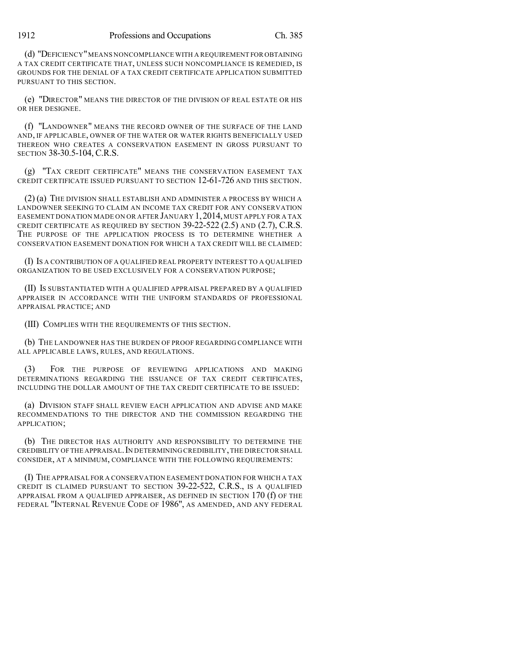(d) "DEFICIENCY"MEANS NONCOMPLIANCE WITH A REQUIREMENT FOR OBTAINING A TAX CREDIT CERTIFICATE THAT, UNLESS SUCH NONCOMPLIANCE IS REMEDIED, IS GROUNDS FOR THE DENIAL OF A TAX CREDIT CERTIFICATE APPLICATION SUBMITTED PURSUANT TO THIS SECTION.

(e) "DIRECTOR" MEANS THE DIRECTOR OF THE DIVISION OF REAL ESTATE OR HIS OR HER DESIGNEE.

(f) "LANDOWNER" MEANS THE RECORD OWNER OF THE SURFACE OF THE LAND AND, IF APPLICABLE, OWNER OF THE WATER OR WATER RIGHTS BENEFICIALLY USED THEREON WHO CREATES A CONSERVATION EASEMENT IN GROSS PURSUANT TO SECTION 38-30.5-104, C.R.S.

(g) "TAX CREDIT CERTIFICATE" MEANS THE CONSERVATION EASEMENT TAX CREDIT CERTIFICATE ISSUED PURSUANT TO SECTION 12-61-726 AND THIS SECTION.

(2) (a) THE DIVISION SHALL ESTABLISH AND ADMINISTER A PROCESS BY WHICH A LANDOWNER SEEKING TO CLAIM AN INCOME TAX CREDIT FOR ANY CONSERVATION EASEMENT DONATION MADE ON OR AFTER JANUARY 1,2014, MUST APPLY FOR A TAX CREDIT CERTIFICATE AS REQUIRED BY SECTION 39-22-522 (2.5) AND (2.7), C.R.S. THE PURPOSE OF THE APPLICATION PROCESS IS TO DETERMINE WHETHER A CONSERVATION EASEMENT DONATION FOR WHICH A TAX CREDIT WILL BE CLAIMED:

(I) IS A CONTRIBUTION OF A QUALIFIED REAL PROPERTY INTEREST TO A QUALIFIED ORGANIZATION TO BE USED EXCLUSIVELY FOR A CONSERVATION PURPOSE;

(II) IS SUBSTANTIATED WITH A QUALIFIED APPRAISAL PREPARED BY A QUALIFIED APPRAISER IN ACCORDANCE WITH THE UNIFORM STANDARDS OF PROFESSIONAL APPRAISAL PRACTICE; AND

(III) COMPLIES WITH THE REQUIREMENTS OF THIS SECTION.

(b) THE LANDOWNER HAS THE BURDEN OF PROOF REGARDING COMPLIANCE WITH ALL APPLICABLE LAWS, RULES, AND REGULATIONS.

(3) FOR THE PURPOSE OF REVIEWING APPLICATIONS AND MAKING DETERMINATIONS REGARDING THE ISSUANCE OF TAX CREDIT CERTIFICATES, INCLUDING THE DOLLAR AMOUNT OF THE TAX CREDIT CERTIFICATE TO BE ISSUED:

(a) DIVISION STAFF SHALL REVIEW EACH APPLICATION AND ADVISE AND MAKE RECOMMENDATIONS TO THE DIRECTOR AND THE COMMISSION REGARDING THE APPLICATION;

(b) THE DIRECTOR HAS AUTHORITY AND RESPONSIBILITY TO DETERMINE THE CREDIBILITY OFTHE APPRAISAL.IN DETERMINING CREDIBILITY,THE DIRECTOR SHALL CONSIDER, AT A MINIMUM, COMPLIANCE WITH THE FOLLOWING REQUIREMENTS:

(I) THE APPRAISAL FOR A CONSERVATION EASEMENT DONATION FOR WHICH A TAX CREDIT IS CLAIMED PURSUANT TO SECTION 39-22-522, C.R.S., IS A QUALIFIED APPRAISAL FROM A QUALIFIED APPRAISER, AS DEFINED IN SECTION 170 (f) OF THE FEDERAL "INTERNAL REVENUE CODE OF 1986", AS AMENDED, AND ANY FEDERAL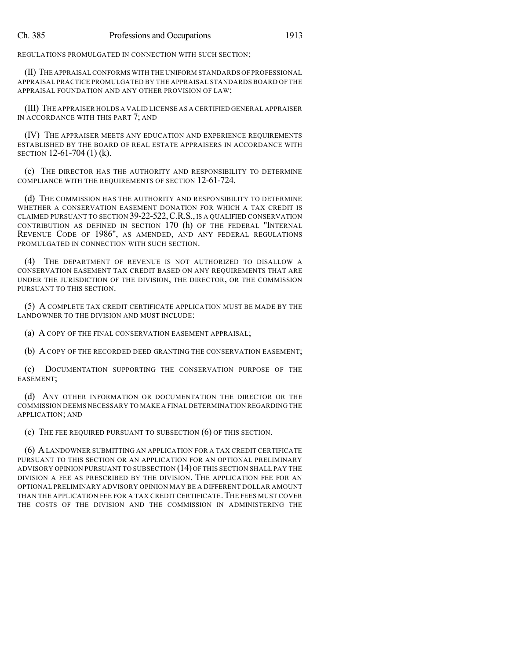REGULATIONS PROMULGATED IN CONNECTION WITH SUCH SECTION;

(II) THE APPRAISAL CONFORMS WITH THE UNIFORM STANDARDS OF PROFESSIONAL APPRAISAL PRACTICE PROMULGATED BY THE APPRAISAL STANDARDS BOARD OF THE APPRAISAL FOUNDATION AND ANY OTHER PROVISION OF LAW;

(III) THE APPRAISER HOLDS A VALID LICENSE AS A CERTIFIED GENERAL APPRAISER IN ACCORDANCE WITH THIS PART 7; AND

(IV) THE APPRAISER MEETS ANY EDUCATION AND EXPERIENCE REQUIREMENTS ESTABLISHED BY THE BOARD OF REAL ESTATE APPRAISERS IN ACCORDANCE WITH SECTION 12-61-704 (1) (k).

(c) THE DIRECTOR HAS THE AUTHORITY AND RESPONSIBILITY TO DETERMINE COMPLIANCE WITH THE REQUIREMENTS OF SECTION 12-61-724.

(d) THE COMMISSION HAS THE AUTHORITY AND RESPONSIBILITY TO DETERMINE WHETHER A CONSERVATION EASEMENT DONATION FOR WHICH A TAX CREDIT IS CLAIMED PURSUANT TO SECTION 39-22-522,C.R.S., IS A QUALIFIED CONSERVATION CONTRIBUTION AS DEFINED IN SECTION 170 (h) OF THE FEDERAL "INTERNAL REVENUE CODE OF 1986", AS AMENDED, AND ANY FEDERAL REGULATIONS PROMULGATED IN CONNECTION WITH SUCH SECTION.

(4) THE DEPARTMENT OF REVENUE IS NOT AUTHORIZED TO DISALLOW A CONSERVATION EASEMENT TAX CREDIT BASED ON ANY REQUIREMENTS THAT ARE UNDER THE JURISDICTION OF THE DIVISION, THE DIRECTOR, OR THE COMMISSION PURSUANT TO THIS SECTION.

(5) A COMPLETE TAX CREDIT CERTIFICATE APPLICATION MUST BE MADE BY THE LANDOWNER TO THE DIVISION AND MUST INCLUDE:

(a) A COPY OF THE FINAL CONSERVATION EASEMENT APPRAISAL;

(b) A COPY OF THE RECORDED DEED GRANTING THE CONSERVATION EASEMENT;

(c) DOCUMENTATION SUPPORTING THE CONSERVATION PURPOSE OF THE EASEMENT;

(d) ANY OTHER INFORMATION OR DOCUMENTATION THE DIRECTOR OR THE COMMISSION DEEMS NECESSARY TO MAKE A FINAL DETERMINATION REGARDING THE APPLICATION; AND

(e) THE FEE REQUIRED PURSUANT TO SUBSECTION (6) OF THIS SECTION.

(6) ALANDOWNER SUBMITTING AN APPLICATION FOR A TAX CREDIT CERTIFICATE PURSUANT TO THIS SECTION OR AN APPLICATION FOR AN OPTIONAL PRELIMINARY ADVISORY OPINION PURSUANT TO SUBSECTION (14)OF THIS SECTION SHALL PAY THE DIVISION A FEE AS PRESCRIBED BY THE DIVISION. THE APPLICATION FEE FOR AN OPTIONAL PRELIMINARY ADVISORY OPINION MAY BE A DIFFERENT DOLLAR AMOUNT THAN THE APPLICATION FEE FOR A TAX CREDIT CERTIFICATE. THE FEES MUST COVER THE COSTS OF THE DIVISION AND THE COMMISSION IN ADMINISTERING THE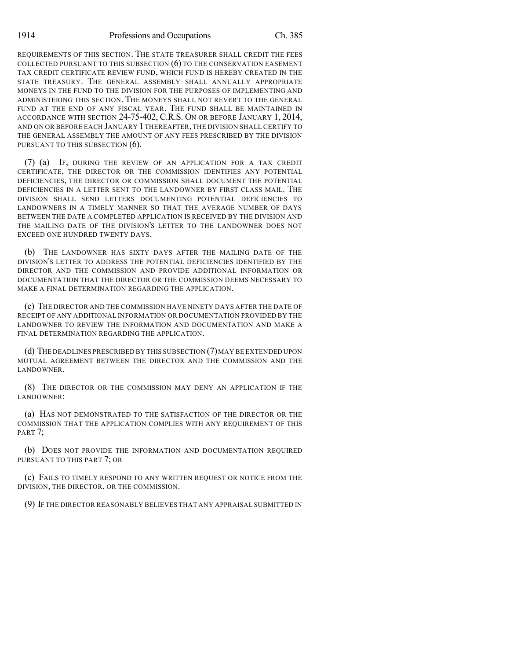REQUIREMENTS OF THIS SECTION. THE STATE TREASURER SHALL CREDIT THE FEES COLLECTED PURSUANT TO THIS SUBSECTION (6) TO THE CONSERVATION EASEMENT TAX CREDIT CERTIFICATE REVIEW FUND, WHICH FUND IS HEREBY CREATED IN THE STATE TREASURY. THE GENERAL ASSEMBLY SHALL ANNUALLY APPROPRIATE MONEYS IN THE FUND TO THE DIVISION FOR THE PURPOSES OF IMPLEMENTING AND ADMINISTERING THIS SECTION. THE MONEYS SHALL NOT REVERT TO THE GENERAL FUND AT THE END OF ANY FISCAL YEAR. THE FUND SHALL BE MAINTAINED IN ACCORDANCE WITH SECTION 24-75-402, C.R.S. ON OR BEFORE JANUARY 1, 2014, AND ON OR BEFORE EACH JANUARY 1 THEREAFTER, THE DIVISION SHALL CERTIFY TO THE GENERAL ASSEMBLY THE AMOUNT OF ANY FEES PRESCRIBED BY THE DIVISION PURSUANT TO THIS SUBSECTION (6).

(7) (a) IF, DURING THE REVIEW OF AN APPLICATION FOR A TAX CREDIT CERTIFICATE, THE DIRECTOR OR THE COMMISSION IDENTIFIES ANY POTENTIAL DEFICIENCIES, THE DIRECTOR OR COMMISSION SHALL DOCUMENT THE POTENTIAL DEFICIENCIES IN A LETTER SENT TO THE LANDOWNER BY FIRST CLASS MAIL. THE DIVISION SHALL SEND LETTERS DOCUMENTING POTENTIAL DEFICIENCIES TO LANDOWNERS IN A TIMELY MANNER SO THAT THE AVERAGE NUMBER OF DAYS BETWEEN THE DATE A COMPLETED APPLICATION IS RECEIVED BY THE DIVISION AND THE MAILING DATE OF THE DIVISION'S LETTER TO THE LANDOWNER DOES NOT EXCEED ONE HUNDRED TWENTY DAYS.

(b) THE LANDOWNER HAS SIXTY DAYS AFTER THE MAILING DATE OF THE DIVISION'S LETTER TO ADDRESS THE POTENTIAL DEFICIENCIES IDENTIFIED BY THE DIRECTOR AND THE COMMISSION AND PROVIDE ADDITIONAL INFORMATION OR DOCUMENTATION THAT THE DIRECTOR OR THE COMMISSION DEEMS NECESSARY TO MAKE A FINAL DETERMINATION REGARDING THE APPLICATION.

(c) THE DIRECTOR AND THE COMMISSION HAVE NINETY DAYS AFTER THE DATE OF RECEIPT OF ANY ADDITIONAL INFORMATION OR DOCUMENTATION PROVIDED BY THE LANDOWNER TO REVIEW THE INFORMATION AND DOCUMENTATION AND MAKE A FINAL DETERMINATION REGARDING THE APPLICATION.

(d) THE DEADLINES PRESCRIBED BY THIS SUBSECTION (7)MAY BE EXTENDED UPON MUTUAL AGREEMENT BETWEEN THE DIRECTOR AND THE COMMISSION AND THE LANDOWNER.

(8) THE DIRECTOR OR THE COMMISSION MAY DENY AN APPLICATION IF THE LANDOWNER:

(a) HAS NOT DEMONSTRATED TO THE SATISFACTION OF THE DIRECTOR OR THE COMMISSION THAT THE APPLICATION COMPLIES WITH ANY REQUIREMENT OF THIS PART<sub>7</sub>:

(b) DOES NOT PROVIDE THE INFORMATION AND DOCUMENTATION REQUIRED PURSUANT TO THIS PART 7; OR

(c) FAILS TO TIMELY RESPOND TO ANY WRITTEN REQUEST OR NOTICE FROM THE DIVISION, THE DIRECTOR, OR THE COMMISSION.

(9) IF THE DIRECTOR REASONABLY BELIEVES THAT ANY APPRAISAL SUBMITTED IN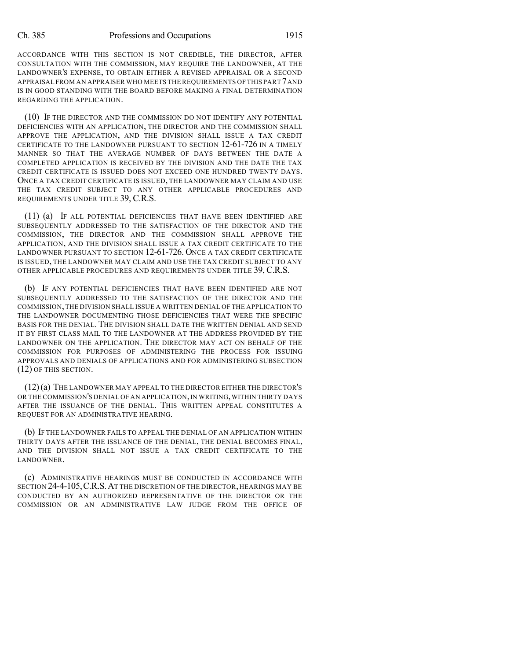ACCORDANCE WITH THIS SECTION IS NOT CREDIBLE, THE DIRECTOR, AFTER CONSULTATION WITH THE COMMISSION, MAY REQUIRE THE LANDOWNER, AT THE LANDOWNER'S EXPENSE, TO OBTAIN EITHER A REVISED APPRAISAL OR A SECOND APPRAISAL FROM AN APPRAISER WHO MEETS THE REQUIREMENTS OF THIS PART 7AND IS IN GOOD STANDING WITH THE BOARD BEFORE MAKING A FINAL DETERMINATION REGARDING THE APPLICATION.

(10) IF THE DIRECTOR AND THE COMMISSION DO NOT IDENTIFY ANY POTENTIAL DEFICIENCIES WITH AN APPLICATION, THE DIRECTOR AND THE COMMISSION SHALL APPROVE THE APPLICATION, AND THE DIVISION SHALL ISSUE A TAX CREDIT CERTIFICATE TO THE LANDOWNER PURSUANT TO SECTION 12-61-726 IN A TIMELY MANNER SO THAT THE AVERAGE NUMBER OF DAYS BETWEEN THE DATE A COMPLETED APPLICATION IS RECEIVED BY THE DIVISION AND THE DATE THE TAX CREDIT CERTIFICATE IS ISSUED DOES NOT EXCEED ONE HUNDRED TWENTY DAYS. ONCE A TAX CREDIT CERTIFICATE IS ISSUED, THE LANDOWNER MAY CLAIM AND USE THE TAX CREDIT SUBJECT TO ANY OTHER APPLICABLE PROCEDURES AND REQUIREMENTS UNDER TITLE 39, C.R.S.

(11) (a) IF ALL POTENTIAL DEFICIENCIES THAT HAVE BEEN IDENTIFIED ARE SUBSEQUENTLY ADDRESSED TO THE SATISFACTION OF THE DIRECTOR AND THE COMMISSION, THE DIRECTOR AND THE COMMISSION SHALL APPROVE THE APPLICATION, AND THE DIVISION SHALL ISSUE A TAX CREDIT CERTIFICATE TO THE LANDOWNER PURSUANT TO SECTION 12-61-726. ONCE A TAX CREDIT CERTIFICATE IS ISSUED, THE LANDOWNER MAY CLAIM AND USE THE TAX CREDIT SUBJECT TO ANY OTHER APPLICABLE PROCEDURES AND REQUIREMENTS UNDER TITLE 39, C.R.S.

(b) IF ANY POTENTIAL DEFICIENCIES THAT HAVE BEEN IDENTIFIED ARE NOT SUBSEQUENTLY ADDRESSED TO THE SATISFACTION OF THE DIRECTOR AND THE COMMISSION,THE DIVISION SHALL ISSUE A WRITTEN DENIAL OF THE APPLICATION TO THE LANDOWNER DOCUMENTING THOSE DEFICIENCIES THAT WERE THE SPECIFIC BASIS FOR THE DENIAL. THE DIVISION SHALL DATE THE WRITTEN DENIAL AND SEND IT BY FIRST CLASS MAIL TO THE LANDOWNER AT THE ADDRESS PROVIDED BY THE LANDOWNER ON THE APPLICATION. THE DIRECTOR MAY ACT ON BEHALF OF THE COMMISSION FOR PURPOSES OF ADMINISTERING THE PROCESS FOR ISSUING APPROVALS AND DENIALS OF APPLICATIONS AND FOR ADMINISTERING SUBSECTION (12) OF THIS SECTION.

(12)(a) THE LANDOWNER MAY APPEAL TO THE DIRECTOR EITHER THE DIRECTOR'S OR THE COMMISSION'S DENIAL OF AN APPLICATION, IN WRITING, WITHIN THIRTY DAYS AFTER THE ISSUANCE OF THE DENIAL. THIS WRITTEN APPEAL CONSTITUTES A REQUEST FOR AN ADMINISTRATIVE HEARING.

(b) IF THE LANDOWNER FAILS TO APPEAL THE DENIAL OF AN APPLICATION WITHIN THIRTY DAYS AFTER THE ISSUANCE OF THE DENIAL, THE DENIAL BECOMES FINAL, AND THE DIVISION SHALL NOT ISSUE A TAX CREDIT CERTIFICATE TO THE LANDOWNER.

(c) ADMINISTRATIVE HEARINGS MUST BE CONDUCTED IN ACCORDANCE WITH SECTION 24-4-105,C.R.S.AT THE DISCRETION OF THE DIRECTOR, HEARINGS MAY BE CONDUCTED BY AN AUTHORIZED REPRESENTATIVE OF THE DIRECTOR OR THE COMMISSION OR AN ADMINISTRATIVE LAW JUDGE FROM THE OFFICE OF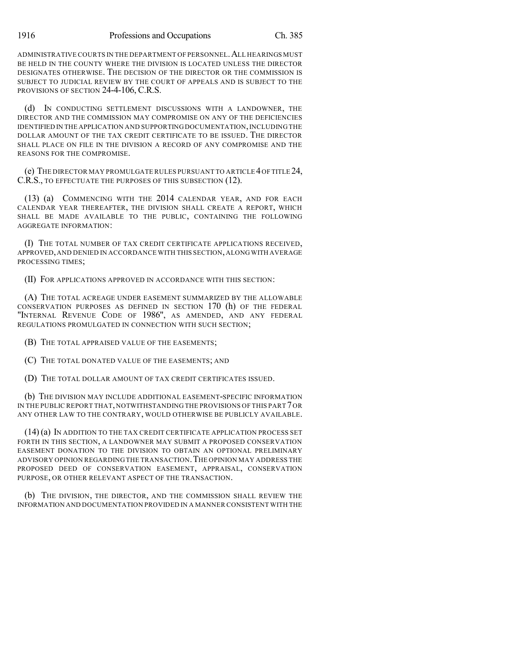ADMINISTRATIVE COURTS IN THE DEPARTMENT OF PERSONNEL.ALL HEARINGS MUST BE HELD IN THE COUNTY WHERE THE DIVISION IS LOCATED UNLESS THE DIRECTOR DESIGNATES OTHERWISE. THE DECISION OF THE DIRECTOR OR THE COMMISSION IS SUBJECT TO JUDICIAL REVIEW BY THE COURT OF APPEALS AND IS SUBJECT TO THE PROVISIONS OF SECTION 24-4-106, C.R.S.

(d) IN CONDUCTING SETTLEMENT DISCUSSIONS WITH A LANDOWNER, THE DIRECTOR AND THE COMMISSION MAY COMPROMISE ON ANY OF THE DEFICIENCIES IDENTIFIED IN THE APPLICATION AND SUPPORTING DOCUMENTATION, INCLUDING THE DOLLAR AMOUNT OF THE TAX CREDIT CERTIFICATE TO BE ISSUED. THE DIRECTOR SHALL PLACE ON FILE IN THE DIVISION A RECORD OF ANY COMPROMISE AND THE REASONS FOR THE COMPROMISE.

(e) THE DIRECTOR MAY PROMULGATE RULES PURSUANT TO ARTICLE 4OF TITLE 24, C.R.S., TO EFFECTUATE THE PURPOSES OF THIS SUBSECTION (12).

(13) (a) COMMENCING WITH THE 2014 CALENDAR YEAR, AND FOR EACH CALENDAR YEAR THEREAFTER, THE DIVISION SHALL CREATE A REPORT, WHICH SHALL BE MADE AVAILABLE TO THE PUBLIC, CONTAINING THE FOLLOWING AGGREGATE INFORMATION:

(I) THE TOTAL NUMBER OF TAX CREDIT CERTIFICATE APPLICATIONS RECEIVED, APPROVED,AND DENIED IN ACCORDANCE WITH THIS SECTION,ALONG WITH AVERAGE PROCESSING TIMES;

(II) FOR APPLICATIONS APPROVED IN ACCORDANCE WITH THIS SECTION:

(A) THE TOTAL ACREAGE UNDER EASEMENT SUMMARIZED BY THE ALLOWABLE CONSERVATION PURPOSES AS DEFINED IN SECTION 170 (h) OF THE FEDERAL "INTERNAL REVENUE CODE OF 1986", AS AMENDED, AND ANY FEDERAL REGULATIONS PROMULGATED IN CONNECTION WITH SUCH SECTION;

(B) THE TOTAL APPRAISED VALUE OF THE EASEMENTS;

(C) THE TOTAL DONATED VALUE OF THE EASEMENTS; AND

(D) THE TOTAL DOLLAR AMOUNT OF TAX CREDIT CERTIFICATES ISSUED.

(b) THE DIVISION MAY INCLUDE ADDITIONAL EASEMENT-SPECIFIC INFORMATION IN THE PUBLIC REPORT THAT, NOTWITHSTANDING THE PROVISIONS OF THIS PART 7OR ANY OTHER LAW TO THE CONTRARY, WOULD OTHERWISE BE PUBLICLY AVAILABLE.

(14) (a) IN ADDITION TO THE TAX CREDIT CERTIFICATE APPLICATION PROCESS SET FORTH IN THIS SECTION, A LANDOWNER MAY SUBMIT A PROPOSED CONSERVATION EASEMENT DONATION TO THE DIVISION TO OBTAIN AN OPTIONAL PRELIMINARY ADVISORY OPINION REGARDING THE TRANSACTION.THE OPINION MAY ADDRESS THE PROPOSED DEED OF CONSERVATION EASEMENT, APPRAISAL, CONSERVATION PURPOSE, OR OTHER RELEVANT ASPECT OF THE TRANSACTION.

(b) THE DIVISION, THE DIRECTOR, AND THE COMMISSION SHALL REVIEW THE INFORMATION AND DOCUMENTATION PROVIDED IN A MANNER CONSISTENT WITH THE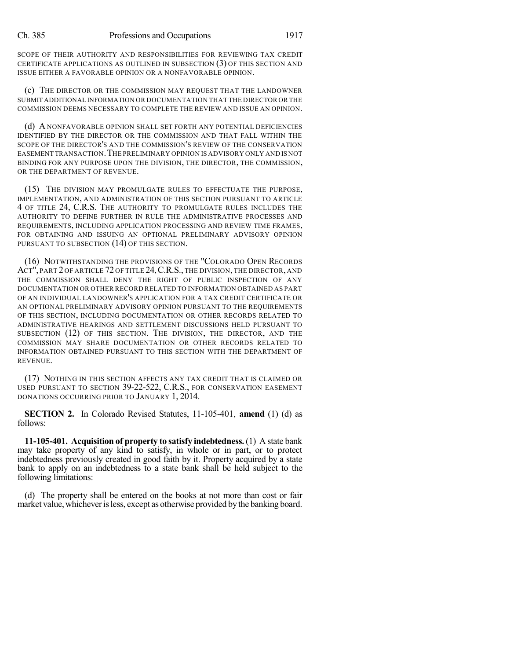SCOPE OF THEIR AUTHORITY AND RESPONSIBILITIES FOR REVIEWING TAX CREDIT CERTIFICATE APPLICATIONS AS OUTLINED IN SUBSECTION (3) OF THIS SECTION AND ISSUE EITHER A FAVORABLE OPINION OR A NONFAVORABLE OPINION.

(c) THE DIRECTOR OR THE COMMISSION MAY REQUEST THAT THE LANDOWNER SUBMIT ADDITIONAL INFORMATION OR DOCUMENTATION THAT THE DIRECTOR OR THE COMMISSION DEEMS NECESSARY TO COMPLETE THE REVIEW AND ISSUE AN OPINION.

(d) A NONFAVORABLE OPINION SHALL SET FORTH ANY POTENTIAL DEFICIENCIES IDENTIFIED BY THE DIRECTOR OR THE COMMISSION AND THAT FALL WITHIN THE SCOPE OF THE DIRECTOR'S AND THE COMMISSION'S REVIEW OF THE CONSERVATION EASEMENT TRANSACTION. THE PRELIMINARY OPINION IS ADVISORY ONLY AND IS NOT BINDING FOR ANY PURPOSE UPON THE DIVISION, THE DIRECTOR, THE COMMISSION, OR THE DEPARTMENT OF REVENUE.

(15) THE DIVISION MAY PROMULGATE RULES TO EFFECTUATE THE PURPOSE, IMPLEMENTATION, AND ADMINISTRATION OF THIS SECTION PURSUANT TO ARTICLE 4 OF TITLE 24, C.R.S. THE AUTHORITY TO PROMULGATE RULES INCLUDES THE AUTHORITY TO DEFINE FURTHER IN RULE THE ADMINISTRATIVE PROCESSES AND REQUIREMENTS, INCLUDING APPLICATION PROCESSING AND REVIEW TIME FRAMES, FOR OBTAINING AND ISSUING AN OPTIONAL PRELIMINARY ADVISORY OPINION PURSUANT TO SUBSECTION  $(14)$  OF THIS SECTION.

(16) NOTWITHSTANDING THE PROVISIONS OF THE "COLORADO OPEN RECORDS ACT", PART 2 OF ARTICLE 72 OF TITLE 24,C.R.S., THE DIVISION, THE DIRECTOR, AND THE COMMISSION SHALL DENY THE RIGHT OF PUBLIC INSPECTION OF ANY DOCUMENTATION OR OTHER RECORD RELATED TO INFORMATION OBTAINED AS PART OF AN INDIVIDUAL LANDOWNER'S APPLICATION FOR A TAX CREDIT CERTIFICATE OR AN OPTIONAL PRELIMINARY ADVISORY OPINION PURSUANT TO THE REQUIREMENTS OF THIS SECTION, INCLUDING DOCUMENTATION OR OTHER RECORDS RELATED TO ADMINISTRATIVE HEARINGS AND SETTLEMENT DISCUSSIONS HELD PURSUANT TO SUBSECTION (12) OF THIS SECTION. THE DIVISION, THE DIRECTOR, AND THE COMMISSION MAY SHARE DOCUMENTATION OR OTHER RECORDS RELATED TO INFORMATION OBTAINED PURSUANT TO THIS SECTION WITH THE DEPARTMENT OF REVENUE.

(17) NOTHING IN THIS SECTION AFFECTS ANY TAX CREDIT THAT IS CLAIMED OR USED PURSUANT TO SECTION 39-22-522, C.R.S., FOR CONSERVATION EASEMENT DONATIONS OCCURRING PRIOR TO JANUARY 1, 2014.

**SECTION 2.** In Colorado Revised Statutes, 11-105-401, **amend** (1) (d) as follows:

**11-105-401. Acquisition of property to satisfy indebtedness.**(1) A state bank may take property of any kind to satisfy, in whole or in part, or to protect indebtedness previously created in good faith by it. Property acquired by a state bank to apply on an indebtedness to a state bank shall be held subject to the following limitations:

(d) The property shall be entered on the books at not more than cost or fair market value, whichever is less, except as otherwise provided by the banking board.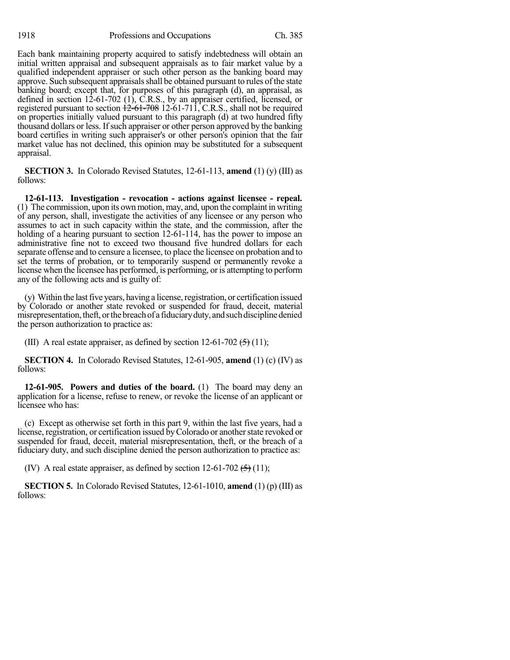Each bank maintaining property acquired to satisfy indebtedness will obtain an initial written appraisal and subsequent appraisals as to fair market value by a qualified independent appraiser or such other person as the banking board may approve. Such subsequent appraisals shall be obtained pursuant to rules of the state banking board; except that, for purposes of this paragraph (d), an appraisal, as defined in section 12-61-702 (1), C.R.S., by an appraiser certified, licensed, or registered pursuant to section  $\frac{12-61-708}{2}$  12-61-711, C.R.S., shall not be required on properties initially valued pursuant to this paragraph (d) at two hundred fifty thousand dollars or less. If such appraiser or other person approved by the banking board certifies in writing such appraiser's or other person's opinion that the fair market value has not declined, this opinion may be substituted for a subsequent appraisal.

**SECTION 3.** In Colorado Revised Statutes, 12-61-113, **amend** (1) (y) (III) as follows:

**12-61-113. Investigation - revocation - actions against licensee - repeal.** (1) The commission, upon its own motion, may, and, upon the complaint in writing of any person, shall, investigate the activities of any licensee or any person who assumes to act in such capacity within the state, and the commission, after the holding of a hearing pursuant to section 12-61-114, has the power to impose an administrative fine not to exceed two thousand five hundred dollars for each separate offense and to censure a licensee, to place the licensee on probation and to set the terms of probation, or to temporarily suspend or permanently revoke a license when the licensee has performed, is performing, or is attempting to perform any of the following acts and is guilty of:

(y) Within the last five years, having a license, registration, or certification issued by Colorado or another state revoked or suspended for fraud, deceit, material misrepresentation, theft, or the breach of a fiduciary duty, and such discipline denied the person authorization to practice as:

(III) A real estate appraiser, as defined by section 12-61-702  $\left(\frac{1}{2}\right)$  (11);

**SECTION 4.** In Colorado Revised Statutes, 12-61-905, **amend** (1) (c) (IV) as follows:

**12-61-905. Powers and duties of the board.** (1) The board may deny an application for a license, refuse to renew, or revoke the license of an applicant or licensee who has:

(c) Except as otherwise set forth in this part 9, within the last five years, had a license, registration, or certification issued by Colorado or another state revoked or suspended for fraud, deceit, material misrepresentation, theft, or the breach of a fiduciary duty, and such discipline denied the person authorization to practice as:

(IV) A real estate appraiser, as defined by section 12-61-702  $\left(\frac{1}{2}\right)$  (11);

**SECTION 5.** In Colorado Revised Statutes, 12-61-1010, **amend** (1) (p) (III) as follows: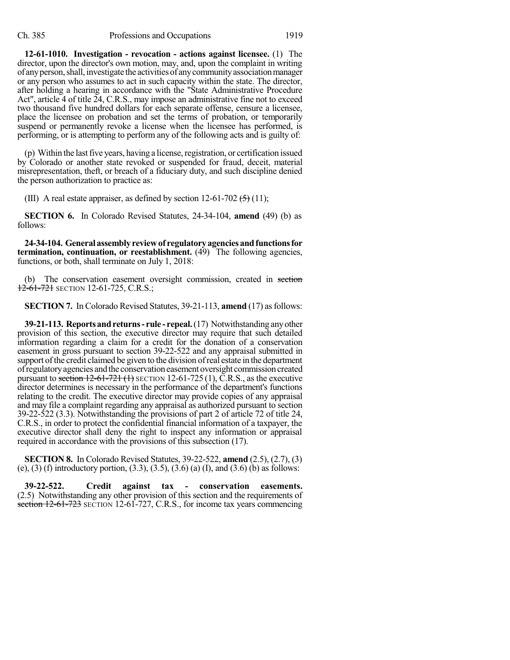**12-61-1010. Investigation - revocation - actions against licensee.** (1) The director, upon the director's own motion, may, and, upon the complaint in writing of anyperson,shall,investigate the activitiesof anycommunityassociationmanager or any person who assumes to act in such capacity within the state. The director, after holding a hearing in accordance with the "State Administrative Procedure Act", article 4 of title 24, C.R.S., may impose an administrative fine not to exceed two thousand five hundred dollars for each separate offense, censure a licensee, place the licensee on probation and set the terms of probation, or temporarily suspend or permanently revoke a license when the licensee has performed, is performing, or is attempting to perform any of the following acts and is guilty of:

 $(p)$  Within the last five years, having a license, registration, or certification issued by Colorado or another state revoked or suspended for fraud, deceit, material misrepresentation, theft, or breach of a fiduciary duty, and such discipline denied the person authorization to practice as:

(III) A real estate appraiser, as defined by section 12-61-702  $\left(\frac{1}{2}\right)$  (11);

**SECTION 6.** In Colorado Revised Statutes, 24-34-104, **amend** (49) (b) as follows:

**24-34-104. Generalassemblyreviewof regulatoryagenciesandfunctionsfor termination, continuation, or reestablishment.** (49) The following agencies, functions, or both, shall terminate on July 1, 2018:

(b) The conservation easement oversight commission, created in section 12-61-721 SECTION 12-61-725, C.R.S.;

**SECTION 7.** In Colorado Revised Statutes, 39-21-113, **amend** (17) as follows:

**39-21-113. Reportsandreturns- rule - repeal.**(17) Notwithstanding anyother provision of this section, the executive director may require that such detailed information regarding a claim for a credit for the donation of a conservation easement in gross pursuant to section 39-22-522 and any appraisal submitted in support ofthe credit claimed be given to the division ofreal estate in the department ofregulatoryagencies andthe conservationeasement oversight commissioncreated pursuant to section  $12-61-721$  (1) SECTION 12-61-725 (1), C.R.S., as the executive director determines is necessary in the performance of the department's functions relating to the credit. The executive director may provide copies of any appraisal and may file a complaint regarding any appraisal as authorized pursuant to section 39-22-522 (3.3). Notwithstanding the provisions of part 2 of article 72 of title 24, C.R.S., in order to protect the confidential financial information of a taxpayer, the executive director shall deny the right to inspect any information or appraisal required in accordance with the provisions of this subsection (17).

**SECTION 8.** In Colorado Revised Statutes, 39-22-522, **amend** (2.5), (2.7), (3) (e), (3) (f) introductory portion,  $(3.3)$ ,  $(3.5)$ ,  $(3.6)$  (a) (I), and  $(3.6)$  (b) as follows:

**39-22-522. Credit against tax - conservation easements.** (2.5) Notwithstanding any other provision of this section and the requirements of section 12-61-723 SECTION 12-61-727, C.R.S., for income tax years commencing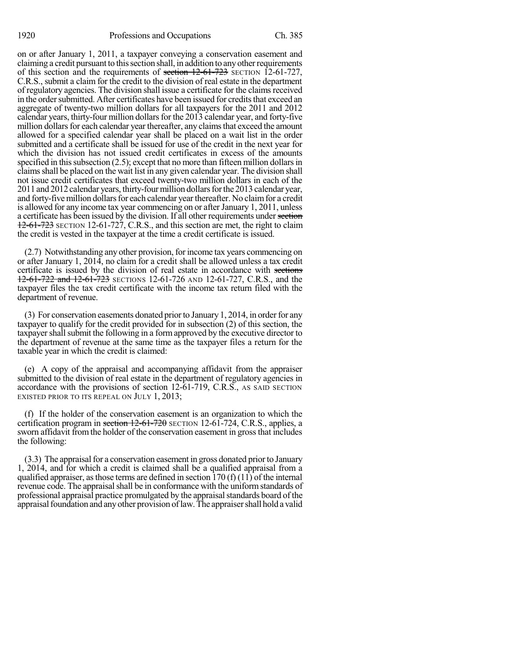on or after January 1, 2011, a taxpayer conveying a conservation easement and claiming a credit pursuant to this section shall, in addition to any other requirements of this section and the requirements of section  $12{\text -}61{\text -}723$  SECTION 12-61-727, C.R.S., submit a claim for the credit to the division of real estate in the department of regulatory agencies. The division shall issue a certificate for the claimsreceived in the order submitted. After certificates have been issued for credits that exceed an aggregate of twenty-two million dollars for all taxpayers for the 2011 and 2012 calendar years, thirty-four million dollars for the 2013 calendar year, and forty-five million dollars for each calendar year thereafter, any claims that exceed the amount allowed for a specified calendar year shall be placed on a wait list in the order submitted and a certificate shall be issued for use of the credit in the next year for which the division has not issued credit certificates in excess of the amounts specified in this subsection  $(2.5)$ ; except that no more than fifteen million dollars in claimsshall be placed on the wait list in any given calendar year. The division shall not issue credit certificates that exceed twenty-two million dollars in each of the 2011 and 2012 calendar years, thirty-four million dollars for the 2013 calendar year, and forty-five million dollars for each calendar year thereafter. No claim for a credit is allowed for any income tax year commencing on or after January 1, 2011, unless a certificate has been issued by the division. If all other requirements under section 12-61-723 SECTION 12-61-727, C.R.S., and this section are met, the right to claim the credit is vested in the taxpayer at the time a credit certificate is issued.

(2.7) Notwithstanding any other provision, forincome tax years commencing on or after January 1, 2014, no claim for a credit shall be allowed unless a tax credit certificate is issued by the division of real estate in accordance with sections 12-61-722 and 12-61-723 SECTIONS 12-61-726 AND 12-61-727, C.R.S., and the taxpayer files the tax credit certificate with the income tax return filed with the department of revenue.

(3) For conservation easements donated prior to January 1, 2014, in order for any taxpayer to qualify for the credit provided for in subsection (2) of this section, the taxpayer shall submit the following in a form approved by the executive director to the department of revenue at the same time as the taxpayer files a return for the taxable year in which the credit is claimed:

(e) A copy of the appraisal and accompanying affidavit from the appraiser submitted to the division of real estate in the department of regulatory agencies in accordance with the provisions of section 12-61-719, C.R.S., AS SAID SECTION EXISTED PRIOR TO ITS REPEAL ON JULY 1, 2013;

(f) If the holder of the conservation easement is an organization to which the certification program in section 12-61-720 SECTION 12-61-724, C.R.S., applies, a sworn affidavit from the holder of the conservation easement in gross that includes the following:

 $(3.3)$  The appraisal for a conservation easement in gross donated prior to January 1, 2014, and for which a credit is claimed shall be a qualified appraisal from a qualified appraiser, as those terms are defined in section  $170(f)(11)$  of the internal revenue code. The appraisal shall be in conformance with the uniform standards of professional appraisal practice promulgated by the appraisal standards board of the appraisal foundation and any other provision of law. The appraiser shall hold a valid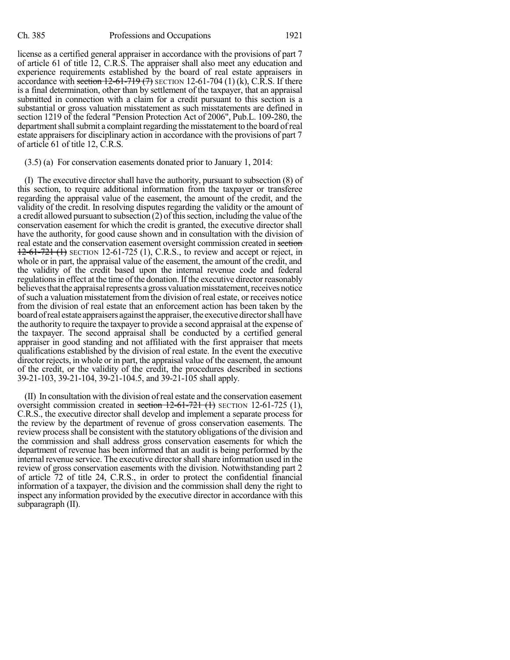license as a certified general appraiser in accordance with the provisions of part 7 of article 61 of title 12, C.R.S. The appraiser shall also meet any education and experience requirements established by the board of real estate appraisers in accordance with section  $12-61-719$  (7) SECTION 12-61-704 (1) (k), C.R.S. If there is a final determination, other than by settlement of the taxpayer, that an appraisal submitted in connection with a claim for a credit pursuant to this section is a substantial or gross valuation misstatement as such misstatements are defined in section 1219 of the federal "Pension Protection Act of 2006", Pub.L. 109-280, the department shall submit a complaint regarding the misstatement to the board of real estate appraisers for disciplinary action in accordance with the provisions of part 7 of article 61 of title 12, C.R.S.

#### (3.5) (a) For conservation easements donated prior to January 1, 2014:

(I) The executive director shall have the authority, pursuant to subsection (8) of this section, to require additional information from the taxpayer or transferee regarding the appraisal value of the easement, the amount of the credit, and the validity of the credit. In resolving disputes regarding the validity or the amount of a credit allowed pursuant to subsection (2) of this section, including the value of the conservation easement for which the credit is granted, the executive director shall have the authority, for good cause shown and in consultation with the division of real estate and the conservation easement oversight commission created in section 12-61-721 (1) SECTION 12-61-725 (1), C.R.S., to review and accept or reject, in whole or in part, the appraisal value of the easement, the amount of the credit, and the validity of the credit based upon the internal revenue code and federal regulations in effect at the time of the donation. If the executive director reasonably believes that the appraisal represents a gross valuation misstatement, receives notice ofsuch a valuation misstatement fromthe division of real estate, or receives notice from the division of real estate that an enforcement action has been taken by the board of real estate appraisers against the appraiser, the executive director shall have the authority to require the taxpayer to provide a second appraisal at the expense of the taxpayer. The second appraisal shall be conducted by a certified general appraiser in good standing and not affiliated with the first appraiser that meets qualifications established by the division of real estate. In the event the executive director rejects, in whole or in part, the appraisal value of the easement, the amount of the credit, or the validity of the credit, the procedures described in sections 39-21-103, 39-21-104, 39-21-104.5, and 39-21-105 shall apply.

(II) In consultation with the division ofreal estate and the conservation easement oversight commission created in section  $12-61-721$  (1) SECTION 12-61-725 (1), C.R.S., the executive director shall develop and implement a separate process for the review by the department of revenue of gross conservation easements. The review processshall be consistent with the statutory obligations of the division and the commission and shall address gross conservation easements for which the department of revenue has been informed that an audit is being performed by the internal revenue service. The executive director shall share information used in the review of gross conservation easements with the division. Notwithstanding part 2 of article 72 of title 24, C.R.S., in order to protect the confidential financial information of a taxpayer, the division and the commission shall deny the right to inspect any information provided by the executive director in accordance with this subparagraph (II).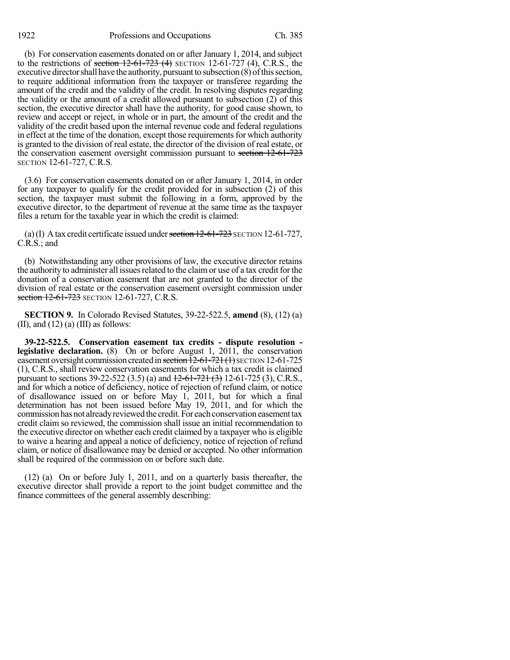(b) For conservation easements donated on or after January 1, 2014, and subject to the restrictions of section  $12{\text -}61{\text -}723$  (4) SECTION 12-61-727 (4), C.R.S., the executive director shall have the authority, pursuant to subsection (8) of this section, to require additional information from the taxpayer or transferee regarding the amount of the credit and the validity of the credit. In resolving disputes regarding the validity or the amount of a credit allowed pursuant to subsection (2) of this section, the executive director shall have the authority, for good cause shown, to review and accept or reject, in whole or in part, the amount of the credit and the validity of the credit based upon the internal revenue code and federal regulations in effect at the time of the donation, except those requirements for which authority is granted to the division of real estate, the director of the division of real estate, or the conservation easement oversight commission pursuant to section 12-61-723 SECTION 12-61-727, C.R.S.

(3.6) For conservation easements donated on or after January 1, 2014, in order for any taxpayer to qualify for the credit provided for in subsection (2) of this section, the taxpayer must submit the following in a form, approved by the executive director, to the department of revenue at the same time as the taxpayer files a return for the taxable year in which the credit is claimed:

(a)(I) A tax credit certificate issued under section  $12-61-723$  SECTION 12-61-727, C.R.S.; and

(b) Notwithstanding any other provisions of law, the executive director retains the authority to administer all issues related to the claim or use of a tax credit for the donation of a conservation easement that are not granted to the director of the division of real estate or the conservation easement oversight commission under section 12-61-723 SECTION 12-61-727, C.R.S.

**SECTION 9.** In Colorado Revised Statutes, 39-22-522.5, **amend** (8), (12) (a) (II), and  $(12)$  (a) (III) as follows:

**39-22-522.5. Conservation easement tax credits - dispute resolution legislative declaration.** (8) On or before August 1, 2011, the conservation easement oversight commission created in section  $\overline{12\text{-}61\text{-}721(1)}$  SECTION 12-61-725 (1), C.R.S., shall review conservation easements for which a tax credit is claimed pursuant to sections 39-22-522 (3.5) (a) and  $\frac{12-61-721}{(3)}$  12-61-725 (3), C.R.S., and for which a notice of deficiency, notice of rejection of refund claim, or notice of disallowance issued on or before May 1, 2011, but for which a final determination has not been issued before May 19, 2011, and for which the commission has not already reviewed the credit. For each conservation easement tax credit claim so reviewed, the commission shall issue an initial recommendation to the executive director on whether each credit claimed by a taxpayer who is eligible to waive a hearing and appeal a notice of deficiency, notice of rejection of refund claim, or notice of disallowance may be denied or accepted. No other information shall be required of the commission on or before such date.

(12) (a) On or before July 1, 2011, and on a quarterly basis thereafter, the executive director shall provide a report to the joint budget committee and the finance committees of the general assembly describing: